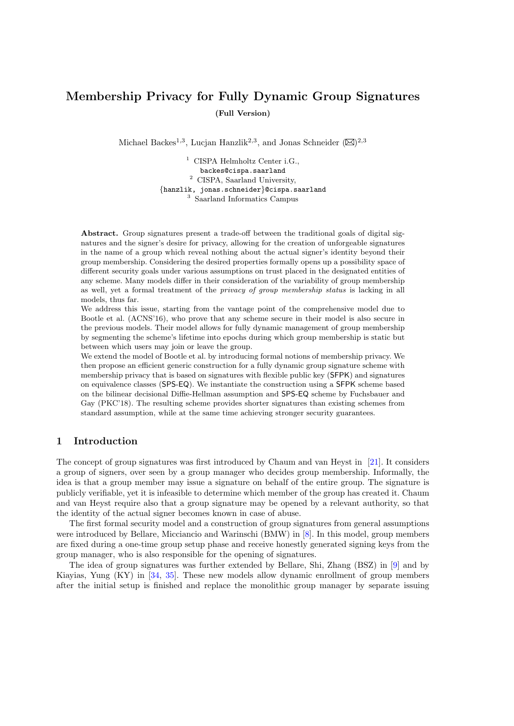# Membership Privacy for Fully Dynamic Group Signatures (Full Version)

Michael Backes<sup>1,3</sup>, Lucjan Hanzlik<sup>2,3</sup>, and Jonas Schneider  $(\boxtimes)^{2,3}$ 

<sup>1</sup> CISPA Helmholtz Center i.G., backes@cispa.saarland <sup>2</sup> CISPA, Saarland University, {hanzlik, jonas.schneider}@cispa.saarland <sup>3</sup> Saarland Informatics Campus

Abstract. Group signatures present a trade-off between the traditional goals of digital signatures and the signer's desire for privacy, allowing for the creation of unforgeable signatures in the name of a group which reveal nothing about the actual signer's identity beyond their group membership. Considering the desired properties formally opens up a possibility space of different security goals under various assumptions on trust placed in the designated entities of any scheme. Many models differ in their consideration of the variability of group membership as well, yet a formal treatment of the privacy of group membership status is lacking in all models, thus far.

We address this issue, starting from the vantage point of the comprehensive model due to Bootle et al. (ACNS'16), who prove that any scheme secure in their model is also secure in the previous models. Their model allows for fully dynamic management of group membership by segmenting the scheme's lifetime into epochs during which group membership is static but between which users may join or leave the group.

We extend the model of Bootle et al. by introducing formal notions of membership privacy. We then propose an efficient generic construction for a fully dynamic group signature scheme with membership privacy that is based on signatures with flexible public key (SFPK) and signatures on equivalence classes (SPS-EQ). We instantiate the construction using a SFPK scheme based on the bilinear decisional Diffie-Hellman assumption and SPS-EQ scheme by Fuchsbauer and Gay (PKC'18). The resulting scheme provides shorter signatures than existing schemes from standard assumption, while at the same time achieving stronger security guarantees.

# 1 Introduction

The concept of group signatures was first introduced by Chaum and van Heyst in [\[21\]](#page-32-0). It considers a group of signers, over seen by a group manager who decides group membership. Informally, the idea is that a group member may issue a signature on behalf of the entire group. The signature is publicly verifiable, yet it is infeasible to determine which member of the group has created it. Chaum and van Heyst require also that a group signature may be opened by a relevant authority, so that the identity of the actual signer becomes known in case of abuse.

The first formal security model and a construction of group signatures from general assumptions were introduced by Bellare, Micciancio and Warinschi (BMW) in [\[8\]](#page-31-0). In this model, group members are fixed during a one-time group setup phase and receive honestly generated signing keys from the group manager, who is also responsible for the opening of signatures.

The idea of group signatures was further extended by Bellare, Shi, Zhang (BSZ) in [\[9\]](#page-31-1) and by Kiayias, Yung (KY) in [\[34,](#page-33-0) [35\]](#page-33-1). These new models allow dynamic enrollment of group members after the initial setup is finished and replace the monolithic group manager by separate issuing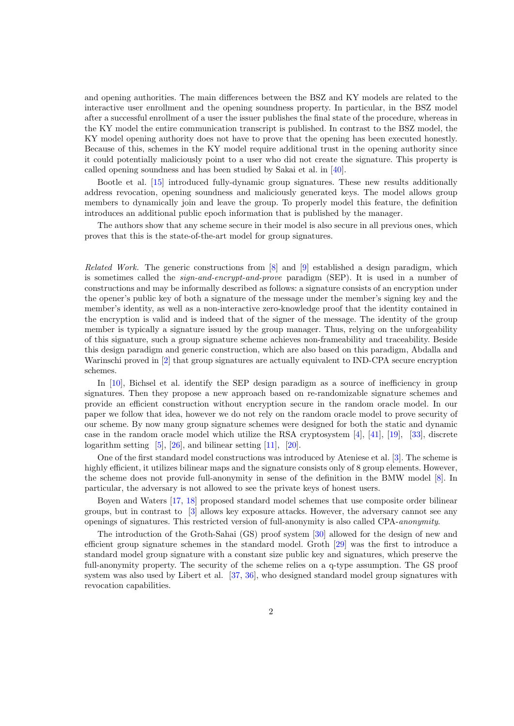and opening authorities. The main differences between the BSZ and KY models are related to the interactive user enrollment and the opening soundness property. In particular, in the BSZ model after a successful enrollment of a user the issuer publishes the final state of the procedure, whereas in the KY model the entire communication transcript is published. In contrast to the BSZ model, the KY model opening authority does not have to prove that the opening has been executed honestly. Because of this, schemes in the KY model require additional trust in the opening authority since it could potentially maliciously point to a user who did not create the signature. This property is called opening soundness and has been studied by Sakai et al. in [\[40\]](#page-34-0).

Bootle et al. [\[15\]](#page-32-1) introduced fully-dynamic group signatures. These new results additionally address revocation, opening soundness and maliciously generated keys. The model allows group members to dynamically join and leave the group. To properly model this feature, the definition introduces an additional public epoch information that is published by the manager.

The authors show that any scheme secure in their model is also secure in all previous ones, which proves that this is the state-of-the-art model for group signatures.

Related Work. The generic constructions from [\[8\]](#page-31-0) and [\[9\]](#page-31-1) established a design paradigm, which is sometimes called the sign-and-encrypt-and-prove paradigm (SEP). It is used in a number of constructions and may be informally described as follows: a signature consists of an encryption under the opener's public key of both a signature of the message under the member's signing key and the member's identity, as well as a non-interactive zero-knowledge proof that the identity contained in the encryption is valid and is indeed that of the signer of the message. The identity of the group member is typically a signature issued by the group manager. Thus, relying on the unforgeability of this signature, such a group signature scheme achieves non-frameability and traceability. Beside this design paradigm and generic construction, which are also based on this paradigm, Abdalla and Warinschi proved in [\[2\]](#page-31-2) that group signatures are actually equivalent to IND-CPA secure encryption schemes.

In [\[10\]](#page-31-3), Bichsel et al. identify the SEP design paradigm as a source of inefficiency in group signatures. Then they propose a new approach based on re-randomizable signature schemes and provide an efficient construction without encryption secure in the random oracle model. In our paper we follow that idea, however we do not rely on the random oracle model to prove security of our scheme. By now many group signature schemes were designed for both the static and dynamic case in the random oracle model which utilize the RSA cryptosystem  $[4]$ ,  $[41]$ ,  $[19]$ ,  $[33]$ , discrete logarithm setting  $[5]$ ,  $[26]$ , and bilinear setting  $[11]$ ,  $[20]$ .

One of the first standard model constructions was introduced by Ateniese et al. [\[3\]](#page-31-7). The scheme is highly efficient, it utilizes bilinear maps and the signature consists only of 8 group elements. However, the scheme does not provide full-anonymity in sense of the definition in the BMW model [\[8\]](#page-31-0). In particular, the adversary is not allowed to see the private keys of honest users.

Boyen and Waters [\[17,](#page-32-4) [18\]](#page-32-5) proposed standard model schemes that use composite order bilinear groups, but in contrast to [\[3\]](#page-31-7) allows key exposure attacks. However, the adversary cannot see any openings of signatures. This restricted version of full-anonymity is also called CPA-anonymity.

The introduction of the Groth-Sahai (GS) proof system [\[30\]](#page-33-4) allowed for the design of new and efficient group signature schemes in the standard model. Groth [\[29\]](#page-33-5) was the first to introduce a standard model group signature with a constant size public key and signatures, which preserve the full-anonymity property. The security of the scheme relies on a q-type assumption. The GS proof system was also used by Libert et al. [\[37,](#page-33-6) [36\]](#page-33-7), who designed standard model group signatures with revocation capabilities.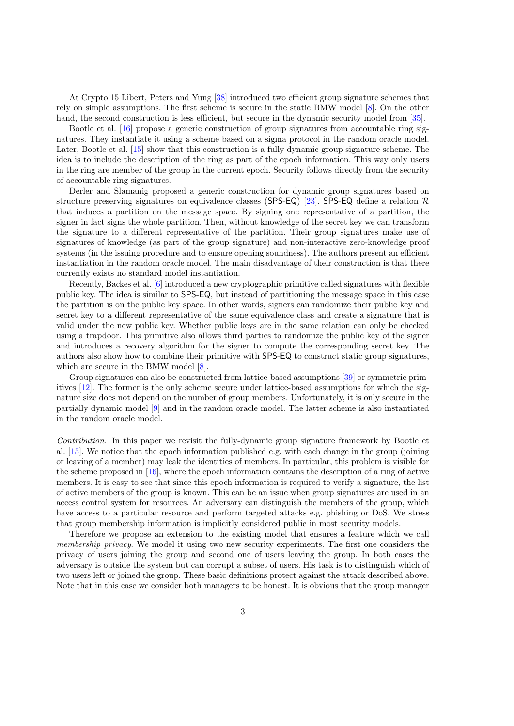At Crypto'15 Libert, Peters and Yung [\[38\]](#page-34-2) introduced two efficient group signature schemes that rely on simple assumptions. The first scheme is secure in the static BMW model [\[8\]](#page-31-0). On the other hand, the second construction is less efficient, but secure in the dynamic security model from [\[35\]](#page-33-1).

Bootle et al. [\[16\]](#page-32-6) propose a generic construction of group signatures from accountable ring signatures. They instantiate it using a scheme based on a sigma protocol in the random oracle model. Later, Bootle et al. [\[15\]](#page-32-1) show that this construction is a fully dynamic group signature scheme. The idea is to include the description of the ring as part of the epoch information. This way only users in the ring are member of the group in the current epoch. Security follows directly from the security of accountable ring signatures.

Derler and Slamanig proposed a generic construction for dynamic group signatures based on structure preserving signatures on equivalence classes (SPS-EQ) [\[23\]](#page-32-7). SPS-EQ define a relation  $\mathcal{R}$ that induces a partition on the message space. By signing one representative of a partition, the signer in fact signs the whole partition. Then, without knowledge of the secret key we can transform the signature to a different representative of the partition. Their group signatures make use of signatures of knowledge (as part of the group signature) and non-interactive zero-knowledge proof systems (in the issuing procedure and to ensure opening soundness). The authors present an efficient instantiation in the random oracle model. The main disadvantage of their construction is that there currently exists no standard model instantiation.

Recently, Backes et al. [\[6\]](#page-31-8) introduced a new cryptographic primitive called signatures with flexible public key. The idea is similar to SPS-EQ, but instead of partitioning the message space in this case the partition is on the public key space. In other words, signers can randomize their public key and secret key to a different representative of the same equivalence class and create a signature that is valid under the new public key. Whether public keys are in the same relation can only be checked using a trapdoor. This primitive also allows third parties to randomize the public key of the signer and introduces a recovery algorithm for the signer to compute the corresponding secret key. The authors also show how to combine their primitive with SPS-EQ to construct static group signatures, which are secure in the BMW model  $[8]$ .

Group signatures can also be constructed from lattice-based assumptions [\[39\]](#page-34-3) or symmetric primitives [\[12\]](#page-31-9). The former is the only scheme secure under lattice-based assumptions for which the signature size does not depend on the number of group members. Unfortunately, it is only secure in the partially dynamic model [\[9\]](#page-31-1) and in the random oracle model. The latter scheme is also instantiated in the random oracle model.

Contribution. In this paper we revisit the fully-dynamic group signature framework by Bootle et al. [\[15\]](#page-32-1). We notice that the epoch information published e.g. with each change in the group (joining or leaving of a member) may leak the identities of members. In particular, this problem is visible for the scheme proposed in [\[16\]](#page-32-6), where the epoch information contains the description of a ring of active members. It is easy to see that since this epoch information is required to verify a signature, the list of active members of the group is known. This can be an issue when group signatures are used in an access control system for resources. An adversary can distinguish the members of the group, which have access to a particular resource and perform targeted attacks e.g. phishing or DoS. We stress that group membership information is implicitly considered public in most security models.

Therefore we propose an extension to the existing model that ensures a feature which we call membership privacy. We model it using two new security experiments. The first one considers the privacy of users joining the group and second one of users leaving the group. In both cases the adversary is outside the system but can corrupt a subset of users. His task is to distinguish which of two users left or joined the group. These basic definitions protect against the attack described above. Note that in this case we consider both managers to be honest. It is obvious that the group manager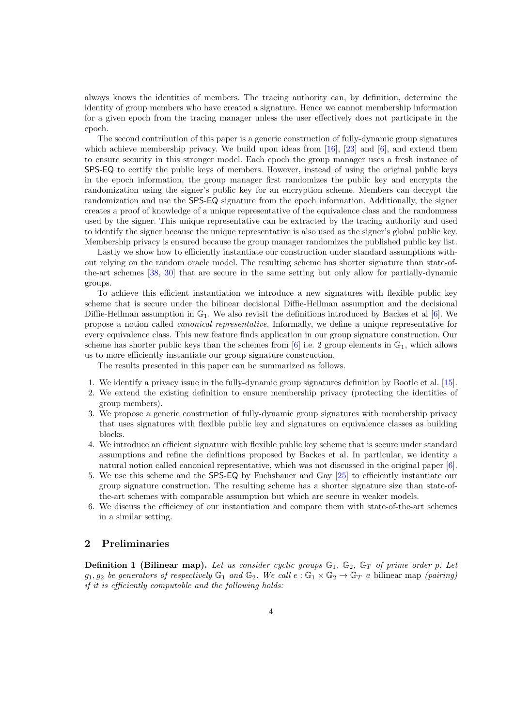always knows the identities of members. The tracing authority can, by definition, determine the identity of group members who have created a signature. Hence we cannot membership information for a given epoch from the tracing manager unless the user effectively does not participate in the epoch.

The second contribution of this paper is a generic construction of fully-dynamic group signatures which achieve membership privacy. We build upon ideas from  $[16]$ ,  $[23]$  and  $[6]$ , and extend them to ensure security in this stronger model. Each epoch the group manager uses a fresh instance of SPS-EQ to certify the public keys of members. However, instead of using the original public keys in the epoch information, the group manager first randomizes the public key and encrypts the randomization using the signer's public key for an encryption scheme. Members can decrypt the randomization and use the SPS-EQ signature from the epoch information. Additionally, the signer creates a proof of knowledge of a unique representative of the equivalence class and the randomness used by the signer. This unique representative can be extracted by the tracing authority and used to identify the signer because the unique representative is also used as the signer's global public key. Membership privacy is ensured because the group manager randomizes the published public key list.

Lastly we show how to efficiently instantiate our construction under standard assumptions without relying on the random oracle model. The resulting scheme has shorter signature than state-ofthe-art schemes [\[38,](#page-34-2) [30\]](#page-33-4) that are secure in the same setting but only allow for partially-dynamic groups.

To achieve this efficient instantiation we introduce a new signatures with flexible public key scheme that is secure under the bilinear decisional Diffie-Hellman assumption and the decisional Diffie-Hellman assumption in  $\mathbb{G}_1$ . We also revisit the definitions introduced by Backes et al [\[6\]](#page-31-8). We propose a notion called canonical representative. Informally, we define a unique representative for every equivalence class. This new feature finds application in our group signature construction. Our scheme has shorter public keys than the schemes from [\[6\]](#page-31-8) i.e. 2 group elements in  $\mathbb{G}_1$ , which allows us to more efficiently instantiate our group signature construction.

The results presented in this paper can be summarized as follows.

- 1. We identify a privacy issue in the fully-dynamic group signatures definition by Bootle et al. [\[15\]](#page-32-1).
- 2. We extend the existing definition to ensure membership privacy (protecting the identities of group members).
- 3. We propose a generic construction of fully-dynamic group signatures with membership privacy that uses signatures with flexible public key and signatures on equivalence classes as building blocks.
- 4. We introduce an efficient signature with flexible public key scheme that is secure under standard assumptions and refine the definitions proposed by Backes et al. In particular, we identity a natural notion called canonical representative, which was not discussed in the original paper [\[6\]](#page-31-8).
- 5. We use this scheme and the SPS-EQ by Fuchsbauer and Gay [\[25\]](#page-32-8) to efficiently instantiate our group signature construction. The resulting scheme has a shorter signature size than state-ofthe-art schemes with comparable assumption but which are secure in weaker models.
- 6. We discuss the efficiency of our instantiation and compare them with state-of-the-art schemes in a similar setting.

## 2 Preliminaries

**Definition 1 (Bilinear map).** Let us consider cyclic groups  $\mathbb{G}_1$ ,  $\mathbb{G}_2$ ,  $\mathbb{G}_T$  of prime order p. Let  $g_1, g_2$  be generators of respectively  $\mathbb{G}_1$  and  $\mathbb{G}_2$ . We call  $e : \mathbb{G}_1 \times \mathbb{G}_2 \to \mathbb{G}_T$  a bilinear map (pairing) if it is efficiently computable and the following holds: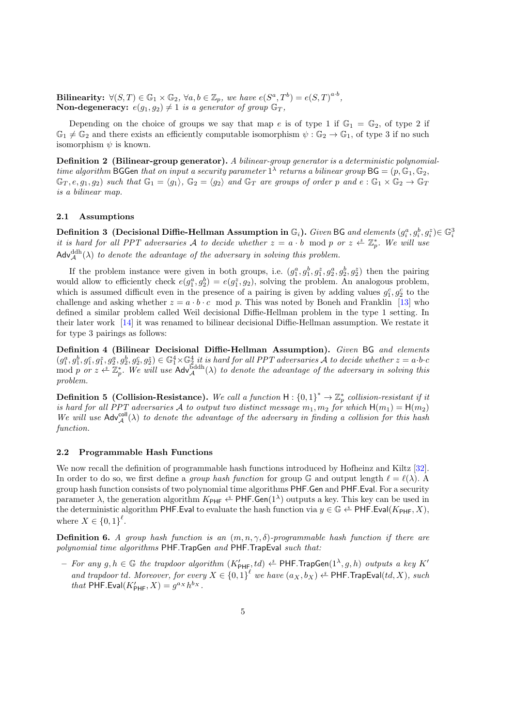Bilinearity:  $\forall (S,T) \in \mathbb{G}_1 \times \mathbb{G}_2$ ,  $\forall a, b \in \mathbb{Z}_p$ , we have  $e(S^a,T^b)=e(S,T)^{a \cdot b}$ , **Non-degeneracy:**  $e(g_1, g_2) \neq 1$  is a generator of group  $\mathbb{G}_T$ ,

Depending on the choice of groups we say that map e is of type 1 if  $\mathbb{G}_1 = \mathbb{G}_2$ , of type 2 if  $\mathbb{G}_1 \neq \mathbb{G}_2$  and there exists an efficiently computable isomorphism  $\psi : \mathbb{G}_2 \to \mathbb{G}_1$ , of type 3 if no such isomorphism  $\psi$  is known.

Definition 2 (Bilinear-group generator). A bilinear-group generator is a deterministic polynomialtime algorithm BGGen that on input a security parameter  $1^{\lambda}$  returns a bilinear group BG =  $(p, \mathbb{G}_1, \mathbb{G}_2,$  $\mathbb{G}_T$ ,  $e, g_1, g_2$  such that  $\mathbb{G}_1 = \langle g_1 \rangle$ ,  $\mathbb{G}_2 = \langle g_2 \rangle$  and  $\mathbb{G}_T$  are groups of order p and  $e : \mathbb{G}_1 \times \mathbb{G}_2 \to \mathbb{G}_T$ is a bilinear map.

## 2.1 Assumptions

Definition 3 (Decisional Diffie-Hellman Assumption in  $\mathbb{G}_i$ ). Given BG and elements  $(g_i^a,g_i^b,g_i^z)\!\in\mathbb{G}_i^3$ it is hard for all PPT adversaries A to decide whether  $z = a \cdot b \mod p$  or  $z \stackrel{s}{\leftarrow} \mathbb{Z}_p^*$ . We will use  $\mathsf{Adv}_{\mathcal{A}}^{\mathrm{ddh}}(\lambda)$  to denote the advantage of the adversary in solving this problem.

If the problem instance were given in both groups, i.e.  $(g_1^a, g_1^b, g_1^z, g_2^a, g_2^b, g_2^z)$  then the pairing would allow to efficiently check  $e(g_1^a, g_2^b) = e(g_1^z, g_2)$ , solving the problem. An analogous problem, which is assumed difficult even in the presence of a pairing is given by adding values  $g_1^c, g_2^c$  to the challenge and asking whether  $z = a \cdot b \cdot c \mod p$ . This was noted by Boneh and Franklin [\[13\]](#page-32-9) who defined a similar problem called Weil decisional Diffie-Hellman problem in the type 1 setting. In their later work [\[14\]](#page-32-10) it was renamed to bilinear decisional Diffie-Hellman assumption. We restate it for type 3 pairings as follows:

Definition 4 (Bilinear Decisional Diffie-Hellman Assumption). Given BG and elements  $(g_1^a, g_1^b, g_1^c, g_1^z, g_2^a, g_2^b, g_2^c, g_2^z) \in \mathbb{G}_1^4 \times \mathbb{G}_2^4$  it is hard for all PPT adversaries A to decide whether  $z = a \cdot b \cdot c$ mod p or  $z \stackrel{\&}{\leftarrow} \mathbb{Z}_p^*$ . We will use  $\mathsf{Adv}_{\mathcal{A}}^{\mathsf{5ddh}}(\lambda)$  to denote the advantage of the adversary in solving this problem.

**Definition 5** (Collision-Resistance). We call a function  $H: \{0,1\}^* \to \mathbb{Z}_p^*$  collision-resistant if it is hard for all PPT adversaries A to output two distinct message  $m_1, m_2$  for which  $H(m_1) = H(m_2)$ We will use  $\mathsf{Adv}_{\mathcal{A}}^{\text{coll}}(\lambda)$  to denote the advantage of the adversary in finding a collision for this hash function.

### 2.2 Programmable Hash Functions

We now recall the definition of programmable hash functions introduced by Hofheinz and Kiltz [\[32\]](#page-33-8). In order to do so, we first define a *group hash function* for group G and output length  $\ell = \ell(\lambda)$ . A group hash function consists of two polynomial time algorithms PHF.Gen and PHF.Eval. For a security parameter  $\lambda$ , the generation algorithm  $K_{\text{PHF}} \xleftarrow{\text{g}} \text{PHF}$ . Gen(1<sup> $\lambda$ </sup>) outputs a key. This key can be used in the deterministic algorithm PHF. Eval to evaluate the hash function via  $y \in \mathbb{G} \Leftrightarrow$  PHF. Eval( $K_{\text{PHF}}$ , X), where  $X \in \{0,1\}^{\ell}$ .

**Definition 6.** A group hash function is an  $(m, n, \gamma, \delta)$ -programmable hash function if there are polynomial time algorithms PHF. TrapGen and PHF. TrapEval such that:

 $-$  For any  $g, h \in \mathbb{G}$  the trapdoor algorithm  $(K'_{\text{PHF}}, td) \overset{\hspace{0.1em}\mathsf{\scriptscriptstyle\$}}{\leftarrow}$  PHF.TrapGen $(1^\lambda, g, h)$  outputs a key  $K'$ and trapdoor td. Moreover, for every  $X \in \{0,1\}^{\ell}$  we have  $(a_X, b_X) \stackrel{\simeq}{\leftarrow}$  PHF.TrapEval $(td, X)$ , such that PHF.Eval $(K'_{\text{PHF}}, X) = g^{a_X} h^{b_X}$ .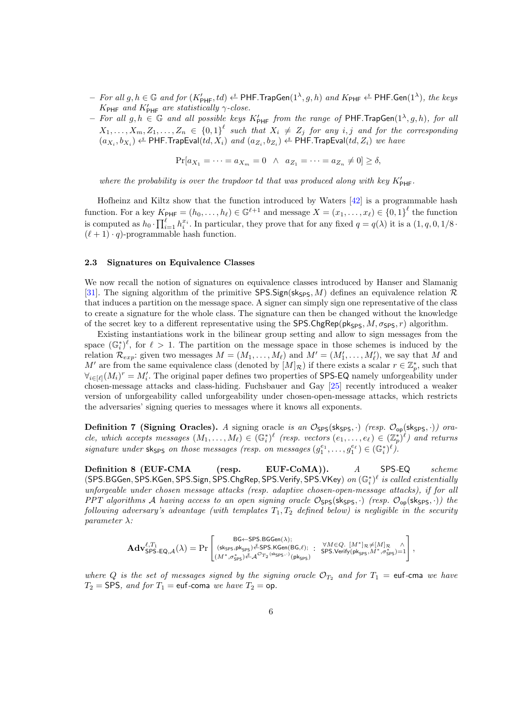- $-$  For all  $g, h \in \mathbb{G}$  and for  $(K'_{\text{PHF}}, td) \overset{\hspace{0.1em}\mathsf{\scriptscriptstyle\$}}{\leftarrow}$  PHF.TrapGen $(1^\lambda, g, h)$  and  $K_{\text{PHF}} \overset{\hspace{0.1em}\mathsf{\scriptscriptstyle\$}}{\leftarrow}$  PHF.Gen $(1^\lambda),$  the keys  $K_{\text{PHF}}$  and  $K'_{\text{PHF}}$  are statistically  $\gamma$ -close.
- For all  $g, h \in \mathbb{G}$  and all possible keys  $K'_{\text{PHF}}$  from the range of PHF. TrapGen $(1^{\lambda}, g, h)$ , for all  $X_1,\ldots,X_m,Z_1,\ldots,Z_n \in \{0,1\}^{\ell}$  such that  $X_i \neq Z_j$  for any i, j and for the corresponding  $(a_{X_i},b_{X_i})\overset{\hspace{0.1em}\mathsf{\scriptscriptstyle\$}}{\leftarrow}$  PHF.TrapEval $(td,X_i)$  and  $(a_{Z_i},b_{Z_i})\overset{\hspace{0.1em}\mathsf{\scriptscriptstyle\$}}{\leftarrow}$  PHF.TrapEval $(td,Z_i)$  we have

$$
\Pr[a_{X_1} = \dots = a_{X_m} = 0 \ \land \ a_{Z_1} = \dots = a_{Z_n} \neq 0] \ge \delta,
$$

where the probability is over the trapdoor  $td$  that was produced along with key  $K'_{\text{PHF}}$ .

Hofheinz and Kiltz show that the function introduced by Waters [\[42\]](#page-34-4) is a programmable hash function. For a key  $K_{\text{PHF}} = (h_0, \ldots, h_\ell) \in \mathbb{G}^{\ell+1}$  and message  $X = (x_1, \ldots, x_\ell) \in \{0, 1\}^\ell$  the function is computed as  $h_0 \cdot \prod_{i=1}^{\ell} h_i^{x_i}$ . In particular, they prove that for any fixed  $q = q(\lambda)$  it is a  $(1, q, 0, 1/8$ .  $(\ell + 1) \cdot q$ -programmable hash function.

## 2.3 Signatures on Equivalence Classes

We now recall the notion of signatures on equivalence classes introduced by Hanser and Slamanig [\[31\]](#page-33-9). The signing algorithm of the primitive SPS.Sign(sk<sub>SPS</sub>, M) defines an equivalence relation R that induces a partition on the message space. A signer can simply sign one representative of the class to create a signature for the whole class. The signature can then be changed without the knowledge of the secret key to a different representative using the SPS.ChgRep( $pk_{SPS}$ ,  $M$ ,  $\sigma_{SPS}$ ,  $r$ ) algorithm.

Existing instantiations work in the bilinear group setting and allow to sign messages from the space  $(\mathbb{G}_{i}^{*})^{\ell}$ , for  $\ell > 1$ . The partition on the message space in those schemes is induced by the relation  $\mathcal{R}_{exp}$ : given two messages  $M = (M_1, \ldots, M_\ell)$  and  $M' = (M'_1, \ldots, M'_\ell)$ , we say that M and M' are from the same equivalence class (denoted by  $[M]_{\mathcal{R}}$ ) if there exists a scalar  $r \in \mathbb{Z}_p^*$ , such that  $\forall_{i\in[\ell]}(M_i)^r = M'_i$ . The original paper defines two properties of SPS-EQ namely unforgeability under chosen-message attacks and class-hiding. Fuchsbauer and Gay [\[25\]](#page-32-8) recently introduced a weaker version of unforgeability called unforgeability under chosen-open-message attacks, which restricts the adversaries' signing queries to messages where it knows all exponents.

**Definition 7 (Signing Oracles).** A signing oracle is an  $\mathcal{O}_{SPS}$ (sk<sub>SPS</sub>, ·) (resp.  $\mathcal{O}_{op}$ (sk<sub>SPS</sub>, ·)) oracle, which accepts messages  $(M_1,\ldots,M_\ell) \in (\mathbb{G}_i^*)^\ell$  (resp. vectors  $(e_1,\ldots,e_\ell) \in (\mathbb{Z}_p^*)^\ell$ ) and returns signature under sksps on those messages (resp. on messages  $(g_1^{e_1},...,g_1^{e_\ell}) \in (\mathbb{G}_i^*)^{\ell}$ ).

Definition 8 (EUF-CMA (resp. EUF-CoMA)). A SPS-EQ scheme (SPS.BGGen, SPS.KGen, SPS.Sign, SPS.ChgRep, SPS.Verify, SPS.VKey) on  $(\mathbb{G}_i^*)^\ell$  is called existentially unforgeable under chosen message attacks (resp. adaptive chosen-open-message attacks), if for all PPT algorithms A having access to an open signing oracle  $\mathcal{O}_{SPS}$ (sk<sub>SPS</sub>, ·) (resp.  $\mathcal{O}_{op}$ (sk<sub>SPS</sub>, ·)) the following adversary's advantage (with templates  $T_1, T_2$  defined below) is negligible in the security parameter  $\lambda$ :

$$
\mathbf{Adv}_{\mathsf{SPS-EQ},\mathcal{A}}^{\ell,T_1}(\lambda) = \Pr\left[\begin{smallmatrix}\mathsf{BG}\leftarrow\mathsf{SPS}.\mathsf{BGGen}(\lambda); & \forall M\in Q.~[M^*]_\mathcal{R}\neq [M]_\mathcal{R}~\wedge \\\mathsf{(sk_{\mathsf{SPS}},\mathsf{pk_{\mathsf{SPS}}})\overset{\mathcal{S}}{\leftarrow}\mathsf{SPS}.\mathsf{KGen}(\mathsf{BG},\ell); & \forall M\in Q.~[M^*]_\mathcal{R}\neq [M]_\mathcal{R}~\wedge \\\ (M^*,\sigma^*_{\mathsf{SPS}})\overset{\mathcal{S}}{\leftarrow}\mathcal{A}^{\mathcal{O}_{T_2}(\mathsf{sk_{\mathsf{SPS}}},\cdot)}(\mathsf{pk_{\mathsf{SPS}}}) & \mathsf{SPS}.\mathsf{Verify}(\mathsf{pk_{\mathsf{SPS}},M^*,\sigma^*_{\mathsf{SPS}})=1}\end{smallmatrix}\right],
$$

where Q is the set of messages signed by the signing oracle  $\mathcal{O}_{T_2}$  and for  $T_1 = \text{euf-cma}$  we have  $T_2$  = SPS, and for  $T_1$  = euf-coma we have  $T_2$  = op.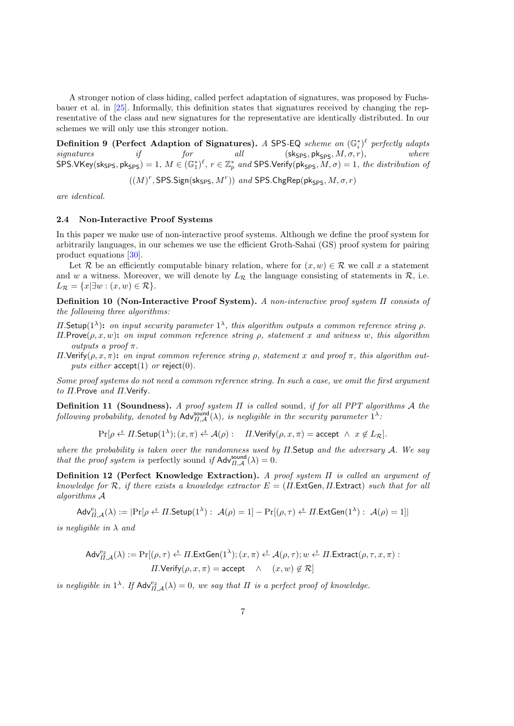A stronger notion of class hiding, called perfect adaptation of signatures, was proposed by Fuchsbauer et al. in [\[25\]](#page-32-8). Informally, this definition states that signatures received by changing the representative of the class and new signatures for the representative are identically distributed. In our schemes we will only use this stronger notion.

Definition 9 (Perfect Adaption of Signatures). A SPS-EQ scheme on  $(\mathbb{G}_i^*)^{\ell}$  perfectly adapts signatures if for all  $\left($ Sk<sub>SPS</sub>, pk<sub>SPS</sub>,  $M, \sigma, r$ ), where  $SPS.VKey(sk_{SPS}, pk_{SPS}) = 1, M \in (\mathbb{G}_1^*)^{\ell}, r \in \mathbb{Z}_p^*$  and SPS. Verify( $pk_{SPS}, M, \sigma$ ) = 1, the distribution of

 $((M)^r, {\sf SPS}.\mathsf{Sign}({\sf sk}_{\mathsf{SPS}},M^r))$  and  ${\sf SPS}.\mathsf{ChgRep}({\sf pk}_{\mathsf{SPS}},M,\sigma,r)$ 

are identical.

### 2.4 Non-Interactive Proof Systems

In this paper we make use of non-interactive proof systems. Although we define the proof system for arbitrarily languages, in our schemes we use the efficient Groth-Sahai (GS) proof system for pairing product equations [\[30\]](#page-33-4).

Let R be an efficiently computable binary relation, where for  $(x, w) \in \mathcal{R}$  we call x a statement and w a witness. Moreover, we will denote by  $L_{\mathcal{R}}$  the language consisting of statements in  $\mathcal{R}$ , i.e.  $L_{\mathcal{R}} = \{x | \exists w : (x, w) \in \mathcal{R}\}.$ 

Definition 10 (Non-Interactive Proof System). A non-interactive proof system Π consists of the following three algorithms:

 $\Pi$ . Setup(1<sup> $\lambda$ </sup>): on input security parameter 1<sup> $\lambda$ </sup>, this algorithm outputs a common reference string  $\rho$ .

- $\Pi$ .Prove $(\rho, x, w)$ : on input common reference string  $\rho$ , statement x and witness w, this algorithm outputs a proof  $\pi$ .
- Π.Verify(ρ, x, π): on input common reference string ρ, statement x and proof π, this algorithm outputs either  $accept(1)$  or reject(0).

Some proof systems do not need a common reference string. In such a case, we omit the first argument to Π.Prove and Π.Verify.

Definition 11 (Soundness). A proof system Π is called sound, if for all PPT algorithms A the following probability, denoted by  $\mathsf{Adv}_{\Pi,\mathcal{A}}^{\mathsf{sound}}(\lambda)$ , is negligible in the security parameter  $1^{\lambda}$ .

$$
\Pr[\rho \stackrel{\hspace{0.1em}\mathsf{\scriptscriptstyle\$}}{=} \Pi.\mathsf{Setup}(1^{\lambda});(x,\pi) \stackrel{\hspace{0.1em}\mathsf{\scriptscriptstyle\$}}{=} \mathcal{A}(\rho): \quad \Pi.\mathsf{Verify}(\rho,x,\pi) = \mathsf{accept} \;\wedge\; x \not\in L_{\mathcal{R}}].
$$

where the probability is taken over the randomness used by  $\Pi$ . Setup and the adversary  $A$ . We say that the proof system is perfectly sound if  $\mathsf{Adv}_{\Pi,\mathcal{A}}^{\text{sound}}(\lambda) = 0$ .

Definition 12 (Perfect Knowledge Extraction). A proof system Π is called an argument of knowledge for R, if there exists a knowledge extractor  $E = (II.\text{ExtGen}, II.\text{Extract})$  such that for all algorithms A

$$
\mathsf{Adv}^{\mathrm{e}_1}_{\Pi,\mathcal{A}}(\lambda) := |\mathrm{Pr}[\rho \stackrel{\hspace{0.1em}\mathsf{\scriptscriptstyle\$}}{\leftarrow} \Pi.\mathsf{Setup}(1^\lambda): \ \mathcal{A}(\rho) = 1] - \mathrm{Pr}[(\rho,\tau) \stackrel{\hspace{0.1em}\mathsf{\scriptscriptstyle\$}}{\leftarrow} \Pi.\mathsf{ExtGen}(1^\lambda): \ \mathcal{A}(\rho) = 1]|
$$

is negligible in  $\lambda$  and

$$
\begin{aligned} \mathsf{Adv}_{\varPi,\mathcal{A}}^{\mathrm{e_2}}(\lambda):=\Pr[(\rho,\tau)\overset{\hspace{0.1em}\mathit{\ast}}{\leftarrow} \varPi.\mathsf{ExtGen}(1^{\lambda});(x,\pi)\overset{\hspace{0.1em}\mathit{\ast}}{\leftarrow}\mathcal{A}(\rho,\tau);w\overset{\hspace{0.1em}\mathit{\ast}}{\leftarrow} \varPi.\mathsf{Extract}(\rho,\tau,x,\pi):\\ &\varPi.\mathsf{Verify}(\rho,x,\pi)=\mathsf{accept}\quad \wedge\quad (x,w)\not\in \mathcal{R}] \end{aligned}
$$

is negligible in  $1^{\lambda}$ . If  $\mathsf{Adv}_{\Pi,\mathcal{A}}^{\mathrm{e}_2}(\lambda) = 0$ , we say that  $\Pi$  is a perfect proof of knowledge.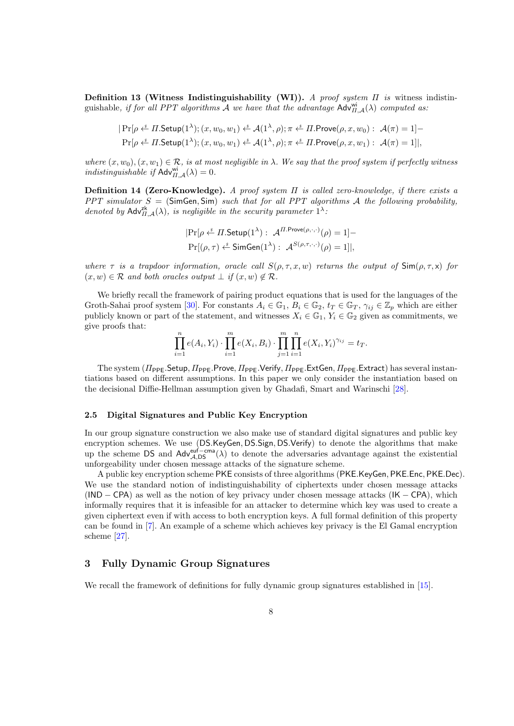Definition 13 (Witness Indistinguishability (WI)). A proof system  $\Pi$  is witness indistinguishable, if for all PPT algorithms A we have that the advantage  $\text{Adv}_{H,\mathcal{A}}^{\text{wi}}(\lambda)$  computed as:

$$
|\Pr[\rho \stackrel{\text{s}}{\leftarrow} \Pi.\mathsf{Setup}(1^{\lambda}); (x, w_0, w_1) \stackrel{\text{s}}{\leftarrow} \mathcal{A}(1^{\lambda}, \rho); \pi \stackrel{\text{s}}{\leftarrow} \Pi.\mathsf{Prove}(\rho, x, w_0): \mathcal{A}(\pi) = 1] -
$$
  

$$
\Pr[\rho \stackrel{\text{s}}{\leftarrow} \Pi.\mathsf{Setup}(1^{\lambda}); (x, w_0, w_1) \stackrel{\text{s}}{\leftarrow} \mathcal{A}(1^{\lambda}, \rho); \pi \stackrel{\text{s}}{\leftarrow} \Pi.\mathsf{Prove}(\rho, x, w_1): \mathcal{A}(\pi) = 1]|,
$$

where  $(x, w_0), (x, w_1) \in \mathcal{R}$ , is at most negligible in  $\lambda$ . We say that the proof system if perfectly witness indistinguishable if  $\mathsf{Adv}_{H,\mathcal{A}}^{\mathsf{wi}}(\lambda) = 0.$ 

**Definition 14 (Zero-Knowledge).** A proof system  $\Pi$  is called zero-knowledge, if there exists a PPT simulator  $S = (SimGen, Sim)$  such that for all PPT algorithms A the following probability, denoted by  $\mathsf{Adv}_{\Pi,\mathcal{A}}^{\mathsf{zk}}(\lambda)$ , is negligible in the security parameter  $1^{\lambda}$ .

$$
|\Pr[\rho \stackrel{\text{s}}{\leftarrow} \Pi.\mathsf{Setup}(1^{\lambda}) : \mathcal{A}^{\Pi.\mathsf{Prove}(\rho,\cdot,\cdot)}(\rho) = 1] -
$$
  

$$
\Pr[(\rho,\tau) \stackrel{\text{s}}{\leftarrow} \mathsf{SimGen}(1^{\lambda}) : \mathcal{A}^{S(\rho,\tau,\cdot,\cdot)}(\rho) = 1]|,
$$

where  $\tau$  is a trapdoor information, oracle call  $S(\rho, \tau, x, w)$  returns the output of  $\text{Sim}(\rho, \tau, x)$  for  $(x, w) \in \mathcal{R}$  and both oracles output  $\perp$  if  $(x, w) \notin \mathcal{R}$ .

We briefly recall the framework of pairing product equations that is used for the languages of the Groth-Sahai proof system [\[30\]](#page-33-4). For constants  $A_i \in \mathbb{G}_1$ ,  $B_i \in \mathbb{G}_2$ ,  $t_T \in \mathbb{G}_T$ ,  $\gamma_{ij} \in \mathbb{Z}_p$  which are either publicly known or part of the statement, and witnesses  $X_i \in \mathbb{G}_1$ ,  $Y_i \in \mathbb{G}_2$  given as commitments, we give proofs that:

$$
\prod_{i=1}^{n} e(A_i, Y_i) \cdot \prod_{i=1}^{m} e(X_i, B_i) \cdot \prod_{j=1}^{m} \prod_{i=1}^{n} e(X_i, Y_i)^{\gamma_{ij}} = t_T.
$$

The system  $(II_{\text{PPE}}.$ Setup,  $II_{\text{PPE}}.$ Prove,  $II_{\text{PPE}}.$ Verify,  $II_{\text{PPE}}.$ ExtGen,  $II_{\text{PPE}}.$ Extract) has several instantiations based on different assumptions. In this paper we only consider the instantiation based on the decisional Diffie-Hellman assumption given by Ghadafi, Smart and Warinschi [\[28\]](#page-33-10).

### 2.5 Digital Signatures and Public Key Encryption

In our group signature construction we also make use of standard digital signatures and public key encryption schemes. We use (DS.KeyGen, DS.Sign, DS.Verify) to denote the algorithms that make up the scheme DS and  $Adv_{A,DS}^{euf-cma}(\lambda)$  to denote the adversaries advantage against the existential unforgeability under chosen message attacks of the signature scheme.

A public key encryption scheme PKE consists of three algorithms (PKE.KeyGen, PKE.Enc, PKE.Dec). We use the standard notion of indistinguishability of ciphertexts under chosen message attacks  $(IND - CPA)$  as well as the notion of key privacy under chosen message attacks  $(IK - CPA)$ , which informally requires that it is infeasible for an attacker to determine which key was used to create a given ciphertext even if with access to both encryption keys. A full formal definition of this property can be found in [\[7\]](#page-31-10). An example of a scheme which achieves key privacy is the El Gamal encryption scheme [\[27\]](#page-33-11).

## 3 Fully Dynamic Group Signatures

We recall the framework of definitions for fully dynamic group signatures established in [\[15\]](#page-32-1).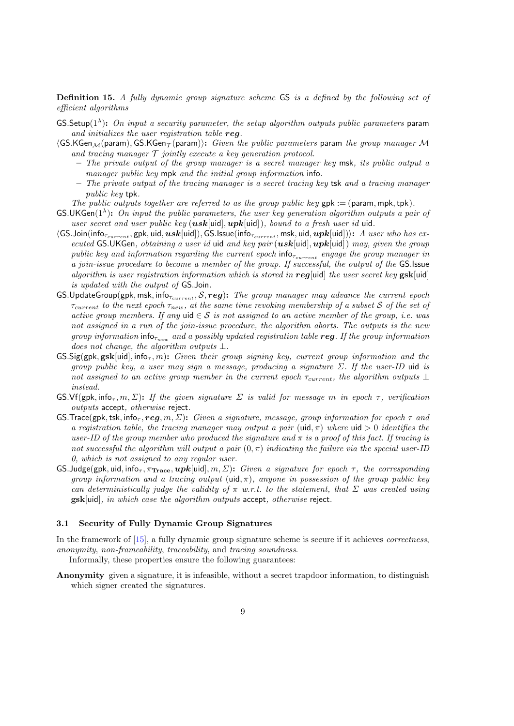Definition 15. A fully dynamic group signature scheme GS is a defined by the following set of efficient algorithms

- GS.Setup( $1^{\lambda}$ ): On input a security parameter, the setup algorithm outputs public parameters param and initializes the user registration table reg.
- $\langle$ GS.KGen<sub>M</sub>(param), GS.KGen $\tau$ (param)): Given the public parameters param the group manager M and tracing manager  $T$  jointly execute a key generation protocol.
	- The private output of the group manager is a secret manager key msk, its public output a manager public key mpk and the initial group information info.
	- The private output of the tracing manager is a secret tracing key tsk and a tracing manager public key tpk.

The public outputs together are referred to as the group public key  $gpk := (param, mpk, tpk)$ .

- **GS.UKGen**( $1^{\lambda}$ ): On input the public parameters, the user key generation algorithm outputs a pair of user secret and user public key  $(usk[uid],upk[uid]),$  bound to a fresh user id uid.
- $\langle$ GS.Join(info<sub>Tcurrent</sub>, gpk, uid,  $usk$ [uid]), GS.Issue(info<sub>Tcurrent</sub>, msk, uid,  $upk$ [uid])): A user who has executed GS.UKGen, obtaining a user id uid and key pair ( $usk[uid],upk[uid])$  may, given the group public key and information regarding the current epoch  $info_{\tau_{current}}$  engage the group manager in a join-issue procedure to become a member of the group. If successful, the output of the GS.Issue algorithm is user registration information which is stored in reg[uid] the user secret key  $\text{gsk}[\text{uid}]$ is updated with the output of GS.Join.
- GS.UpdateGroup(gpk, msk, info $_{\tau_{current}}$ , S, reg): The group manager may advance the current epoch  $\tau_{current}$  to the next epoch  $\tau_{new}$ , at the same time revoking membership of a subset S of the set of active group members. If any uid  $\in \mathcal{S}$  is not assigned to an active member of the group, i.e. was not assigned in a run of the join-issue procedure, the algorithm aborts. The outputs is the new group information info<sub> $\tau_{new}$ </sub> and a possibly updated registration table reg. If the group information does not change, the algorithm outputs  $\bot$ .
- $\text{GS}.\text{Sig(gpk}, \text{gsk}[\text{uid}], \text{info}_{\tau}, m)$ : Given their group signing key, current group information and the group public key, a user may sign a message, producing a signature  $\Sigma$ . If the user-ID uid is not assigned to an active group member in the current epoch  $\tau_{current}$ , the algorithm outputs  $\perp$ instead.
- GS.Vf(gpk, info<sub>τ</sub>, m,  $\Sigma$ ): If the given signature  $\Sigma$  is valid for message m in epoch  $\tau$ , verification outputs accept, otherwise reject.
- GS.Trace(gpk, tsk, info<sub>τ</sub>, reg, m,  $\Sigma$ ): Given a signature, message, group information for epoch  $\tau$  and a registration table, the tracing manager may output a pair (uid,  $\pi$ ) where uid  $> 0$  identifies the user-ID of the group member who produced the signature and  $\pi$  is a proof of this fact. If tracing is not successful the algorithm will output a pair  $(0, \pi)$  indicating the failure via the special user-ID 0, which is not assigned to any regular user.
- GS. Judge(gpk, uid, info<sub> $\tau$ </sub>,  $\pi_{\text{Trace}}, \boldsymbol{upk}$ [uid],  $m, \Sigma$ ): Given a signature for epoch  $\tau$ , the corresponding group information and a tracing output (uid,  $\pi$ ), anyone in possession of the group public key can deterministically judge the validity of  $\pi$  w.r.t. to the statement, that  $\Sigma$  was created using gsk[uid], in which case the algorithm outputs accept, otherwise reject.

### 3.1 Security of Fully Dynamic Group Signatures

In the framework of [\[15\]](#page-32-1), a fully dynamic group signature scheme is secure if it achieves correctness, anonymity, non-frameability, traceability, and tracing soundness.

Informally, these properties ensure the following guarantees:

Anonymity given a signature, it is infeasible, without a secret trapdoor information, to distinguish which signer created the signatures.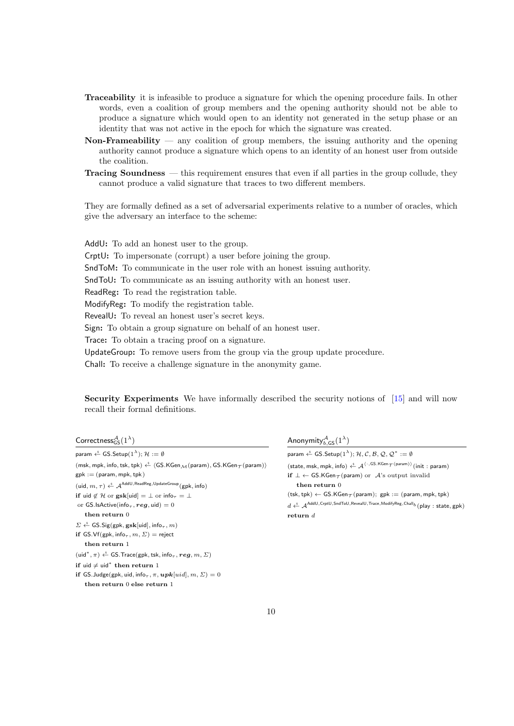- Traceability it is infeasible to produce a signature for which the opening procedure fails. In other words, even a coalition of group members and the opening authority should not be able to produce a signature which would open to an identity not generated in the setup phase or an identity that was not active in the epoch for which the signature was created.
- Non-Frameability  $-$  any coalition of group members, the issuing authority and the opening authority cannot produce a signature which opens to an identity of an honest user from outside the coalition.
- Tracing Soundness this requirement ensures that even if all parties in the group collude, they cannot produce a valid signature that traces to two different members.

They are formally defined as a set of adversarial experiments relative to a number of oracles, which give the adversary an interface to the scheme:

AddU: To add an honest user to the group. CrptU: To impersonate (corrupt) a user before joining the group. SndToM: To communicate in the user role with an honest issuing authority. SndToU: To communicate as an issuing authority with an honest user. ReadReg: To read the registration table. ModifyReg: To modify the registration table. RevealU: To reveal an honest user's secret keys. Sign: To obtain a group signature on behalf of an honest user. Trace: To obtain a tracing proof on a signature.

UpdateGroup: To remove users from the group via the group update procedure.

Chall: To receive a challenge signature in the anonymity game.

Security Experiments We have informally described the security notions of [\[15\]](#page-32-1) and will now recall their formal definitions.

| Correctness ${}_{GS}^{\mathcal{A}}(1^{\lambda})$ |
|--------------------------------------------------|
|--------------------------------------------------|

| param $\stackrel{\hspace{0.1em}\mathsf{\scriptscriptstyle\$}}{\leftarrow}$ GS.Setup $(1^\lambda); \mathcal{H} := \emptyset$                                                                      |
|--------------------------------------------------------------------------------------------------------------------------------------------------------------------------------------------------|
| (msk, mpk, info, tsk, tpk) $\xi$ (GS.KGen $_M$ (param), GS.KGen $_T$ (param))                                                                                                                    |
| $gpk := (param, mpk, tpk)$                                                                                                                                                                       |
| $(\mathsf{uid}, m, \tau) \overset{\hspace{0.1em}\mathsf{\scriptscriptstyle\$}}{\leftarrow} \mathcal{A}^\mathsf{AddU, ReadReg, UpdateGroup}(\mathsf{gpk}, \mathsf{info})$                         |
| if uid $\notin \mathcal{H}$ or $\textbf{gsk}[\text{uid}] = \perp$ or info $\tau = \perp$                                                                                                         |
| or GS.IsActive(info <sub><math>\tau</math></sub> , reg, uid) = 0                                                                                                                                 |
| $then$ return $0$                                                                                                                                                                                |
| $\Sigma \stackrel{\hspace{0.1em}\mathsf{\scriptscriptstyle\$}}{\leftarrow}$ GS.Sig(gpk, gsk[uid], info <sub><math>\tau</math></sub> , m)                                                         |
| if GS.Vf(gpk, info <sub><math>\tau</math></sub> , $m$ , $\Sigma$ ) = reject                                                                                                                      |
| then return 1                                                                                                                                                                                    |
| $(\mathsf{uid}^*, \pi) \stackrel{\hspace{0.1em}\mathsf{\scriptscriptstyle\$}}{\leftarrow} \mathsf{GS}.\mathsf{Trace}(\mathsf{gpk},\mathsf{tsk},\mathsf{info}_\tau,\boldsymbol{reg},m,\varSigma)$ |
| if uid $\neq$ uid" then return 1                                                                                                                                                                 |
| if GS. Judge(gpk, uid, info $_{\tau}$ , $\pi$ , $\boldsymbol{upk}[uid], m, \Sigma) = 0$                                                                                                          |
| then return $\theta$ else return $1$                                                                                                                                                             |

Anonymity ${}^{\mathcal{A}}_{b,\mathsf{GS}}(1^\lambda)$ 

| param $\xleftarrow{\$}$ GS. Setup $(1^{\lambda})$ ; H, C, B, Q, Q <sup>*</sup> := $\emptyset$                                                                                       |
|-------------------------------------------------------------------------------------------------------------------------------------------------------------------------------------|
| (state, msk, mpk, info) $\xleftarrow{\$} \mathcal{A}^{\langle \cdot, \mathsf{GS.KGen}_{\mathcal{T}}(\mathsf{param}) \rangle}$ (init: param)                                         |
| if $\bot \leftarrow$ GS.KGen $\tau$ (param) or $\mathcal{A}$ 's output invalid                                                                                                      |
| $then$ return $0$                                                                                                                                                                   |
| $(tsk, tpk) \leftarrow GS.KGen_{\mathcal{T}}(param); gpk := (param, mpk, tpk)$                                                                                                      |
| $d \stackrel{s}{\leftarrow} \mathcal{A}^{\text{AddU},\text{CrptU},\text{SndToU},\text{RevealU},\text{Trace},\text{ModifyReg},\text{Chall}_b(\text{play}: \text{state}, \text{gpk})$ |
| return $d$                                                                                                                                                                          |
|                                                                                                                                                                                     |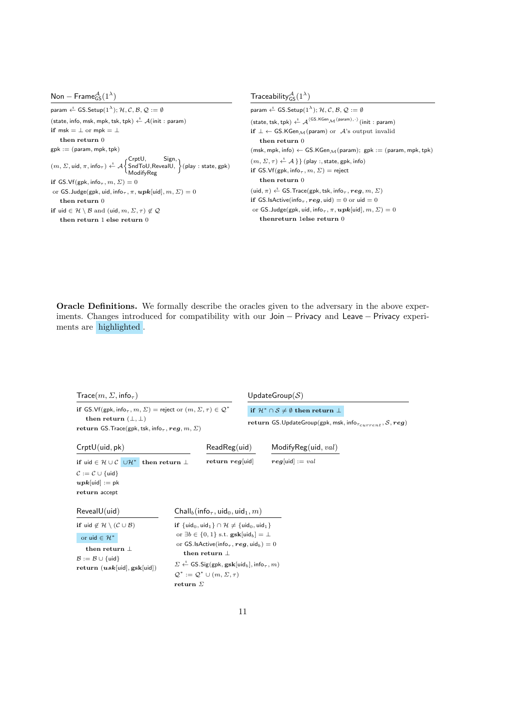| Non – Frame ${}_{GS}^{A}(1^{\lambda})$                                                                                                                                                                                                                                          | Traceability ${}_{GS}^{A}(1^{\lambda})$                                                                                                                          |
|---------------------------------------------------------------------------------------------------------------------------------------------------------------------------------------------------------------------------------------------------------------------------------|------------------------------------------------------------------------------------------------------------------------------------------------------------------|
| param $\xleftarrow{\$}$ GS. Setup $(1^{\lambda})$ ; H, C, B, Q := 0                                                                                                                                                                                                             | param $\xleftarrow{\$}$ GS. Setup $(1^{\lambda})$ : H, C, B, Q := 0                                                                                              |
| (state, info, msk, mpk, tsk, tpk) $\stackrel{s}{\leftarrow}$ A(init: param)                                                                                                                                                                                                     | (state, tsk, tpk) $\xleftarrow{\$}$ $\mathcal{A}^{\langle\textsf{GS.KGen}_{\mathcal{M}}(\textsf{param}),\cdot\rangle}$ (init: param)                             |
| if msk = $\perp$ or mpk = $\perp$                                                                                                                                                                                                                                               | if $\perp \leftarrow$ GS.KGen $\mathcal{M}$ (param) or $\mathcal{A}$ 's output invalid                                                                           |
| then return $0$                                                                                                                                                                                                                                                                 | then return 0                                                                                                                                                    |
| $gpk := (param, mpk, tpk)$                                                                                                                                                                                                                                                      | $(msk, mpk, info) \leftarrow GS.KGen_{\mathcal{M}}(param); gpk := (param, mpk, tpk)$                                                                             |
| $(m, \Sigma, \text{uid}, \pi, \text{info}_{\tau}) \overset{\hspace{0.1em}\mathsf{\scriptscriptstyle\$}}{\leftarrow} \mathcal{A} \begin{cases} \mathsf{CrftU}, & \mathsf{Sign}, \\ \mathsf{SndToU}, \mathsf{ReveaIU}, \end{cases} (\mathsf{play}: \mathsf{state}, \mathsf{gpk})$ | $(m, \Sigma, \tau) \stackrel{*}{\leftarrow} A$ } (play :, state, gpk, info)<br>if GS.Vf(gpk, info <sub><math>\tau</math></sub> , $m$ , $\Sigma$ ) = reject       |
| if GS.Vf(gpk, info <sub><math>\tau</math></sub> , $m$ , $\Sigma$ ) = 0                                                                                                                                                                                                          | then return 0                                                                                                                                                    |
| or GS. Judge(gpk, uid, info <sub>r</sub> , $\pi$ , $\boldsymbol{upk}$ [uid], $m, \Sigma$ ) = 0                                                                                                                                                                                  | (uid, $\pi$ ) $\stackrel{\hspace{0.1em}\mathsf{\scriptscriptstyle\$}}{\leftarrow}$ GS. Trace(gpk, tsk, info <sub><math>\tau</math></sub> , reg, $m$ , $\Sigma$ ) |
| then return $0$                                                                                                                                                                                                                                                                 | if GS.IsActive(info <sub><math>\tau</math></sub> , req, uid) = 0 or uid = 0                                                                                      |
| if uid $\in \mathcal{H} \setminus \mathcal{B}$ and (uid, $m, \Sigma, \tau \in \mathcal{Q}$                                                                                                                                                                                      | or GS. Judge(gpk, uid, info <sub><math>\tau</math></sub> , $\pi$ , $\boldsymbol{upk}$ [uid], $m$ , $\Sigma$ ) = 0                                                |
| then return 1 else return 0                                                                                                                                                                                                                                                     | thenreturn 1else return 0                                                                                                                                        |

Oracle Definitions. We formally describe the oracles given to the adversary in the above experiments. Changes introduced for compatibility with our Join − Privacy and Leave − Privacy experiments are highlighted .

| $Trace(m, \Sigma, \text{info}_{\tau})$                                                                                                                                                                                                       |                                                                                                                                                                                                                                                                                                                                                                                                                                              |  | UpdateGroup( $S$ )                                                                                                                           |
|----------------------------------------------------------------------------------------------------------------------------------------------------------------------------------------------------------------------------------------------|----------------------------------------------------------------------------------------------------------------------------------------------------------------------------------------------------------------------------------------------------------------------------------------------------------------------------------------------------------------------------------------------------------------------------------------------|--|----------------------------------------------------------------------------------------------------------------------------------------------|
| if GS.Vf(gpk, info <sub><math>\tau</math></sub> , $m$ , $\Sigma$ ) = reject or $(m, \Sigma, \tau) \in \mathcal{Q}^*$<br>then return $(\perp, \perp)$<br>return GS. Trace(gpk, tsk, info <sub><math>\tau</math></sub> , reg, $m$ , $\Sigma$ ) |                                                                                                                                                                                                                                                                                                                                                                                                                                              |  | if $\mathcal{H}^* \cap \mathcal{S} \neq \emptyset$ then return $\perp$<br>return GS.UpdateGroup(gpk, msk, info $_{\tau_{current}}$ , S, reg) |
| CrptU(uid, pk)                                                                                                                                                                                                                               | ReadReguid)                                                                                                                                                                                                                                                                                                                                                                                                                                  |  | ModifyReg(uid, val)                                                                                                                          |
| if uid $\in \mathcal{H} \cup \mathcal{C}$ $\cup \mathcal{H}^*$ then return $\perp$<br>$C := C \cup \{uid\}$<br>$upk[\text{uid}] := \text{pk}$<br>return accept                                                                               | return $reg$ [uid]                                                                                                                                                                                                                                                                                                                                                                                                                           |  | $reg[\text{uid}] := val$                                                                                                                     |
| RevealU(uid)                                                                                                                                                                                                                                 | $\mathsf{Chall}_b(\mathsf{info}_{\tau}, \mathsf{uid}_0, \mathsf{uid}_1, m)$                                                                                                                                                                                                                                                                                                                                                                  |  |                                                                                                                                              |
| if uid $\notin \mathcal{H} \setminus (\mathcal{C} \cup \mathcal{B})$<br>or uid $\in \mathcal{H}^*$<br>then return $\perp$<br>$\mathcal{B} := \mathcal{B} \cup \{\mathsf{uid}\}\$<br>return $(usk[uid], gsk[uid])$                            | if $\{uid_0,uid_1\} \cap \mathcal{H} \neq \{uid_0,uid_1\}$<br>or $\exists b \in \{0, 1\}$ s.t. $\mathbf{gsk}[\mathsf{uid}_b] = \perp$<br>or GS.IsActive(info <sub><math>\tau</math></sub> , reg, uid <sub>b</sub> ) = 0<br>then return $\perp$<br>$\Sigma \stackrel{s}{\leftarrow}$ GS.Sig(gpk, gsk[uid <sub>b</sub> ], info <sub><math>\tau</math></sub> , m)<br>$\mathcal{Q}^* := \mathcal{Q}^* \cup (m, \Sigma, \tau)$<br>return $\Sigma$ |  |                                                                                                                                              |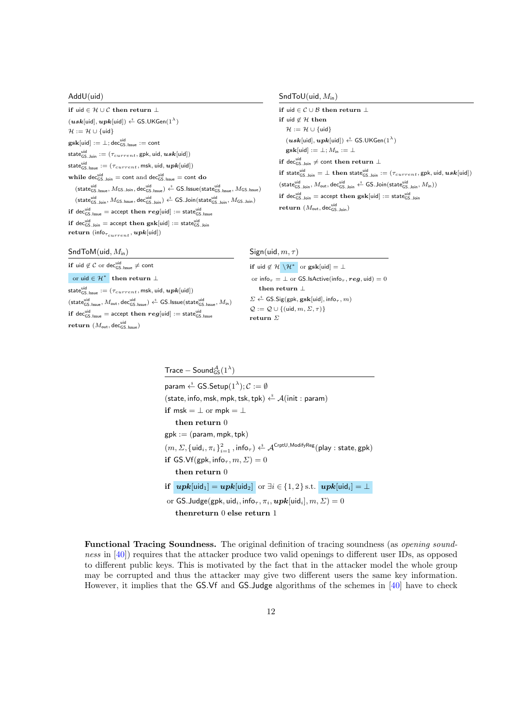### AddU(uid)

```
if uid \in \mathcal{H} \cup \mathcal{C} then return ⊥
 (\boldsymbol{usk}[\textsf{uid}], \boldsymbol{upk}[\textsf{uid}]) \overset{\hspace{0.1em}\mathsf{\scriptscriptstyle\$}}{\leftarrow} \mathsf{GS}.\mathsf{UKGen}(1^\lambda)\mathcal{H} := \mathcal{H} \cup \{\mathsf{uid}\}\\textbf{gsk}[\textsf{uid}] := \bot; \textsf{dec}_{\textsf{GS}.\textsf{Issue}}^{\textsf{uid}} := \textsf{cont}\mathsf{state}^\mathsf{uid}_\mathsf{GS.Join} := (\tau_{current}, \mathsf{gpk}, \mathsf{uid}, \bm{usk}[\mathsf{uid}])\mathsf{state}^\mathsf{uid}_\mathsf{GS|.}{} := (\tau_{current}, \mathsf{msk}, \mathsf{uid}, \bm{upk}[\mathsf{uid}])while dec_{\text{GS.Join}}^{uid} = \text{cont} and dec_{\text{GS.lassile}}^{uid} = \text{cont} do
         (\mathsf{state}_{\mathsf{GS}.\mathsf{issue}}^{\mathsf{uid}}, M_{\mathsf{GS}.\mathsf{Join}}, \mathsf{dec}_{\mathsf{GS}.\mathsf{issue}}^{\mathsf{uid}}) \overset{\hspace{0.1em}\mathsf{\scriptscriptstyle\$}}{\leftarrow} \mathsf{GS}.\mathsf{issue}(\mathsf{state}_{\mathsf{GS}.\mathsf{issue}}^{\mathsf{uid}}, M_{\mathsf{GS}.\mathsf{issue}})(\mathsf{state}_{\mathsf{GS}.\mathsf{Join}}^{\mathsf{uid}}, M_{\mathsf{GS}.\mathsf{issue}}, \mathsf{dec}_{\mathsf{GS}.\mathsf{Join}}^{\mathsf{uid}}) \overset{\hspace{0.1em}\mathsf{\scriptscriptstyle\$}}{\leftarrow} \mathsf{GS}.\mathsf{Join}(\mathsf{state}_{\mathsf{GS}.\mathsf{Join}}^{\mathsf{uid}}, M_{\mathsf{GS}.\mathsf{Join}})\mathbf{if}\,\, \mathsf{dec}_{\mathsf{GS.} \, \mathsf{lissue}}^{\mathsf{uid}} = \mathsf{accept}\,\, \mathbf{then}\,\, \boldsymbol{reg}[\mathsf{uid}] := \mathsf{state}_{\mathsf{GS.} \, \mathsf{lissue}}^{\mathsf{uid}}\bold{if} \ \mathsf{dec}_{\mathsf{GS}.\mathsf{Join}}^{\mathsf{uid}} = \mathsf{accept} \ \bold{then} \ \mathsf{gsk}[\mathsf{uid}] := \mathsf{state}_{\mathsf{GS}.\mathsf{Join}}^{\mathsf{uid}}return (\text{info}_{\tau_{current}}, \boldsymbol{upk}[\text{uid}])
```
# $SndToU(uid, M<sub>in</sub>)$

```
if uid ∈ C ∪ B then return ⊥
if uid \not\in \mathcal{H} then
      \mathcal{H} := \mathcal{H} \cup \{\text{uid}\}\(\boldsymbol{usk}[\textsf{uid}], \boldsymbol{upk}[\textsf{uid}]) \overset{\hspace{0.1em}\mathsf{\scriptscriptstyle\$}}{\leftarrow} \mathsf{GS}.\mathsf{UKGen}(1^\lambda)\textbf{gsk}[uid] := \perp; M_{in} := \perpif dec_{\mathsf{GS}.\mathsf{Join}}^{\mathsf{uid}} \neq \mathsf{cont} then return \bot\textbf{if state}^{\text{uid}}_{\textsf{GS}} \_\textsf{Join} = \bot \ \textbf{then state}^{\text{uid}}_{\textsf{GS}} \textsf{.Join} := (\tau_{current}, \textsf{gpk}, \textsf{uid}, \boldsymbol{usk}[\textsf{uid}])(\mathsf{state}_{\mathsf{GS}.\mathsf{Join}}^{\mathsf{uid}}, M_{\mathsf{out}}, \mathsf{dec}_{\mathsf{GS}.\mathsf{Join}}^{\mathsf{uid}} \overset{\hspace{0.1em}\mathsf{\scriptscriptstyle\$}}{\leftarrow} \mathsf{GS}.\mathsf{Join}(\mathsf{state}_{\mathsf{GS}.\mathsf{Join}}^{\mathsf{uid}}, M_{\mathsf{in}}))if \text{dec}_{\mathsf{GS}.\mathsf{Join}}^{\mathsf{uid}} = \text{accept} then \textbf{gsk}[\mathsf{uid}] := \text{state}_{\mathsf{GS}.\mathsf{Join}}^{\mathsf{uid}}\mathbf{return} \ (M_\mathsf{out}, \mathsf{dec}_{\mathsf{GS}.\mathsf{Join}}^{\mathsf{uid}})
```
## $SndToM(uid, M<sub>in</sub>)$

# if uid  $\not\in\mathcal{C}$  or dec<sub>GS.Issue</sub>  $\neq$  cont or uid  $\in \mathcal{H}^*$  then return  $\bot$  $\mathsf{state}^\mathsf{uid}_\mathsf{GS|.}{}$   $:= (\tau_{current}, \mathsf{msk}, \mathsf{uid}, \bm{upk}[\mathsf{uid}])$  $(\mathsf{state}_{\mathsf{GS}.\mathsf{issue}}^{\mathsf{uid}}, M_{\mathsf{out}}, \mathsf{dec}_{\mathsf{GS}.\mathsf{issue}}^{\mathsf{uid}}) \overset{\hspace{0.1em}\mathsf{\scriptscriptstyle\$}}{\leftarrow} \mathsf{GS}.\mathsf{issue}(\mathsf{state}_{\mathsf{GS}.\mathsf{issue}}^{\mathsf{uid}}, M_{\mathsf{in}})$  $\mathbf{if}\,\, \mathsf{dec}_{\mathsf{GS.} \, \mathsf{lssue}}^{\mathsf{uid}} = \mathsf{accept}\,\, \mathbf{then}\,\, \boldsymbol{reg}[\mathsf{uid}] := \mathsf{state}_{\mathsf{GS.} \, \mathsf{lssue}}^{\mathsf{uid}}$  $\mathbf{return} \ (M_\mathsf{out}, \mathsf{dec}_{\mathsf{GS}.\mathsf{issue}}^\mathsf{uid})$

## Sign(uid,  $m, \tau$ )

if uid  $\notin \mathcal{H} \setminus \mathcal{H}^*$  or  $\textbf{gsk}[\text{uid}] = \perp$ or info $\tau = \pm$  or GS.IsActive(info $\tau$ , reg, uid) = 0 then return  $\bot$  $\Sigma \stackrel{\hspace{0.1em}\mathsf{\scriptscriptstyle\$}}{\leftarrow}$  GS.Sig(gpk, gsk[uid], info<sub> $\tau$ </sub>,  $m$ )  $\mathcal{Q} := \mathcal{Q} \cup \{(\mathsf{uid}, m, \Sigma, \tau)\}$ return Σ

## $\mathsf{Trace-Sound^{\mathcal{A}}_{\mathsf{GS}}}(1^\lambda)$

param  $\stackrel{\hspace{0.1em}\mathsf{\scriptscriptstyle\$}}{\leftarrow}$  GS.Setup $(1^{\lambda}); \mathcal{C} := \emptyset$ (state, info, msk, mpk, tsk, tpk)  $\stackrel{\hspace{0.1em}\mathsf{\scriptscriptstyle\$}}{\leftarrow}$  A(init : param) if msk =  $\perp$  or mpk =  $\perp$ then return 0  $gpk := (param, mpk, tpk)$  $(m,\Sigma,\{\mathsf{uid}_i,\pi_i\}_{i=1}^2,\mathsf{info}_{\tau}) \overset{\hspace{0.1em}\mathsf{\scriptscriptstyle\$}}{\leftarrow} \mathcal{A}^\mathsf{CrptU,ModifyReg}(\mathsf{play}: \mathsf{state}, \mathsf{gpk})$ if GS.Vf(gpk, info<sub> $\tau$ </sub>,  $m$ ,  $\Sigma$ ) = 0 then return 0 if  $upk[\text{uid}_1] = upk[\text{uid}_2]$  or  $\exists i \in \{1,2\}$  s.t.  $upk[\text{uid}_i] = \bot$ or GS. Judge(gpk, uid<sub>i</sub>, info<sub> $\tau$ </sub>,  $\pi_i$ ,  $\boldsymbol{upk}$ [uid<sub>i</sub>],  $m, \Sigma$ ) = 0 thenreturn 0 else return 1

Functional Tracing Soundness. The original definition of tracing soundness (as opening soundness in [\[40\]](#page-34-0)) requires that the attacker produce two valid openings to different user IDs, as opposed to different public keys. This is motivated by the fact that in the attacker model the whole group may be corrupted and thus the attacker may give two different users the same key information. However, it implies that the GS.Vf and GS.Judge algorithms of the schemes in [\[40\]](#page-34-0) have to check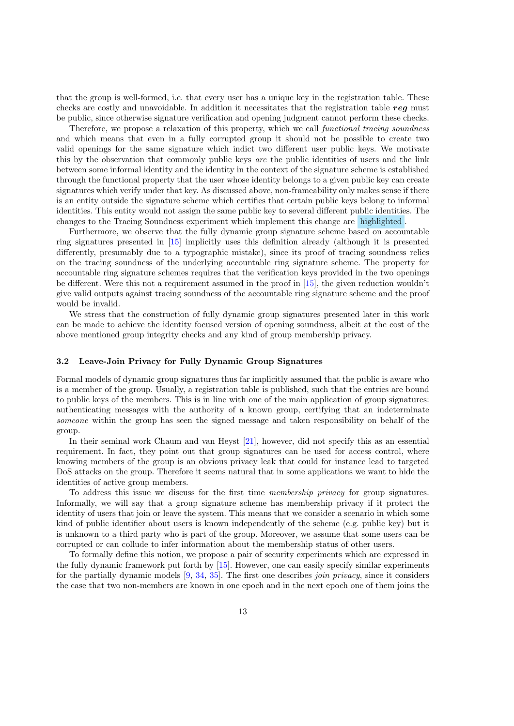that the group is well-formed, i.e. that every user has a unique key in the registration table. These checks are costly and unavoidable. In addition it necessitates that the registration table reg must be public, since otherwise signature verification and opening judgment cannot perform these checks.

Therefore, we propose a relaxation of this property, which we call *functional tracing soundness* and which means that even in a fully corrupted group it should not be possible to create two valid openings for the same signature which indict two different user public keys. We motivate this by the observation that commonly public keys are the public identities of users and the link between some informal identity and the identity in the context of the signature scheme is established through the functional property that the user whose identity belongs to a given public key can create signatures which verify under that key. As discussed above, non-frameability only makes sense if there is an entity outside the signature scheme which certifies that certain public keys belong to informal identities. This entity would not assign the same public key to several different public identities. The changes to the Tracing Soundness experiment which implement this change are highlighted .

Furthermore, we observe that the fully dynamic group signature scheme based on accountable ring signatures presented in [\[15\]](#page-32-1) implicitly uses this definition already (although it is presented differently, presumably due to a typographic mistake), since its proof of tracing soundness relies on the tracing soundness of the underlying accountable ring signature scheme. The property for accountable ring signature schemes requires that the verification keys provided in the two openings be different. Were this not a requirement assumed in the proof in [\[15\]](#page-32-1), the given reduction wouldn't give valid outputs against tracing soundness of the accountable ring signature scheme and the proof would be invalid.

We stress that the construction of fully dynamic group signatures presented later in this work can be made to achieve the identity focused version of opening soundness, albeit at the cost of the above mentioned group integrity checks and any kind of group membership privacy.

### 3.2 Leave-Join Privacy for Fully Dynamic Group Signatures

Formal models of dynamic group signatures thus far implicitly assumed that the public is aware who is a member of the group. Usually, a registration table is published, such that the entries are bound to public keys of the members. This is in line with one of the main application of group signatures: authenticating messages with the authority of a known group, certifying that an indeterminate someone within the group has seen the signed message and taken responsibility on behalf of the group.

In their seminal work Chaum and van Heyst [\[21\]](#page-32-0), however, did not specify this as an essential requirement. In fact, they point out that group signatures can be used for access control, where knowing members of the group is an obvious privacy leak that could for instance lead to targeted DoS attacks on the group. Therefore it seems natural that in some applications we want to hide the identities of active group members.

To address this issue we discuss for the first time membership privacy for group signatures. Informally, we will say that a group signature scheme has membership privacy if it protect the identity of users that join or leave the system. This means that we consider a scenario in which some kind of public identifier about users is known independently of the scheme (e.g. public key) but it is unknown to a third party who is part of the group. Moreover, we assume that some users can be corrupted or can collude to infer information about the membership status of other users.

To formally define this notion, we propose a pair of security experiments which are expressed in the fully dynamic framework put forth by [\[15\]](#page-32-1). However, one can easily specify similar experiments for the partially dynamic models [\[9,](#page-31-1) [34,](#page-33-0) [35\]](#page-33-1). The first one describes join privacy, since it considers the case that two non-members are known in one epoch and in the next epoch one of them joins the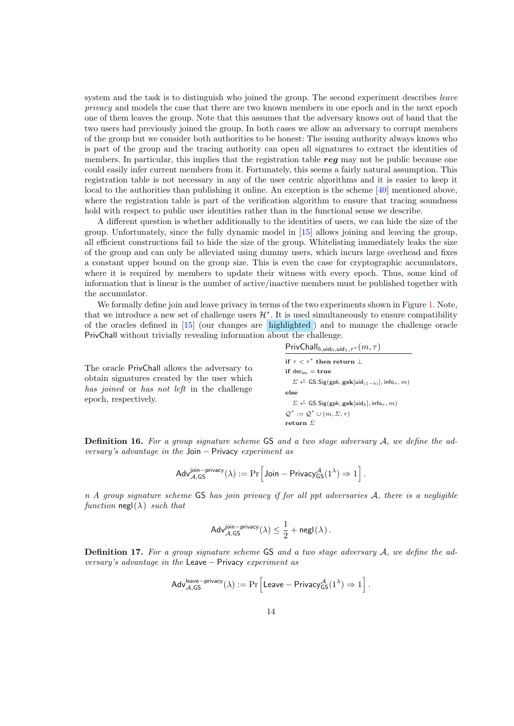system and the task is to distinguish who joined the group. The second experiment describes *leave* privacy and models the case that there are two known members in one epoch and in the next epoch one of them leaves the group. Note that this assumes that the adversary knows out of band that the two users had previously joined the group. In both cases we allow an adversary to corrupt members of the group but we consider both authorities to be honest: The issuing authority always knows who is part of the group and the tracing authority can open all signatures to extract the identities of members. In particular, this implies that the registration table  $req$  may not be public because one could easily infer current members from it. Fortunately, this seems a fairly natural assumption. This registration table is not necessary in any of the user centric algorithms and it is easier to keep it local to the authorities than publishing it online. An exception is the scheme [\[40\]](#page-34-0) mentioned above, where the registration table is part of the verification algorithm to ensure that tracing soundness hold with respect to public user identities rather than in the functional sense we describe.

A different question is whether additionally to the identities of users, we can hide the size of the group. Unfortunately, since the fully dynamic model in [\[15\]](#page-32-1) allows joining and leaving the group, all efficient constructions fail to hide the size of the group. Whitelisting immediately leaks the size of the group and can only be alleviated using dummy users, which incurs large overhead and fixes a constant upper bound on the group size. This is even the case for cryptographic accumulators, where it is required by members to update their witness with every epoch. Thus, some kind of information that is linear is the number of active/inactive members must be published together with the accumulator.

We formally define join and leave privacy in terms of the two experiments shown in Figure [1.](#page-14-0) Note, that we introduce a new set of challenge users  $\mathcal{H}^*$ . It is used simultaneously to ensure compatibility of the oracles defined in [\[15\]](#page-32-1) (our changes are highlighted ) and to manage the challenge oracle PrivChall without trivially revealing information about the challenge.

The oracle PrivChall allows the adversary to obtain signatures created by the user which has joined or has not left in the challenge epoch, respectively.

 $\mathsf{PrivChall}_{b,\mathsf{uid}_0,\mathsf{uid}_1,\tau^*}(m,\tau)$ if  $\tau < \tau^*$  then return  $\bot$ if  $dec_{inv} = true$  $\Sigma \overset{\hspace{0.1em}\mathsf{\scriptscriptstyle\$}}{\leftarrow} \mathsf{GS}.\mathsf{Sig}(\mathsf{gpk},\mathsf{gsk}[\mathsf{uid}_{(1-b)}],\mathsf{info}_\tau,m)$ else  $\Sigma \stackrel{\hspace{0.1em}\mathsf{\scriptscriptstyle\$}}{\leftarrow} \mathsf{GS}.\mathsf{Sig}(\mathsf{gpk},\mathsf{gsk}[\mathsf{uid}_b],\mathsf{info}_\tau,m)$  $\mathcal{Q}^* := \mathcal{Q}^* \cup (m, \Sigma, \tau)$ return Σ

**Definition 16.** For a group signature scheme GS and a two stage adversary  $A$ , we define the adversary's advantage in the Join  $-$  Privacy experiment as

$$
\mathsf{Adv}_{\mathcal{A},\mathsf{GS}}^{\mathsf{join- privacy}}(\lambda) := \Pr\Big[\mathsf{Join-Privacy}_{\mathsf{GS}}^{\mathcal{A}}(1^{\lambda}) \Rightarrow 1\Big] \,.
$$

 $n A$  group signature scheme GS has join privacy if for all ppt adversaries  $A$ , there is a negligible function negl( $\lambda$ ) such that

$$
\mathsf{Adv}_{\mathcal{A},\mathsf{GS}}^{\mathsf{join-privacy}}(\lambda) \leq \frac{1}{2} + \mathsf{negl}(\lambda)\,.
$$

**Definition 17.** For a group signature scheme GS and a two stage adversary  $A$ , we define the adversary's advantage in the Leave − Privacy experiment as

$$
\mathsf{Adv}_{\mathcal{A},\mathsf{GS}}^{\mathsf{leave-privacy}}(\lambda) := \Pr\Big[\mathsf{Leave-Privacy}_{\mathsf{GS}}^{\mathcal{A}}(1^{\lambda}) \Rightarrow 1\Big] \,.
$$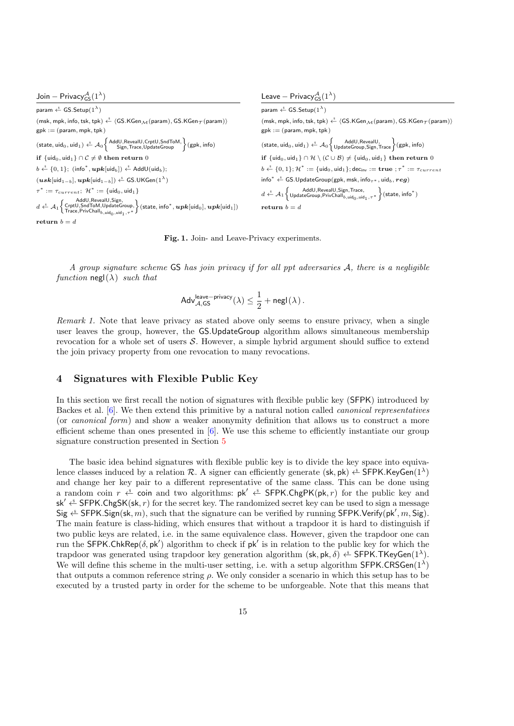| Join – Privacy ${}^{\mathcal{A}}_{cs}(1^{\lambda})$                                                                                                                                                                                                                                                                                                                                                                                           | Leave – Privacy ${}_{c}^{\mathcal{A}}(1^{\lambda})$                                                                                                                                                                                                  |
|-----------------------------------------------------------------------------------------------------------------------------------------------------------------------------------------------------------------------------------------------------------------------------------------------------------------------------------------------------------------------------------------------------------------------------------------------|------------------------------------------------------------------------------------------------------------------------------------------------------------------------------------------------------------------------------------------------------|
| param $\xleftarrow{\$}$ GS. Setup( $1^{\lambda}$ )                                                                                                                                                                                                                                                                                                                                                                                            | param $\xleftarrow{\$}$ GS. Setup(1 <sup><math>\lambda</math></sup> )                                                                                                                                                                                |
| (msk, mpk, info, tsk, tpk) $\stackrel{\hspace{0.1em}\mathsf{\scriptscriptstyle\$}}{\leftarrow}$ (GS.KGen $_{\mathcal{M}}$ (param), GS.KGen $_{\mathcal{T}}$ (param))                                                                                                                                                                                                                                                                          | (msk, mpk, info, tsk, tpk) $\stackrel{\hspace{0.1em}\mathsf{\scriptscriptstyle\$}}{\leftarrow}$ (GS.KGen $_{\mathcal{M}}$ (param), GS.KGen $_{\mathcal{T}}$ (param))                                                                                 |
| $\mathsf{gpk} := (\mathsf{param}, \mathsf{mpk}, \mathsf{tpk})$                                                                                                                                                                                                                                                                                                                                                                                | $gpk := (param, mpk, tpk)$                                                                                                                                                                                                                           |
| $(\mathsf{state}, \mathsf{uid}_0, \mathsf{uid}_1) \overset{\hspace{0.1em}\mathsf{\scriptscriptstyle\$}}{\leftarrow} \mathcal{A}_0 \left\{\begin{matrix} \mathsf{AddU}, \mathsf{Reve} \\ \mathsf{Sign}, \mathsf{Trace}, \mathsf{UpdateGroup} \end{matrix}\right\}(\mathsf{gpk}, \mathsf{info})$                                                                                                                                                | (state, $uid_0$ , $uid_1$ ) $\stackrel{\hspace{0.1em}\mathsf{\scriptscriptstyle\$}}{\leftarrow}$ $\mathcal{A}_0$ $\left\{\begin{matrix} AddU, RevealU, \\ UpdateGroup, Sign, Trace \end{matrix}\right\}$ (gpk, info)                                 |
| if $\{ \mathsf{uid}_0, \mathsf{uid}_1 \} \cap \mathcal{C} \neq \emptyset$ then return 0                                                                                                                                                                                                                                                                                                                                                       | if $\{uid_0,uid_1\} \cap \mathcal{H} \setminus (\mathcal{C} \cup \mathcal{B}) \neq \{uid_0,uid_1\}$ then return 0                                                                                                                                    |
| $b \stackrel{s}{\leftarrow} \{0,1\}$ ; (info <sup>*</sup> , $\boldsymbol{upk}$ [uid <sub>b</sub> ]) $\stackrel{s}{\leftarrow}$ AddU(uid <sub>b</sub> );                                                                                                                                                                                                                                                                                       | $b \stackrel{\hspace{0.1em}\mathsf{\scriptscriptstyle\$}}{\leftarrow} \{0,1\};$ $\mathcal{H}^* := \{\mathsf{uid}_0,\mathsf{uid}_1\};$ dec <sub>inv</sub> := <b>true</b> ; $\tau^* := \tau_{current}$                                                 |
| $(\boldsymbol{usk}[\mathsf{uid}_{1-b}], \boldsymbol{upk}[\mathsf{uid}_{1-b}]) \overset{\hspace{0.1em}\mathsf{\scriptscriptstyle\$}}{\leftarrow} \mathsf{GS}.\mathsf{UKGen}(1^{\lambda})$                                                                                                                                                                                                                                                      | info <sup>*</sup> $\xleftarrow{\$}$ GS.UpdateGroup(gpk, msk, info <sub><math>\tau^*</math></sub> , uid <sub>b</sub> , reg)                                                                                                                           |
| $\tau^* := \tau_{current}; \; \mathcal{H}^* := \{ \text{uid}_0, \text{uid}_1 \}$                                                                                                                                                                                                                                                                                                                                                              | $d \xleftarrow{\$} \mathcal{A}_1 \left\{ \begin{matrix} \text{AddU}, \text{RevealU}, \text{Sign}, \text{Trace}, \\ \text{UpdateGroup}, \text{PrivChall}_{b, \text{uid}_1, \text{uid}_1, \tau^*} \end{matrix} \right\} (\text{state}, \text{info}^*)$ |
| $d \xleftarrow{\$} \mathcal{A}_1 \left\{ \begin{matrix} \mathsf{AddU}, \mathsf{RevealU}, \mathsf{Sign}, \ \mathsf{B} \mathsf{ord}_1 \cup \mathsf{p} \mathsf{det}\mathsf{convp}, \ \mathsf{Beta} \neq \emptyset, \ \mathsf{I} \mathsf{trace}, \mathsf{Priv} \mathsf{C} \mathsf{vall}_{b,\textsf{uidq}_1 \cup \mathsf{q}_1, \tau^*} \end{matrix} \right\}(\mathsf{state}, \mathsf{info}^*, \bm{upk}[\mathsf{uid}_0], \bm{upk}[\mathsf{uid}_1])$ | return $b=d$                                                                                                                                                                                                                                         |
| $return b = d$                                                                                                                                                                                                                                                                                                                                                                                                                                |                                                                                                                                                                                                                                                      |

<span id="page-14-0"></span>Fig. 1. Join- and Leave-Privacy experiments.

A group signature scheme GS has join privacy if for all ppt adversaries A, there is a negligible function negl( $\lambda$ ) such that

$$
\mathsf{Adv}_{\mathcal{A},\mathsf{GS}}^{\mathsf{leave-priver}}(\lambda) \leq \frac{1}{2} + \mathsf{negl}(\lambda) \,.
$$

Remark 1. Note that leave privacy as stated above only seems to ensure privacy, when a single user leaves the group, however, the GS.UpdateGroup algorithm allows simultaneous membership revocation for a whole set of users  $S$ . However, a simple hybrid argument should suffice to extend the join privacy property from one revocation to many revocations.

## 4 Signatures with Flexible Public Key

In this section we first recall the notion of signatures with flexible public key (SFPK) introduced by Backes et al. [\[6\]](#page-31-8). We then extend this primitive by a natural notion called canonical representatives (or canonical form) and show a weaker anonymity definition that allows us to construct a more efficient scheme than ones presented in [\[6\]](#page-31-8). We use this scheme to efficiently instantiate our group signature construction presented in Section [5](#page-21-0)

The basic idea behind signatures with flexible public key is to divide the key space into equivalence classes induced by a relation R. A signer can efficiently generate (sk, pk)  $\xi^*$  SFPK.KeyGen(1<sup> $\lambda$ </sup>) and change her key pair to a different representative of the same class. This can be done using a random coin  $r \stackrel{\hspace{0.1em}\mathsf{\scriptscriptstyle\$}}{\leftarrow}$  coin and two algorithms:  $pk' \stackrel{\hspace{0.1em}\mathsf{\scriptscriptstyle\$}}{\leftarrow}$  SFPK.ChgPK(pk, r) for the public key and  $sk' \triangle$  SFPK.ChgSK(sk, r) for the secret key. The randomized secret key can be used to sign a message Sig  $\stackrel{\hspace{0.1em}\mathsf{\scriptscriptstyle\$}}{\leftarrow}$  SFPK. Sign(sk, m), such that the signature can be verified by running SFPK. Verify(pk', m, Sig). The main feature is class-hiding, which ensures that without a trapdoor it is hard to distinguish if two public keys are related, i.e. in the same equivalence class. However, given the trapdoor one can run the SFPK.ChkRep( $\delta$ , pk') algorithm to check if pk' is in relation to the public key for which the trapdoor was generated using trapdoor key generation algorithm (sk, pk,  $\delta$ )  $\stackrel{\text{\$}}{\leftarrow}$  SFPK. TKeyGen(1<sup> $\lambda$ </sup>). We will define this scheme in the multi-user setting, i.e. with a setup algorithm SFPK.CRSGen( $1^{\lambda}$ ) that outputs a common reference string  $\rho$ . We only consider a scenario in which this setup has to be executed by a trusted party in order for the scheme to be unforgeable. Note that this means that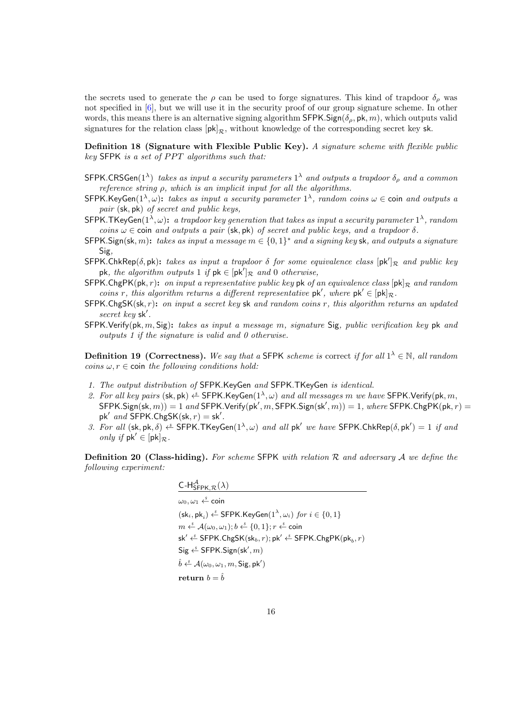the secrets used to generate the  $\rho$  can be used to forge signatures. This kind of trapdoor  $\delta_{\rho}$  was not specified in [\[6\]](#page-31-8), but we will use it in the security proof of our group signature scheme. In other words, this means there is an alternative signing algorithm SFPK. Sign( $\delta_{\alpha}$ , pk, m), which outputs valid signatures for the relation class  $[pk]_{\mathcal{R}}$ , without knowledge of the corresponding secret key sk.

Definition 18 (Signature with Flexible Public Key). A signature scheme with flexible public  $key$  SFPK is a set of PPT algorithms such that:

- SFPK.CRSGen(1<sup> $\lambda$ </sup>) takes as input a security parameters 1<sup> $\lambda$ </sup> and outputs a trapdoor  $\delta_{\rho}$  and a common reference string  $ρ$ , which is an implicit input for all the algorithms.
- SFPK.KeyGen( $1^{\lambda}, \omega$ ): takes as input a security parameter  $1^{\lambda}$ , random coins  $\omega \in$  coin and outputs a pair (sk, pk) of secret and public keys,
- SFPK.TKeyGen( $1^{\lambda}, \omega$ ): a trapdoor key generation that takes as input a security parameter  $1^{\lambda}$ , random coins  $\omega \in$  coin and outputs a pair (sk, pk) of secret and public keys, and a trapdoor  $\delta$ .
- SFPK. Sign(sk, m): takes as input a message  $m \in \{0,1\}^*$  and a signing key sk, and outputs a signature Sig,
- SFPK.ChkRep( $\delta$ , pk): takes as input a trapdoor  $\delta$  for some equivalence class  $[pk']_{\mathcal{R}}$  and public key pk, the algorithm outputs 1 if  $pk \in [pk']_{\mathcal{R}}$  and 0 otherwise,
- $SFPK.ChgPK(pk, r):$  on input a representative public key pk of an equivalence class  $[pk]_R$  and random coins r, this algorithm returns a different representative  $pk'$ , where  $pk' \in [pk]$ <sub>R</sub>.
- $SFPK.ChgSK(s, r):$  on input a secret key sk and random coins r, this algorithm returns an updated  $secret$   $key$  sk'.
- SFPK.Verify(pk, m, Sig): takes as input a message m, signature Sig, public verification key pk and outputs 1 if the signature is valid and 0 otherwise.

**Definition 19 (Correctness).** We say that a SFPK scheme is correct if for all  $1^{\lambda} \in \mathbb{N}$ , all random coins  $\omega, r \in \text{coin}$  the following conditions hold:

- 1. The output distribution of SFPK.KeyGen and SFPK.TKeyGen is identical.
- 2. For all key pairs (sk, pk)  $\leftarrow$  SFPK.KeyGen( $1^{\lambda}, \omega$ ) and all messages m we have SFPK.Verify(pk, m,  $\mathsf{SFPK}.\mathsf{Sign}(\mathsf{sk},m)) = 1$  and  $\mathsf{SFPK}.\mathsf{Verify}(\mathsf{pk}',m,\mathsf{SFPK}.\mathsf{Sign}(\mathsf{sk}',m)) = 1,$  where  $\mathsf{SFPK}.\mathsf{ChgPK}(\mathsf{pk},r) = 1$  $pk'$  and SFPK.ChgSK(sk,  $r$ ) = sk'.
- 3. For all  $(\mathsf{sk}, \mathsf{pk}, \delta) \stackrel{\hspace{0.1em}\mathsf{\scriptscriptstyle\$}}{\leftarrow}$  SFPK.TKeyGen $(1^\lambda, \omega)$  and all  $\mathsf{pk}'$  we have SFPK.ChkRep $(\delta, \mathsf{pk}') = 1$  if and only if  $pk' \in [pk]_{\mathcal{R}}$ .

**Definition 20 (Class-hiding).** For scheme SFPK with relation R and adversary A we define the following experiment:

| C-H <sub>SFPK,<math>\mathcal{R}(\lambda)</math></sub>                                                                                                       |
|-------------------------------------------------------------------------------------------------------------------------------------------------------------|
| $\omega_0, \omega_1 \overset{\hspace{0.1em}\mathsf{\scriptscriptstyle\$}}{\leftarrow} \mathsf{coin}$                                                        |
| $(\mathsf{sk}_i, \mathsf{pk}_i) \overset{\hspace{0.1em}\mathsf{\scriptscriptstyle\$}}{\leftarrow}$ SFPK.KeyGen $(1^\lambda, \omega_i)$ for $i \in \{0, 1\}$ |
| $m \stackrel{s}{\leftarrow} \mathcal{A}(\omega_0, \omega_1); b \stackrel{s}{\leftarrow} \{0, 1\}; r \stackrel{s}{\leftarrow} \text{coin}$                   |
| sk' $\xleftarrow{\text{a}}$ SFPK.ChgSK(sk <sub>b</sub> , r); pk' $\xleftarrow{\text{a}}$ SFPK.ChgPK(pk <sub>b</sub> , r)                                    |
| $Sig \stackrel{\hspace{0.1em}\mathsf{\scriptscriptstyle\$}}{\leftarrow}$ SFPK.Sign(sk', m)                                                                  |
| $\hat{b} \stackrel{\hspace{0.1em}\mathsf{\scriptscriptstyle\$}}{\leftarrow} \mathcal{A}(\omega_0, \omega_1, m, \mathsf{Sig}, \mathsf{pk}')$                 |
| return $b = \hat{b}$                                                                                                                                        |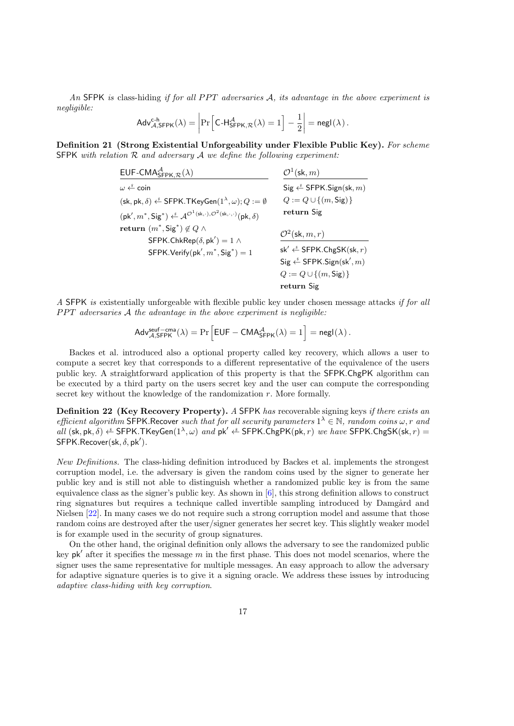An SFPK is class-hiding if for all PPT adversaries  $A$ , its advantage in the above experiment is negligible:

$$
\mathsf{Adv}_{\mathcal{A},\mathsf{SFPK}}^{c\text{-}h}(\lambda) = \left|\Pr\left[\mathsf{C\text{-}H}_{\mathsf{SFPK},\mathcal{R}}^{\mathcal{A}}(\lambda) = 1\right] - \frac{1}{2}\right| = \mathsf{negl}(\lambda) \,.
$$

Definition 21 (Strong Existential Unforgeability under Flexible Public Key). For scheme SFPK with relation  $R$  and adversary  $A$  we define the following experiment:

| EUF-CMA $^{A}_{\text{SFPK,R}}(\lambda)$                                                                                                                                                                                | $\mathcal{O}^1(\mathsf{sk}, m)$                                                                                                                                                                                                                                            |
|------------------------------------------------------------------------------------------------------------------------------------------------------------------------------------------------------------------------|----------------------------------------------------------------------------------------------------------------------------------------------------------------------------------------------------------------------------------------------------------------------------|
| $\omega \stackrel{s}{\leftarrow}$ coin<br>$(\mathsf{sk}, \mathsf{pk}, \delta) \overset{\hspace{0.1em}\mathsf{\scriptscriptstyle\$}}{\leftarrow} \mathsf{SFPK}.\mathsf{TKeyGen}(1^\lambda, \omega); Q := \emptyset$     | $\mathsf{Sig} \overset{\hspace{0.1em}\mathsf{\scriptscriptstyle\$}}{\leftarrow} \mathsf{SFPK}.\mathsf{Sign}(\mathsf{sk}, m)$<br>$Q := Q \cup \{(m, \text{Sig})\}$                                                                                                          |
| $(\mathsf{pk}', m^*, \mathsf{Sig}^*) \overset{\hspace{0.1em}\mathsf{\scriptscriptstyle\$}}{\leftarrow} \mathcal{A}^{\mathcal{O}^1(\mathsf{sk}, \cdot), \mathcal{O}^2(\mathsf{sk}, \cdot, \cdot)}(\mathsf{pk}, \delta)$ | return Sig                                                                                                                                                                                                                                                                 |
| return $(m^*,\mathsf{Sig}^*) \notin Q \wedge$<br>SFPK.ChkRep $(\delta, pk') = 1 \land$<br>$SFPK.Verify(pk', m^*, Sig^*) = 1$                                                                                           | $\mathcal{O}^2(\mathsf{sk}, m, r)$<br>$sk' \stackrel{s}{\leftarrow}$ SFPK.ChgSK(sk, r)<br>$\mathsf{Sig} \overset{\hspace{0.1em}\mathsf{\scriptscriptstyle\$}}{\leftarrow} \mathsf{SFPK}.\mathsf{Sign}(\mathsf{sk}', m)$<br>$Q := Q \cup \{(m, \text{Sig})\}$<br>return Sig |

A SFPK is existentially unforgeable with flexible public key under chosen message attacks if for all  $PPT$  adversaries  $A$  the advantage in the above experiment is negligible:

$$
\mathsf{Adv}_{\mathcal{A},\mathsf{SFPK}}^{\mathsf{seuf-cma}}(\lambda) = \Pr\Big[\mathsf{EUF} - \mathsf{CMA}^\mathcal{A}_{\mathsf{SFPK}}(\lambda) = 1\Big] = \mathsf{negl}(\lambda)\,.
$$

Backes et al. introduced also a optional property called key recovery, which allows a user to compute a secret key that corresponds to a different representative of the equivalence of the users public key. A straightforward application of this property is that the SFPK.ChgPK algorithm can be executed by a third party on the users secret key and the user can compute the corresponding secret key without the knowledge of the randomization r. More formally.

**Definition 22 (Key Recovery Property).** A SFPK has recoverable signing keys *if there exists an* efficient algorithm SFPK. Recover such that for all security parameters  $1^{\lambda} \in \mathbb{N}$ , random coins  $\omega$ , r and all (sk, pk,  $\delta$ )  $\xi$  SFPK. TKeyGen $(1^{\lambda}, \omega)$  and pk'  $\xi$  SFPK. ChgPK(pk, r) we have SFPK. ChgSK(sk, r) =  $SFPK.$ Recover(sk,  $\delta$ , pk').

New Definitions. The class-hiding definition introduced by Backes et al. implements the strongest corruption model, i.e. the adversary is given the random coins used by the signer to generate her public key and is still not able to distinguish whether a randomized public key is from the same equivalence class as the signer's public key. As shown in  $[6]$ , this strong definition allows to construct ring signatures but requires a technique called invertible sampling introduced by Damgård and Nielsen [\[22\]](#page-32-11). In many cases we do not require such a strong corruption model and assume that those random coins are destroyed after the user/signer generates her secret key. This slightly weaker model is for example used in the security of group signatures.

On the other hand, the original definition only allows the adversary to see the randomized public key  $pk'$  after it specifies the message m in the first phase. This does not model scenarios, where the signer uses the same representative for multiple messages. An easy approach to allow the adversary for adaptive signature queries is to give it a signing oracle. We address these issues by introducing adaptive class-hiding with key corruption.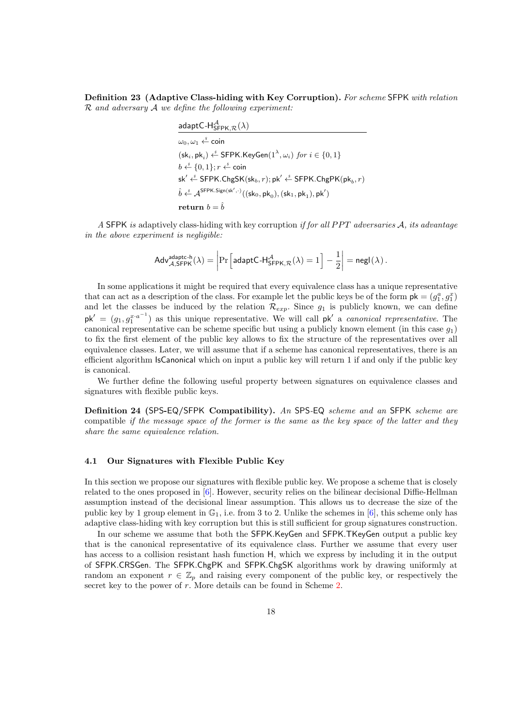Definition 23 (Adaptive Class-hiding with Key Corruption). For scheme SFPK with relation  $R$  and adversary  $A$  we define the following experiment:

| adaptC-H ${}^{\mathcal{A}}_{\mathsf{SFPK}, \mathcal{R}}(\lambda)$                                                                                                                                                  |
|--------------------------------------------------------------------------------------------------------------------------------------------------------------------------------------------------------------------|
| $\omega_0, \omega_1 \overset{\hspace{0.1em}\mathsf{\scriptscriptstyle\$}}{\leftarrow}$ coin                                                                                                                        |
| $(\mathsf{sk}_i, \mathsf{pk}_i) \overset{\hspace{0.1em}\mathsf{\scriptscriptstyle\$}}{\leftarrow}$ SFPK.KeyGen $(1^\lambda, \omega_i)$ for $i \in \{0, 1\}$                                                        |
| $b \stackrel{s}{\leftarrow} \{0,1\}; r \stackrel{s}{\leftarrow} \text{coin}$                                                                                                                                       |
| sk' $\stackrel{s}{\leftarrow}$ SFPK.ChgSK(sk <sub>b</sub> , r); pk' $\stackrel{s}{\leftarrow}$ SFPK.ChgPK(pk <sub>b</sub> , r)                                                                                     |
| $\hat{b}\overset{\hspace{0.1em}\mathsf{\scriptscriptstyle\$}}{\leftarrow} \mathcal{A}^{\mathsf{SFPK}.\mathsf{Sign}(\mathsf{sk}',\cdot)}((\mathsf{sk}_0,\mathsf{pk}_0),(\mathsf{sk}_1,\mathsf{pk}_1),\mathsf{pk}')$ |
| return $b = \hat{b}$                                                                                                                                                                                               |

A SFPK is adaptively class-hiding with key corruption if for all PPT adversaries A, its advantage in the above experiment is negligible:

$$
\mathsf{Adv}_{\mathcal{A},\mathsf{SFPK}}^{\mathsf{adaptc-h}}(\lambda) = \left|\Pr\left[\mathsf{adaptC\text{-}H}_{\mathsf{SFPK},\mathcal{R}}^{\mathcal{A}}(\lambda) = 1\right] - \frac{1}{2}\right| = \mathsf{negl}(\lambda) \,.
$$

In some applications it might be required that every equivalence class has a unique representative that can act as a description of the class. For example let the public keys be of the form  $pk = (g_1^a, g_1^x)$ and let the classes be induced by the relation  $\mathcal{R}_{exp}$ . Since  $g_1$  is publicly known, we can define  $pk' = (g_1, g_1^{x \cdot a^{-1}})$  as this unique representative. We will call  $pk'$  a *canonical representative*. The canonical representative can be scheme specific but using a publicly known element (in this case  $q_1$ ) to fix the first element of the public key allows to fix the structure of the representatives over all equivalence classes. Later, we will assume that if a scheme has canonical representatives, there is an efficient algorithm IsCanonical which on input a public key will return 1 if and only if the public key is canonical.

We further define the following useful property between signatures on equivalence classes and signatures with flexible public keys.

Definition 24 (SPS-EQ/SFPK Compatibility). An SPS-EQ scheme and an SFPK scheme are compatible if the message space of the former is the same as the key space of the latter and they share the same equivalence relation.

## 4.1 Our Signatures with Flexible Public Key

In this section we propose our signatures with flexible public key. We propose a scheme that is closely related to the ones proposed in [\[6\]](#page-31-8). However, security relies on the bilinear decisional Diffie-Hellman assumption instead of the decisional linear assumption. This allows us to decrease the size of the public key by 1 group element in  $\mathbb{G}_1$ , i.e. from 3 to 2. Unlike the schemes in [\[6\]](#page-31-8), this scheme only has adaptive class-hiding with key corruption but this is still sufficient for group signatures construction.

In our scheme we assume that both the SFPK.KeyGen and SFPK.TKeyGen output a public key that is the canonical representative of its equivalence class. Further we assume that every user has access to a collision resistant hash function H, which we express by including it in the output of SFPK.CRSGen. The SFPK.ChgPK and SFPK.ChgSK algorithms work by drawing uniformly at random an exponent  $r \in \mathbb{Z}_p$  and raising every component of the public key, or respectively the secret key to the power of r. More details can be found in Scheme [2.](#page-18-0)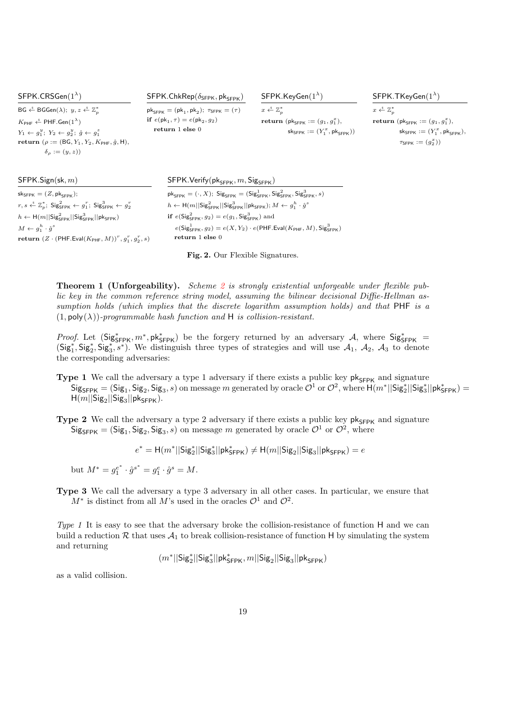| SFPK.CRSGen $(1^{\lambda})$                                                                                                                                                                                                                                                                                                                                                    | $SFPK.ChkRep(\delta_{SFPK}, \mathsf{pk}_{SFPK})$                                                                                                             | $SFPK.KevGen(1^{\lambda})$                                                                                                          | $SFPK.$ TKeyGen $(1^{\lambda})$                                                                                                                                                           |
|--------------------------------------------------------------------------------------------------------------------------------------------------------------------------------------------------------------------------------------------------------------------------------------------------------------------------------------------------------------------------------|--------------------------------------------------------------------------------------------------------------------------------------------------------------|-------------------------------------------------------------------------------------------------------------------------------------|-------------------------------------------------------------------------------------------------------------------------------------------------------------------------------------------|
| $BG \xleftarrow{\$} BGGen(\lambda); y, z \xleftarrow{\$} \mathbb{Z}_p^*$<br>$K_{\text{PHF}} \overset{\hspace{0.1em}\mathsf{\scriptscriptstyle\$}}{\leftarrow} \text{PHF.Gen}(1^\lambda)$<br>$Y_1 \leftarrow q_1^y$ ; $Y_2 \leftarrow q_2^y$ ; $\hat{q} \leftarrow q_1^z$<br><b>return</b> ( $\rho := (BG, Y_1, Y_2, K_{\text{PHF}}, \hat{g}, H),$<br>$\delta_{\rho} := (y, z)$ | $pk_{SFPK} = (pk_1, pk_2); \tau_{SFPK} = (\tau)$<br>if $e(\mathsf{pk}_1, \tau) = e(\mathsf{pk}_2, g_2)$<br>return $1$ else $0$                               | $x \leftarrow^{\mathcal{S}} \mathbb{Z}_n^*$<br><b>return</b> ( $pk_{SEPK} := (g_1, g_1^x)$ ),<br>$sk_{SFPK} := (Y_1^x, pk_{SFPK}))$ | $x \leftarrow^{\$} \mathbb{Z}_{n}^{\ast}$<br><b>return</b> ( $pk_{SFPK} := (g_1, g_1^x)$ ),<br>$sk_{\text{SFPK}} := (Y_1^x, \text{pk}_{\text{SFPK}}),$<br>$\tau_{\text{SFPK}} := (g_2^x)$ |
| SFPK.Sign(sk, m)<br>$sk_{SFPK} = (Z, pk_{SFPK});$                                                                                                                                                                                                                                                                                                                              | $SFPK.Verify(\mathsf{pk}_{SFPK}, m, \mathsf{Sig}_{SFPK})$<br>$pk_{SFPK} = (\cdot, X);$ Sig <sub>SFPK</sub> = $(Sig_{SFPK}^1, Sig_{SFPK}^2, Sig_{SFPK}^3, s)$ |                                                                                                                                     |                                                                                                                                                                                           |

 $r,s \overset{\hspace{0.1em}\mathsf{\scriptscriptstyle\$}}{\leftarrow} \mathbb{Z}_p^*, \; \mathsf{Sig}^2_{\mathsf{SFPK}} \leftarrow g_1^r; \; \mathsf{Sig}^3_{\mathsf{SFPK}} \leftarrow g_2^r$  $h \leftarrow \mathsf{H}(m||\mathsf{Sig}_{\mathsf{SFPK}}^2||\mathsf{Sig}_{\mathsf{SFPK}}^3||\mathsf{pk}_{\mathsf{SFPK}})$  $M \leftarrow g_1^h \cdot \hat{g}^s$  $\textbf{return }(Z \cdot (\textsf{PHF.Eval}(K_{\textsf{PHF}},M))^r, g_1^r, g_2^r, s)$ 

 $h \leftarrow \textsf{H}(m||\textsf{Sig}^2_{\textsf{SFPK}}||\textsf{Sig}^3_{\textsf{SFPK}}||\textsf{pk}_{\textsf{SFPK}}); M \leftarrow g_1^h \cdot \hat{g}^s$ if  $e(\text{Sig}_{\text{SFPK}}^2, g_2) = e(g_1, \text{Sig}_{\text{SFPK}}^3)$  and  $e(\mathsf{Sig}_{\mathsf{SFPK}}^1, g_2) = e(X, Y_2) \cdot e(\mathsf{PHF}.\mathsf{Eval}(K_{\mathsf{PHF}}, M), \mathsf{Sig}_{\mathsf{SFPK}}^3)$ return 1 else 0

<span id="page-18-0"></span>Fig. 2. Our Flexible Signatures.

**Theorem 1 (Unforgeability).** Scheme [2](#page-18-0) is strongly existential unforgeable under flexible public key in the common reference string model, assuming the bilinear decisional Diffie-Hellman assumption holds (which implies that the discrete logarithm assumption holds) and that PHF is a  $(1, \text{poly}(\lambda))$ -programmable hash function and H is collision-resistant.

*Proof.* Let  $(Sig_{SFPK}^*, m^*, pk_{SFPK}^*)$  be the forgery returned by an adversary A, where  $Sig_{SFPK}^*$  $(Sig_1^*, Sig_2^*, Sig_3^*, s^*)$ . We distinguish three types of strategies and will use  $\mathcal{A}_1$ ,  $\mathcal{A}_2$ ,  $\mathcal{A}_3$  to denote the corresponding adversaries:

- Type 1 We call the adversary a type 1 adversary if there exists a public key  $pk_{SFPK}$  and signature  $\mathsf{Sig}_{\mathsf{SFPK}} = (\mathsf{Sig}_1, \mathsf{Sig}_2, \mathsf{Sig}_3, s)$  on message m generated by oracle  $\mathcal{O}^1$  or  $\mathcal{O}^2$ , where  $\mathsf{H}(m^*||\mathsf{Sig}_2^*||\mathsf{Sig}_3^*||\mathsf{pk}_{\mathsf{SFPK}}^*)$  $H(m||\mathsf{Sig}_2||\mathsf{Sig}_3||\mathsf{pk}_{\mathsf{SFPK}}).$
- Type 2 We call the adversary a type 2 adversary if there exists a public key  $pk_{SFPK}$  and signature  $\mathsf{Sig}_{\mathsf{SFRK}} = (\mathsf{Sig}_1, \mathsf{Sig}_2, \mathsf{Sig}_3, s)$  on message m generated by oracle  $\mathcal{O}^1$  or  $\mathcal{O}^2$ , where

 $e^* = \mathsf{H}(m^*||\mathsf{Sig}_2^*||\mathsf{Sig}_3^*||\mathsf{pk}_{\mathsf{SFPK}}^* ) \neq \mathsf{H}(m||\mathsf{Sig}_2||\mathsf{Sig}_3||\mathsf{pk}_{\mathsf{SFPK}}) = e$ 

but  $M^* = g_1^{e^*} \cdot \hat{g}^{s^*} = g_1^e \cdot \hat{g}^s = M.$ 

Type 3 We call the adversary a type 3 adversary in all other cases. In particular, we ensure that  $M^*$  is distinct from all M's used in the oracles  $\mathcal{O}^1$  and  $\mathcal{O}^2$ .

Type 1 It is easy to see that the adversary broke the collision-resistance of function H and we can build a reduction  $\mathcal R$  that uses  $\mathcal A_1$  to break collision-resistance of function H by simulating the system and returning

 $\lfloor m^*||\mathsf{Sig}_2^*||\mathsf{Sig}_3^*||\mathsf{pk}_{\mathsf{SFPK}}^*, m||\mathsf{Sig}_2||\mathsf{Sig}_3||\mathsf{pk}_{\mathsf{SFPK}})$ 

as a valid collision.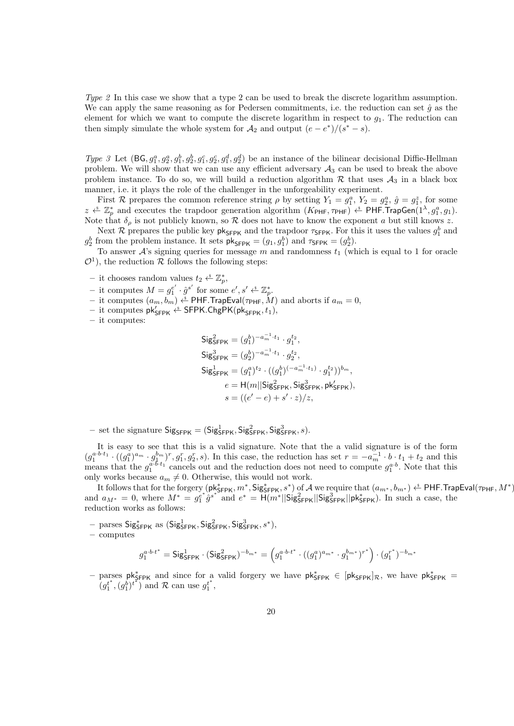Type 2 In this case we show that a type 2 can be used to break the discrete logarithm assumption. We can apply the same reasoning as for Pedersen commitments, i.e. the reduction can set  $\hat{g}$  as the element for which we want to compute the discrete logarithm in respect to  $g_1$ . The reduction can then simply simulate the whole system for  $A_2$  and output  $(e - e^*)/(s^* - s)$ .

Type 3 Let  $(BG, g_1^a, g_2^a, g_1^b, g_2^b, g_1^c, g_2^c, g_1^d, g_2^d)$  be an instance of the bilinear decisional Diffie-Hellman problem. We will show that we can use any efficient adversary  $A_3$  can be used to break the above problem instance. To do so, we will build a reduction algorithm  $R$  that uses  $A_3$  in a black box manner, i.e. it plays the role of the challenger in the unforgeability experiment.

First R prepares the common reference string  $\rho$  by setting  $Y_1 = g_1^a$ ,  $Y_2 = g_2^a$ ,  $\hat{g} = g_1^z$ , for some  $z \stackrel{\text{s}}{\leftarrow} \mathbb{Z}_p^*$  and executes the trapdoor generation algorithm  $(K_{\text{PHF}}, \tau_{\text{PHF}}) \stackrel{\text{s}}{\leftarrow} \text{PHF}$ . TrapGen $(1^{\lambda}, g_1^a, g_1)$ . Note that  $\delta_{\rho}$  is not publicly known, so R does not have to know the exponent a but still knows z.

Next R prepares the public key  $\mathsf{pk}_{\mathsf{SFPK}}$  and the trapdoor  $\tau_{\mathsf{SFPK}}$ . For this it uses the values  $g_1^b$  and  $g_2^b$  from the problem instance. It sets  $\mathsf{pk}_{\mathsf{SFPK}} = (g_1, g_1^b)$  and  $\tau_{\mathsf{SFPK}} = (g_2^b)$ .

To answer  $\mathcal{A}$ 's signing queries for message m and randomness  $t_1$  (which is equal to 1 for oracle  $\mathcal{O}^1$ , the reduction R follows the following steps:

- it chooses random values  $t_2 \overset{\hspace{0.1em}\mathsf{\scriptscriptstyle\$}}{\leftarrow} \mathbb{Z}_p^*$ ,
- it computes  $M = g_1^{e'} \cdot \hat{g}^{s'}$  for some  $e', s' \overset{\hspace{0.1em}\mathsf{\scriptscriptstyle\$}}{\leftarrow} \mathbb{Z}_p^*$ .
- it computes  $(a_m, b_m) \xleftarrow{\text{\$}} \mathsf{PHF}$ .TrapEval $(\tau_{\mathsf{PHF}}, M)$  and aborts if  $a_m = 0$ ,
- $-$  it computes  $\mathsf{pk}_{\mathsf{SFPK}}' \overset{\hspace{0.1em}\mathsf{\scriptscriptstyle\$}}{\leftarrow} \mathsf{SFPK}.\mathsf{ChgPK}(\mathsf{pk}_{\mathsf{SFPK}}, t_1),$

– it computes:

$$
\begin{aligned} \mathsf{Sig}^2_{\mathsf{SFPK}} &= (g_1^b)^{-a_m^{-1} \cdot t_1} \cdot g_1^{t_2}, \\ \mathsf{Sig}^3_{\mathsf{SFPK}} &= (g_2^b)^{-a_m^{-1} \cdot t_1} \cdot g_2^{t_2}, \\ \mathsf{Sig}^1_{\mathsf{SFPK}} &= (g_1^a)^{t_2} \cdot ((g_1^b)^{(-a_m^{-1} \cdot t_1)} \cdot g_1^{t_2}))^{b_m}, \\ & e = \mathsf{H}(m||\mathsf{Sig}^2_{\mathsf{SFPK}}, \mathsf{Sig}^3_{\mathsf{SFPK}}, \mathsf{pk}'_{\mathsf{SFPK}}), \\ & s = ((e' - e) + s' \cdot z)/z, \end{aligned}
$$

- set the signature  $\mathsf{Sig}_{\mathsf{SFPK}} = (\mathsf{Sig}_{\mathsf{SFPK}}^1, \mathsf{Sig}_{\mathsf{SFPK}}^2, \mathsf{Sig}_{\mathsf{SFPK}}^3, s)$ .

It is easy to see that this is a valid signature. Note that the a valid signature is of the form  $(g_1^{a\cdot b\cdot t_1}\cdot((g_1^{a})^{a_m}\cdot g_1^{b_m})^r,g_1^r,g_2^r,s)$ . In this case, the reduction has set  $r=-a_m^{-1}\cdot b\cdot t_1+t_2$  and this means that the  $g_1^{a \cdot b \cdot t_1}$  cancels out and the reduction does not need to compute  $g_1^{a \cdot b}$ . Note that this only works because  $a_m \neq 0$ . Otherwise, this would not work.

It follows that for the forgery  $(\mathsf{pk}_{\mathsf{SFRK}}^*, m^*, \mathsf{Sig}_{\mathsf{SPPK}}^*, s^*)$  of  $\mathcal A$  we require that  $(a_{m^*}, b_{m^*}) \overset{\hspace{0.1em}\mathsf{\scriptscriptstyle\$}}{\leftarrow} \mathsf{PHF}$ . TrapEval $(\tau_{\mathsf{PHF}}, M^*)$ and  $a_{M^*} = 0$ , where  $M^* = g_1^{e^*} \hat{g}^{s^*}$  and  $e^* = H(m^*||\text{Sig}_{\text{SFPK}}^2||\text{Sig}_{\text{SFPK}}^2||\text{pk}_{\text{SFPK}}^*)$ . In such a case, the reduction works as follows:

 $-$  parses  $\textsf{Sig}_{\textsf{SFPK}}^{*}$  as  $(\textsf{Sig}_{\textsf{SFPK}}^{1}, \textsf{Sig}_{\textsf{SFPK}}^{2}, \textsf{Sig}_{\textsf{SFPK}}^{3}, s^{*}),$ 

– computes

$$
g_1^{a \cdot b \cdot t^*} = \mathsf{Sig}_{\mathsf{SFPK}}^1 \cdot (\mathsf{Sig}_{\mathsf{SFPK}}^2)^{-b_{m^*}} = \left( g_1^{a \cdot b \cdot t^*} \cdot ((g_1^a)^{a_{m^*}} \cdot g_1^{b_{m^*}})^{r^*} \right) \cdot (g_1^{r^*})^{-b_{m^*}}
$$

– parses pk<sup>\*</sup><sub>SFPK</sub> and since for a valid forgery we have pk<sup>\*</sup><sub>SFPK</sub> ∈ [pk<sub>SFPK</sub>]<sub>R</sub>, we have pk<sup>\*</sup><sub>SFPK</sub> =  $(g_1^{t^*}, (g_1^b)^{t^*})$  and R can use  $g_1^{t^*}$ ,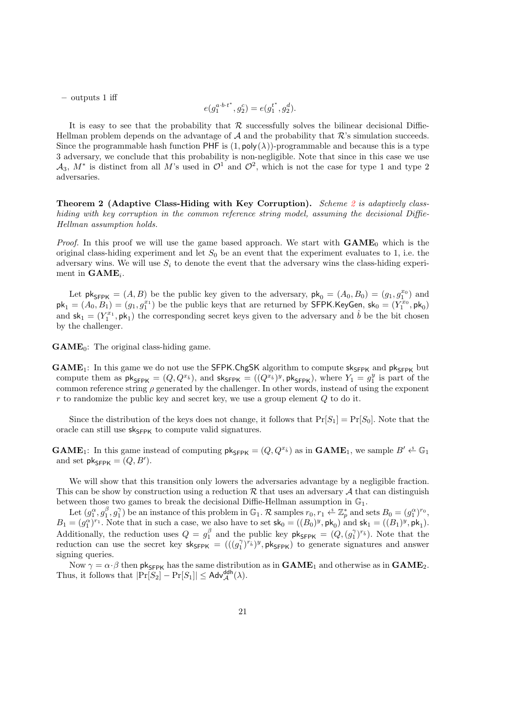– outputs 1 iff

$$
e(g_1^{a \cdot b \cdot t^*}, g_2^c) = e(g_1^{t^*}, g_2^d).
$$

It is easy to see that the probability that  $\mathcal R$  successfully solves the bilinear decisional Diffie-Hellman problem depends on the advantage of  $A$  and the probability that  $R$ 's simulation succeeds. Since the programmable hash function PHF is  $(1, \text{poly}(\lambda))$ -programmable and because this is a type 3 adversary, we conclude that this probability is non-negligible. Note that since in this case we use  $\mathcal{A}_3$ ,  $M^*$  is distinct from all M's used in  $\mathcal{O}^1$  and  $\mathcal{O}^2$ , which is not the case for type 1 and type 2 adversaries.

Theorem [2](#page-18-0) (Adaptive Class-Hiding with Key Corruption). Scheme 2 is adaptively classhiding with key corruption in the common reference string model, assuming the decisional Diffie-Hellman assumption holds.

*Proof.* In this proof we will use the game based approach. We start with  $GAME_0$  which is the original class-hiding experiment and let  $S_0$  be an event that the experiment evaluates to 1, i.e. the adversary wins. We will use  $S_i$  to denote the event that the adversary wins the class-hiding experiment in  $\text{GAME}_i$ .

Let  $\mathsf{pk}_{\mathsf{SFPK}} = (A, B)$  be the public key given to the adversary,  $\mathsf{pk}_{0} = (A_0, B_0) = (g_1, g_1^{x_0})$  and  $\mathsf{pk}_1 = (A_0, B_1) = (g_1, g_1^{x_1})$  be the public keys that are returned by SFPK.KeyGen,  $\mathsf{sk}_0 = (Y_1^{x_0}, \mathsf{pk}_0)$ and  $sk_1 = (Y_1^{x_1}, \mathsf{pk}_1)$  the corresponding secret keys given to the adversary and  $\hat{b}$  be the bit chosen by the challenger.

 $GAME_0$ : The original class-hiding game.

 $GAME_1$ : In this game we do not use the SFPK.ChgSK algorithm to compute  $sk_{SFPK}$  and  $pk_{SFPK}$  but compute them as  $pk_{\text{SFPK}} = (Q, Q^{x_{\hat{b}}})$ , and  $sk_{\text{SFPK}} = ((Q^{x_{\hat{b}}})^y, pk_{\text{SFPK}})$ , where  $Y_1 = g_1^y$  is part of the common reference string  $\rho$  generated by the challenger. In other words, instead of using the exponent  $r$  to randomize the public key and secret key, we use a group element  $Q$  to do it.

Since the distribution of the keys does not change, it follows that  $Pr[S_1] = Pr[S_0]$ . Note that the oracle can still use  $sk_{SFR}$  to compute valid signatures.

**GAME**<sub>1</sub>: In this game instead of computing  $pk_{SFR} = (Q, Q^{x_i})$  as in **GAME**<sub>1</sub>, we sample  $B' \xleftarrow{s} \mathbb{G}_1$ and set  $\mathsf{pk}_{\mathsf{SFPK}} = (Q, B').$ 

We will show that this transition only lowers the adversaries advantage by a negligible fraction. This can be show by construction using a reduction  $R$  that uses an adversary  $A$  that can distinguish between those two games to break the decisional Diffie-Hellman assumption in  $\mathbb{G}_1$ .

Let  $(g_1^{\alpha}, g_1^{\beta}, g_1^{\gamma})$  be an instance of this problem in  $\mathbb{G}_1$ . R samples  $r_0, r_1 \stackrel{\ast}{\leftarrow} \mathbb{Z}_p^*$  and sets  $B_0 = (g_1^{\alpha})^{r_0}$ ,  $B_1 = (g_1^{\alpha})^{r_1}$ . Note that in such a case, we also have to set  $\mathsf{sk}_0 = ((B_0)^y, \mathsf{pk}_0)$  and  $\mathsf{sk}_1 = ((B_1)^y, \mathsf{pk}_1)$ . Additionally, the reduction uses  $Q = g_1^{\beta}$  and the public key  $\mathsf{pk}_{\mathsf{SFPK}} = (Q, (g_1^{\gamma})^{r_{\hat{b}}})$ . Note that the reduction can use the secret key  $sk_{SFR} = (((g_1^{\gamma})^{r_b})^y, pk_{SFR})$  to generate signatures and answer signing queries.

Now  $\gamma = \alpha \cdot \beta$  then  $\mathsf{pk}_{\mathsf{SFPK}}$  has the same distribution as in  $\mathbf{GAME}_1$  and otherwise as in  $\mathbf{GAME}_2$ . Thus, it follows that  $|\Pr[S_2] - \Pr[S_1]| \leq \mathsf{Adv}_{\mathcal{A}}^{\mathsf{ddh}}(\lambda).$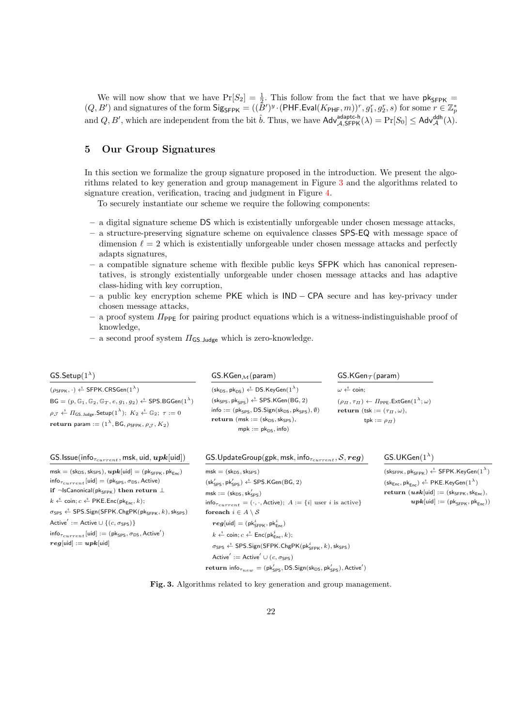We will now show that we have  $Pr[S_2] = \frac{1}{2}$ . This follow from the fact that we have  $pk_{SFPK}$  $(Q, B')$  and signatures of the form  $\mathsf{Sig}_{\mathsf{SFPK}} = ((\tilde{B}')^y \cdot (\mathsf{PHF}.\mathsf{Eval}(K_{\mathsf{PHF}}, m))^r, g_1^r, g_2^r, s)$  for some  $r \in \mathbb{Z}_p^*$ and  $Q, B'$ , which are independent from the bit  $\hat{b}$ . Thus, we have  $\mathsf{Adv}_{\mathcal{A}, \mathsf{SFFK}}^{\mathsf{adaptc-h}}(\lambda) = \Pr[S_0] \leq \mathsf{Adv}_{\mathcal{A}}^{\mathsf{ddh}}(\lambda)$ .

## <span id="page-21-0"></span>5 Our Group Signatures

In this section we formalize the group signature proposed in the introduction. We present the algorithms related to key generation and group management in Figure [3](#page-21-1) and the algorithms related to signature creation, verification, tracing and judgment in Figure [4.](#page-22-0)

To securely instantiate our scheme we require the following components:

- a digital signature scheme DS which is existentially unforgeable under chosen message attacks,
- a structure-preserving signature scheme on equivalence classes SPS-EQ with message space of dimension  $\ell = 2$  which is existentially unforgeable under chosen message attacks and perfectly adapts signatures,
- a compatible signature scheme with flexible public keys SFPK which has canonical representatives, is strongly existentially unforgeable under chosen message attacks and has adaptive class-hiding with key corruption,
- a public key encryption scheme PKE which is IND − CPA secure and has key-privacy under chosen message attacks,
- $-$  a proof system  $\Pi_{\text{PPE}}$  for pairing product equations which is a witness-indistinguishable proof of knowledge,
- a second proof system  $\Pi_{\mathsf{GS, Judge}}$  which is zero-knowledge.

| GS.Setup $(1^{\lambda})$                                                                                                                                                                                                                                                                                                                                                                                                                                                                                                                  | $GS.KGen_{\mathcal{M}}(param)$                                                                                                                                                                                                                                                                                                                                                                     | $GS.KGen_{\mathcal{T}}(param)$                                                                                                                                |
|-------------------------------------------------------------------------------------------------------------------------------------------------------------------------------------------------------------------------------------------------------------------------------------------------------------------------------------------------------------------------------------------------------------------------------------------------------------------------------------------------------------------------------------------|----------------------------------------------------------------------------------------------------------------------------------------------------------------------------------------------------------------------------------------------------------------------------------------------------------------------------------------------------------------------------------------------------|---------------------------------------------------------------------------------------------------------------------------------------------------------------|
| $(\rho_{\text{SFPK}}, \cdot) \overset{\hspace{0.1em}\mathsf{\scriptscriptstyle\$}}{\leftarrow}$ SFPK.CRSGen $(1^{\lambda})$                                                                                                                                                                                                                                                                                                                                                                                                               | $(\mathsf{sk}_{\mathsf{DS}}, \mathsf{pk}_{\mathsf{DS}}) \overset{\hspace{0.1em}\mathsf{\scriptscriptstyle\$}}{\leftarrow} \mathsf{DS}.\mathsf{KeyGen}(1^\lambda)$                                                                                                                                                                                                                                  | $\omega \stackrel{s}{\leftarrow}$ coin:                                                                                                                       |
| $\mathsf{B}\mathsf{G} = (p,\mathbb{G}_1,\mathbb{G}_2,\mathbb{G}_T,e,g_1,g_2) \overset{\hspace{0.1em}\mathsf{\scriptscriptstyle\$}}{\leftarrow} \mathsf{SPS}.\mathsf{B}\mathsf{G}\mathsf{Gen}(1^\lambda)$<br>$\rho_{\mathcal{J}} \overset{\hspace{0.1em}\mathsf{\scriptscriptstyle\$}}{\leftarrow} \Pi_{\mathsf{GS\ldots}\mathsf{Judge}}.\mathsf{Setup}(1^{\lambda});\; K_2 \overset{\hspace{0.1em}\mathsf{\scriptscriptstyle\$}}{\leftarrow} \mathbb{G}_2;\; \tau:=0$<br>return param := $(1^{\lambda}, BG, \rho_{SFPK}, \rho_{.7}, K_2)$ | $(\mathsf{sk}_{\mathsf{SPS}}, \mathsf{pk}_{\mathsf{SPS}}) \overset{\hspace{0.1em}\mathsf{\scriptscriptstyle\$}}{\leftarrow} \mathsf{SPS}.\mathsf{KGen}(\mathsf{BG}, 2)$<br>info := $(\mathsf{pk}_{\mathsf{SPS}}, \mathsf{DS}.\mathsf{Sign}(\mathsf{sk}_{\mathsf{DS}}, \mathsf{pk}_{\mathsf{SPS}}), \emptyset)$<br>return (msk := $(\text{sk}_{DS}, \text{sk}_{SPS})$ ,<br>$mpk := pk_{DS}$ , info) | $(\rho_{\Pi}, \tau_{\Pi}) \leftarrow \Pi_{\text{PPE}}.\text{ExtGen}(1^{\lambda}; \omega)$<br>return (tsk := $(\tau_{\Pi}, \omega)$ ,<br>tpk := $\rho_{\Pi}$ ) |

| GS.Issue(info $_{\tau_{current}}$ , msk, uid, $upk[$ uid])                                                                                                                          | GS.UpdateGroup(gpk, msk, info $_{\tau_{current}}$ , $\mathcal{S}, \textit{reg}$ )                                                                                                                         | $GS.UKGen(1^{\lambda})$                                                                                                                                          |
|-------------------------------------------------------------------------------------------------------------------------------------------------------------------------------------|-----------------------------------------------------------------------------------------------------------------------------------------------------------------------------------------------------------|------------------------------------------------------------------------------------------------------------------------------------------------------------------|
| $msk = (sk_{DS}, sk_{SPS}), upk[uid] = (pk_{SFPK}, pk_{Enc})$                                                                                                                       | $msk = (skDS, skSPS)$                                                                                                                                                                                     | $(\mathsf{sk}_{\mathsf{SFPK}}, \mathsf{pk}_{\mathsf{SFPK}}) \xleftarrow{\$} \mathsf{SFPK}.\mathsf{KeyGen}(1^\lambda)$                                            |
| $\mathsf{info}_{\tau_{current}}[\mathsf{uid}] = (\mathsf{pk}_{\mathsf{SPS}}, \sigma_{\mathsf{DS}}, \mathsf{Active})$                                                                | $(\mathsf{sk}_{\mathsf{SPS}}', \mathsf{pk}_{\mathsf{SPS}}') \overset{\hspace{0.1em}\mathsf{\scriptscriptstyle\$}}{\leftarrow} \mathsf{SPS}.\mathsf{KGen}(\mathsf{BG}, 2)$                                 | $(\mathsf{sk}_\mathsf{Enc}, \mathsf{pk}_\mathsf{Enc}) \overset{\hspace{0.1em}\mathsf{\scriptscriptstyle\$}}{\leftarrow} \mathsf{PKE}.\mathsf{KeyGen}(1^\lambda)$ |
| if $\neg$ IsCanonical(p $\mathsf{k}_{\mathsf{SFPK}}$ ) then return $\bot$                                                                                                           | $\mathsf{msk} := (\mathsf{sk}_{\mathsf{DS}}, \mathsf{sk}'_{\mathsf{SPS}})$                                                                                                                                | $\mathbf{return}~(\bm{usk}[\mathsf{uid}]:=(\mathsf{sk}_{\mathsf{SFPK}},\mathsf{sk}_{\mathsf{Enc}}),$                                                             |
| $k \stackrel{\hspace{0.1em}\mathsf{\scriptscriptstyle\$}}{\leftarrow}$ coin; $c \stackrel{\hspace{0.1em}\mathsf{\scriptscriptstyle\$}}{\leftarrow}$ PKE.Enc(pk <sub>Enc</sub> , k); | $\mathsf{info}_{\tau_{current}} = (\cdot, \cdot, \mathsf{Active}); A := \{i \mid \text{user } i \text{ is active}\}$                                                                                      | $\boldsymbol{upk}[\textsf{uid}] := (\textsf{pk}_{\textsf{SFPK}}, \textsf{pk}_{\textsf{Enc}}))$                                                                   |
| $\sigma$ <sub>SPS</sub> $\stackrel{\hspace{0.1em}\mathsf{\scriptscriptstyle\$}}{\leftarrow}$ SPS.Sign(SFPK.ChgPK(pk <sub>SFPK</sub> , k), sk <sub>SPS</sub> )                       | for each $i \in A \setminus S$                                                                                                                                                                            |                                                                                                                                                                  |
| Active' := Active $\cup$ {(c, $\sigma$ <sub>SPS</sub> )}                                                                                                                            | $reg[\mathsf{uid}] = (\mathsf{pk}_{\mathsf{SFPK}}^i, \mathsf{pk}_{\mathsf{Enc}}^i)$                                                                                                                       |                                                                                                                                                                  |
| $\mathsf{info}_{\tau_{current}}[\mathsf{uid}] := (\mathsf{pk}_{\mathsf{SPS}}, \sigma_{\mathsf{DS}}, \mathsf{Active}')$                                                              | $k \stackrel{\hspace{0.1em}\mathsf{\scriptscriptstyle\$}}{\leftarrow} \mathsf{coin}; c \stackrel{\hspace{0.1em}\mathsf{\scriptscriptstyle\$}}{\leftarrow} \mathsf{Enc}(\mathsf{pk}_{\mathsf{Enc}}^i, k);$ |                                                                                                                                                                  |
| $reg[\text{uid}] := upk[\text{uid}]$                                                                                                                                                | $\sigma_{SPS} \stackrel{\hspace{0.1em}\mathsf{\scriptscriptstyle\$}}{\leftarrow}$ SPS.Sign(SFPK.ChgPK(pk ${}_{SFPK}^i, k$ ), sk <sub>SPS</sub> )                                                          |                                                                                                                                                                  |
|                                                                                                                                                                                     | Active' := Active' $\cup$ (c, $\sigma$ sps)                                                                                                                                                               |                                                                                                                                                                  |
|                                                                                                                                                                                     | return info $\tau_{new} = (\mathsf{pk}_{\mathsf{SPS}}', \mathsf{DS}.$ Sign(sk <sub>DS</sub> , pk $'_{\mathsf{SPS}})$ ), Active')                                                                          |                                                                                                                                                                  |

<span id="page-21-1"></span>Fig. 3. Algorithms related to key generation and group management.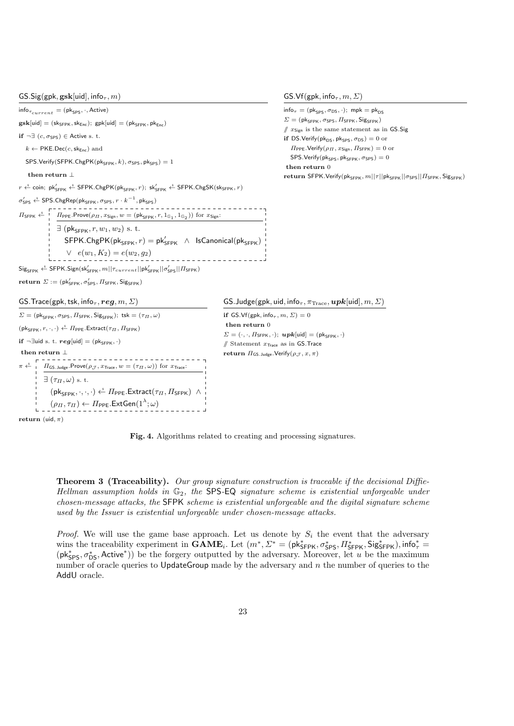$GS.Sig(gpk, gsk[uid], info_\tau, m)$ 

 $info_{\tau_{current}} = (pk_{SPS}, \cdot, Active)$ 

 $gsk[uid] = (sk_{SFPK}, sk_{Enc})$ ;  $gpk[uid] = (pk_{SFPK}, pk_{Enc})$ 

if  $\neg \exists (c, \sigma_{\text{SPS}}) \in$  Active s. t.

 $k \leftarrow \text{PKE.Dec}(c, \text{sk}_{\text{Enc}})$  and

 $SPS.Verify(SFPK.ChgPK(pk<sub>SFPK</sub>, k), \sigma_{SPS}, pk<sub>SPS</sub>) = 1$ 

## then return  $\bot$

 $r \stackrel{\hspace{0.1em}\mathsf{\scriptscriptstyle\$}}{\leftarrow}$  coin;  $\mathsf{pk}^{\prime}_{\mathsf{SFPK}} \stackrel{\hspace{0.1em}\mathsf{\scriptscriptstyle\$}}{\leftarrow}$  SFPK. $\mathsf{ChgPK}(\mathsf{pk}_{\mathsf{SFPK}}, r)$ ;  $\mathsf{sk}^{\prime}_{\mathsf{SFPK}} \stackrel{\hspace{0.1em}\mathsf{\scriptscriptstyle\$}}{\leftarrow}$  SFPK. $\mathsf{ChgSK}(\mathsf{sk}_{\mathsf{SFPK}}, r)$ 

 $\sigma_{\mathsf{SPS}}' \overset{\hspace{0.1em}\mathsf{\scriptscriptstyle\$}}{\leftarrow} \mathsf{SPS}.\mathsf{ChgRep}(\mathsf{pk}_{\mathsf{SFPK}}, \sigma_{\mathsf{SPS}}, r \cdot k^{-1}, \mathsf{pk}_{\mathsf{SPS}})$  $\Pi_{\mathsf{SFPK}} \overset{\hspace{0.1em}\mathsf{\scriptscriptstyle\$}}{\leftarrow} \quad \prod_{\mathsf{PPF}}.\mathsf{Prove}(\rho_{\varPi},x_{\mathsf{Sign}},w=(\mathsf{pk}_{\mathsf{SFPK}},r,1_{\mathbb{G}_1},1_{\mathbb{G}_2})) \text{ for } x_{\mathsf{Sign}}:$  $\exists$  (pk<sub>SFPK</sub>,  $r, w_1, w_2$ ) s. t.  $\mathsf{SFPK}.\mathsf{ChgPK}(\mathsf{pk}_{\mathsf{SFPK}},r) = \mathsf{pk}_{\mathsf{SFPK}}' \;\land\; \mathsf{Is}\mathsf{C}$ anonical $(\mathsf{pk}_{\mathsf{SFPK}})$  $∨ e(w_1, K_2) = e(w_2, g_2)$ ---------------- $\mathsf{Sig}_{\mathsf{SFPK}} \overset{\hspace{0.1em}\mathsf{\scriptscriptstyle\$}}{\leftarrow} \mathsf{SFPK}.\mathsf{Sign}(\mathsf{sk}_{\mathsf{SFPK}}',m||\tau_{current}||\mathsf{pk}_{\mathsf{SFPK}}'||\sigma_{\mathsf{SPS}}'||\mathsf{\Pi}_{\mathsf{SFPK}})$ 

GS.Vf(gpk, info<sub> $\tau$ </sub>,  $m$ ,  $\Sigma$ )

 $info_\tau = (pk_{SPS}, \sigma_{DS}, \cdot);$  mpk = pk<sub>DS</sub>  $\mathit{\Sigma} = (\mathsf{pk}_{\mathsf{SFPK}}, \sigma_\mathsf{SPS}, \varPi_\mathsf{SFPK}, \mathsf{Sig}_{\mathsf{SFPK}})$  $\ell$   $x_{\text{Sier}}$  is the same statement as in GS.Sig if DS.Verify $(\mathsf{pk}_{\mathsf{DS}}, \mathsf{pk}_{\mathsf{SPS}}, \sigma_{\mathsf{DS}}) = 0$  or  $\Pi_{\text{PPE}}$ . Verify $(\rho_H, x_{\text{Sign}}, \Pi_{\text{SFPK}}) = 0$  or SPS.Verify( $pk_{SPS}$ ,  $pk_{SFPK}$ ,  $\sigma_{SPS}$ ) = 0 then return 0 return SFPK.Verify(pk<sub>SFPK</sub>,  $m||\tau||$ pk<sub>SFPK</sub> $||\sigma$ <sub>SPS</sub> $||H$ <sub>SFPK</sub>, Sig<sub>SFPK</sub>)

 $\mathbf{return} \ \varSigma := (\mathsf{pk}_{\mathsf{SFPK}}', \sigma_{\mathsf{SPS}}', \varPi_{\mathsf{SFPK}}, \mathsf{Sig}_{\mathsf{SFPK}})$ 

GS. Trace(gpk, tsk, info<sub> $\tau$ </sub>, reg,  $m$ ,  $\Sigma$ )

```
\Sigma = (\mathsf{pk}_{\mathsf{SFPK}}, \sigma_{\mathsf{SPS}}, \Pi_{\mathsf{SFPK}}, \mathsf{Sig}_{\mathsf{SFPK}}); tsk = (\tau_{\Pi}, \omega)(\mathsf{pk}_{\mathsf{SEPK}}, r, \cdot, \cdot) \overset{\hspace{0.1em}\mathsf{\scriptscriptstyle\$}}{\leftarrow} \Pi_{\mathsf{PPE}}.\mathsf{Extract}(\tau_{\Pi}, \Pi_{\mathsf{SFPK}})if \neg∃uid s. t. reg[uid] = (pk<sub>SFPK</sub>, ·)
 then return \bot\pi \stackrel{\hspace{0.1em}\mathsf{\scriptscriptstyle\$}}{\leftarrow} \Pi_{\mathsf{GS}.\mathsf{Judge}}.\mathsf{Prove}(\rho_{\mathcal{J}},x_{\mathsf{Trace}},w=(\tau_{\varPi},\omega))\text{ for }x_{\mathsf{Trace}}.\exists (\tau_{\Pi}, \omega) s. t.
                               (\mathsf{pk}_{\mathsf{SFPK}}, \cdot, \cdot, \cdot) \overset{\hspace{0.1em}\mathsf{\scriptscriptstyle\$}}{\leftarrow} \Pi_{\mathsf{PPE}}.\mathsf{Extract}(\tau_{\varPi}, \varPi_{\mathsf{SFPK}}) \;\land\;(\rho_H, \tau_H) \leftarrow H_{\mathsf{PPE}}.\mathsf{ExtGen}(1^\lambda;\omega)
```
GS. Judge(gpk, uid, info<sub>τ</sub>,  $\pi_{\text{Trace}}, \boldsymbol{upk}$ [uid],  $m, \Sigma$ )

if GS.Vf(gpk, info<sub> $\tau$ </sub>,  $m$ ,  $\Sigma$ ) = 0 then return 0  $\Sigma = (\cdot, \cdot, \Pi_{\mathsf{SFPK}}, \cdot); \mathbf{upk}[\mathsf{uid}] = (\mathsf{pk}_{\mathsf{SFPK}}, \cdot)$ // Statement  $x_{\text{Trace}}$  as in GS. Trace return  $\Pi_{\mathsf{GS.Judge}}$ . Verify $(\rho_{\mathcal{J}}, x, \pi)$ 

return (uid,  $\pi$ )

<span id="page-22-0"></span>

**Theorem 3 (Traceability).** Our group signature construction is traceable if the decisional Diffie-Hellman assumption holds in  $\mathbb{G}_2$ , the SPS-EQ signature scheme is existential unforgeable under chosen-message attacks, the SFPK scheme is existential unforgeable and the digital signature scheme used by the Issuer is existential unforgeable under chosen-message attacks.

*Proof.* We will use the game base approach. Let us denote by  $S_i$  the event that the adversary wins the traceability experiment in  $GAME_i$ . Let  $(m^*, \Sigma^* = (\mathsf{pk}_{\mathsf{SFPK}}^*, \sigma_{\mathsf{SPS}}^*, \Pi_{\mathsf{SFPK}}^*, \mathsf{Sig}_{\mathsf{SFPK}}^*)$ , info $_{\tau}^* =$  $(\mathsf{pk}_{\mathsf{SPS}}^*, \sigma_{\mathsf{DS}}^*, \mathsf{Active}^*)$  be the forgery outputted by the adversary. Moreover, let u be the maximum number of oracle queries to UpdateGroup made by the adversary and  $n$  the number of queries to the AddU oracle.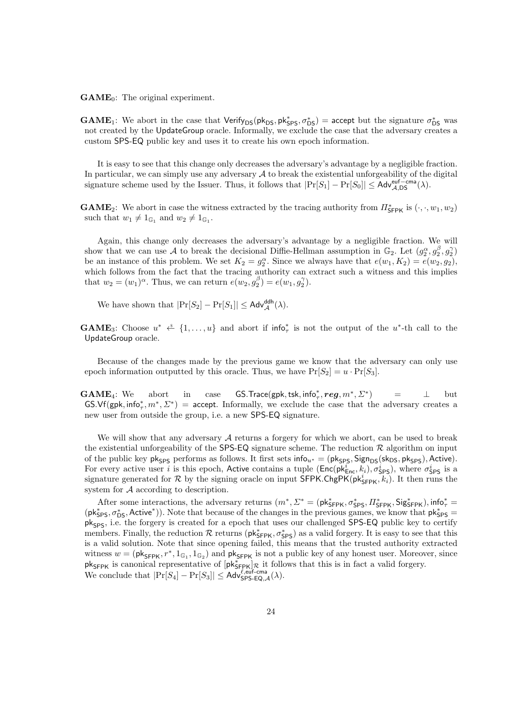$GAME_0$ : The original experiment.

**GAME**<sub>1</sub>: We abort in the case that  $Verify_{DS}(pk_{DS}, pk_{SPS}^*, \sigma_{DS}^*) =$  accept but the signature  $\sigma_{DS}^*$  was not created by the UpdateGroup oracle. Informally, we exclude the case that the adversary creates a custom SPS-EQ public key and uses it to create his own epoch information.

It is easy to see that this change only decreases the adversary's advantage by a negligible fraction. In particular, we can simply use any adversary  $A$  to break the existential unforgeability of the digital signature scheme used by the Issuer. Thus, it follows that  $|\Pr[S_1] - \Pr[S_0]| \leq \mathsf{Adv}_{\mathcal{A},\mathsf{DS}}^{\text{euf-cma}}(\lambda)$ .

**GAME**<sub>2</sub>: We abort in case the witness extracted by the tracing authority from  $\pi_{\text{SFRK}}^*$  is  $(\cdot, \cdot, w_1, w_2)$ such that  $w_1 \neq 1_{\mathbb{G}_1}$  and  $w_2 \neq 1_{\mathbb{G}_1}$ .

Again, this change only decreases the adversary's advantage by a negligible fraction. We will show that we can use A to break the decisional Diffie-Hellman assumption in  $\mathbb{G}_2$ . Let  $(g_2^{\alpha}, g_2^{\beta}, g_2^{\gamma})$ be an instance of this problem. We set  $K_2 = g_2^{\alpha}$ . Since we always have that  $e(w_1, K_2) = e(w_2, g_2)$ , which follows from the fact that the tracing authority can extract such a witness and this implies that  $w_2 = (w_1)^\alpha$ . Thus, we can return  $e(w_2, g_2^\beta) = e(w_1, g_2^\gamma)$ .

We have shown that  $|\Pr[S_2] - \Pr[S_1]| \leq \mathsf{Adv}_{\mathcal{A}}^{\mathsf{ddh}}(\lambda)$ .

**GAME**<sub>3</sub>: Choose  $u^* \leftarrow \{1, \ldots, u\}$  and abort if  $\text{info}^*_{\tau}$  is not the output of the  $u^*$ -th call to the UpdateGroup oracle.

Because of the changes made by the previous game we know that the adversary can only use epoch information outputted by this oracle. Thus, we have  $Pr[S_2] = u \cdot Pr[S_3]$ .

**GAME**<sub>4</sub>: We abort in case **GS.Trace**(gpk, tsk, info<sup>\*</sup><sub>7</sub>, reg,  $m^*$ ,  $\Sigma^*$  $=$   $\qquad$  but GS.Vf(gpk, info<sup>\*</sup>, m<sup>\*</sup>,  $\Sigma^*$ ) = accept. Informally, we exclude the case that the adversary creates a new user from outside the group, i.e. a new SPS-EQ signature.

We will show that any adversary  $A$  returns a forgery for which we abort, can be used to break the existential unforgeability of the SPS-EQ signature scheme. The reduction  $\mathcal R$  algorithm on input of the public key pk<sub>SPS</sub> performs as follows. It first sets info<sub>u\*</sub> = (pk<sub>SPS</sub>, Sign<sub>DS</sub>(sk<sub>DS</sub>, pk<sub>SPS</sub>), Active). For every active user i is this epoch, Active contains a tuple  $(\textsf{Enc}(\textsf{pk}_{\textsf{Enc}}^i, k_i), \sigma_{\textsf{SPS}}^i)$ , where  $\sigma_{\textsf{SPS}}^i$  is a signature generated for R by the signing oracle on input  $\overline{\textsf{SPPK}}$ . ChgPK(pk $^i_{\textsf{SFPK}}, k_i$ ). It then runs the system for A according to description.

After some interactions, the adversary returns  $(m^*, \Sigma^* = (\mathsf{pk}_{\mathsf{SFPK}}^*, \sigma_{\mathsf{SPS}}^*, \Pi_{\mathsf{SFPK}}^*, \mathsf{Sig}_{\mathsf{SFPK}}^*)$ , info $^*_{\tau}$  $(\mathsf{pk}_{\mathsf{SPS}}^*, \sigma_{\mathsf{DS}}^*, \mathsf{Active}^*)$ ). Note that because of the changes in the previous games, we know that  $\mathsf{pk}_{\mathsf{SPS}}^* =$ pk<sub>SPS</sub>, i.e. the forgery is created for a epoch that uses our challenged SPS-EQ public key to certify members. Finally, the reduction  $\mathcal R$  returns ( $\mathsf{pk}_{\mathsf{SFPK}}^*$ ,  $\sigma_{\mathsf{SPS}}^*$ ) as a valid forgery. It is easy to see that this is a valid solution. Note that since opening failed, this means that the trusted authority extracted witness  $w = (\mathsf{pk}_{\mathsf{SFPK}}, r^*, 1_{\mathbb{G}_1}, 1_{\mathbb{G}_2})$  and  $\mathsf{pk}_{\mathsf{SFPK}}$  is not a public key of any honest user. Moreover, since  $pk_{SFPK}$  is canonical representative of  $[pk_{SFPK}^*]$  *R* it follows that this is in fact a valid forgery. We conclude that  $|\Pr[S_4] - \Pr[S_3]| \leq \mathsf{Adv}_{\mathsf{SPS-EQ},\mathcal{A}}^{\ell,\mathsf{euf-cma}}(\lambda).$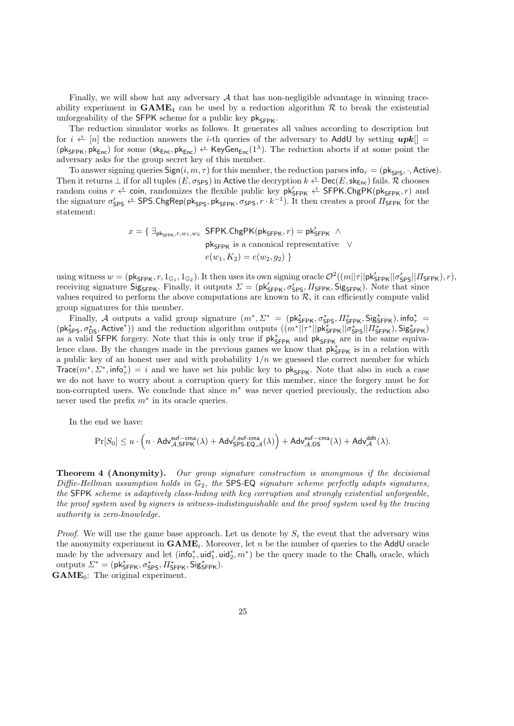Finally, we will show hat any adversary  $A$  that has non-negligible advantage in winning traceability experiment in  $GAME_4$  can be used by a reduction algorithm  $R$  to break the existential unforgeability of the SFPK scheme for a public key  $pk_{\text{SFR}}$ .

The reduction simulator works as follows. It generates all values according to description but for  $i \stackrel{\ast}{\leftarrow} [n]$  the reduction answers the *i*-th queries of the adversary to AddU by setting  $upk$  $(\mathsf{pk}_{\mathsf{SFPK}}, \mathsf{pk}_{\mathsf{Enc}})$  for some  $(\mathsf{sk}_{\mathsf{Enc}}, \mathsf{pk}_{\mathsf{Enc}}) \overset{\hspace{0.1em}\mathsf{\scriptscriptstyle\$}}{\leftarrow} \mathsf{KeyGen}_{\mathsf{Enc}}(1^\lambda)$ . The reduction aborts if at some point the adversary asks for the group secret key of this member.

To answer signing queries  $Sign(i, m, \tau)$  for this member, the reduction parses info<sub> $\tau$ </sub> = (pk<sub>SPS</sub>, ·, Active). Then it returns  $\perp$  if for all tuples  $(E, \sigma_{SPS})$  in Active the decryption  $k \overset{\ast}{\leftarrow} \text{Dec}(E, \text{sk}_{Enc})$  fails. R chooses random coins  $r \overset{\hspace{0.1em}\mathsf{\scriptscriptstyle\$}}{\leftarrow}$  coin, randomizes the flexible public key  $\mathsf{pk}_{\mathsf{SFPK}}' \overset{\hspace{0.1em}\mathsf{\scriptscriptstyle\$}}{\leftarrow}$  SFPK.ChgPK( $\mathsf{pk}_{\mathsf{SFPK}}', r$ ) and the signature  $\sigma_{\sf SPS}'$   $\xi^*$  SPS.ChgRep(pk<sub>SPS</sub>, pk<sub>SFPK</sub>,  $\sigma_{\sf SPS}, r\cdot k^{-1}$ ). It then creates a proof  $\Pi_{\sf SFPK}$  for the statement:

$$
x = \{ \exists_{\mathsf{pk}_{\mathsf{SFPK}}, r, w_1, w_2} \text{ SFPK}.\mathsf{ChgPK}(\mathsf{pk}_{\mathsf{SFPK}}, r) = \mathsf{pk}_{\mathsf{SFPK}}' \land \newline \mathsf{pk}_{\mathsf{SFPK}} \text{ is a canonical representative } \lor \newline e(w_1, K_2) = e(w_2, g_2) \}
$$

using witness  $w = (\mathsf{pk}_{\mathsf{SFPK}}, r, 1_{\mathbb{G}_1}, 1_{\mathbb{G}_2})$ . It then uses its own signing oracle  $\mathcal{O}^2((m||\tau||\mathsf{pk}_{\mathsf{SFPK}}'||\sigma_{\mathsf{SPS}}'||\mathsf{II}_{\mathsf{SFPK}}), r)$ , receiving signature  $\text{Sig}_{\text{SFPK}}$ . Finally, it outputs  $\Sigma = (\text{pk}_{\text{SFPK}}^{\prime}, \sigma_{\text{SPS}}^{\prime}, \Pi_{\text{SFPK}})$ ,  $\text{Sig}_{\text{SFPK}})$ . Note that since values required to perform the above computations are known to  $\mathcal{R}$ , it can efficiently compute valid group signatures for this member.

Finally, A outputs a valid group signature  $(m^*, \Sigma^* = (\mathsf{pk}_{\mathsf{SFPK}}^*, \sigma_{\mathsf{SPS}}^*, \Pi_{\mathsf{SFPK}}^*, \mathsf{Sig}_{\mathsf{SFPK}}^*)$ , info<sup>\*</sup>  $(pk_{SPS}^*, \sigma_{DS}^*,$  Active\*)) and the reduction algorithm outputs  $((m^*||\tau^*||p\vec{k}_{SFPK}^*||\vec{\sigma}_{SPS}^*||\vec{H}_{SFPK}^*),$  Sig $_{SFPK}^*$ as a valid SFPK forgery. Note that this is only true if  $pk_{\text{SFPK}}^*$  and  $pk_{\text{SFPK}}$  are in the same equivalence class. By the changes made in the previous games we know that  $pk^*_{SFPK}$  is in a relation with a public key of an honest user and with probability  $1/n$  we guessed the correct member for which Trace $(m^*, \Sigma^*, \text{info}_\tau^*) = i$  and we have set his public key to pk<sub>SFPK</sub>. Note that also in such a case we do not have to worry about a corruption query for this member, since the forgery must be for non-corrupted users. We conclude that since  $m^*$  was never queried previously, the reduction also never used the prefix  $m^*$  in its oracle queries.

In the end we have:

$$
\Pr[S_0] \leq u \cdot \Big( n \cdot \mathsf{Adv}_{\mathcal{A},\mathsf{SFFK}}^{\mathsf{euf-cma}}(\lambda) + \mathsf{Adv}_{\mathsf{SPS-EQ},\mathcal{A}}^{\ell,\mathsf{euf-cma}}(\lambda) \Big) + \mathsf{Adv}_{\mathcal{A},\mathsf{DS}}^{\mathsf{euf-cma}}(\lambda) + \mathsf{Adv}_{\mathcal{A}}^{\mathsf{ddh}}(\lambda).
$$

**Theorem 4 (Anonymity).** Our group signature construction is anonymous if the decisional Diffie-Hellman assumption holds in  $\mathbb{G}_2$ , the SPS-EQ signature scheme perfectly adapts signatures, the SFPK scheme is adaptively class-hiding with key corruption and strongly existential unforgeable, the proof system used by signers is witness-indistinguishable and the proof system used by the tracing authority is zero-knowledge.

*Proof.* We will use the game base approach. Let us denote by  $S_i$  the event that the adversary wins the anonymity experiment in  $GAME_i$ . Moreover, let n be the number of queries to the AddU oracle made by the adversary and let  $(\textsf{info}_{\tau}^*, \textsf{uid}_1^*, \textsf{uid}_2^*, m^*)$  be the query made to the Chall<sub>b</sub> oracle, which outputs  $\Sigma^* = (\mathsf{pk}_{\mathsf{SFPK}}^*, \sigma_{\mathsf{SPS}}^*, \Pi_{\mathsf{SFPK}}^*, \mathsf{Sig}_{\mathsf{SFPK}}^*).$  $GAME_0$ : The original experiment.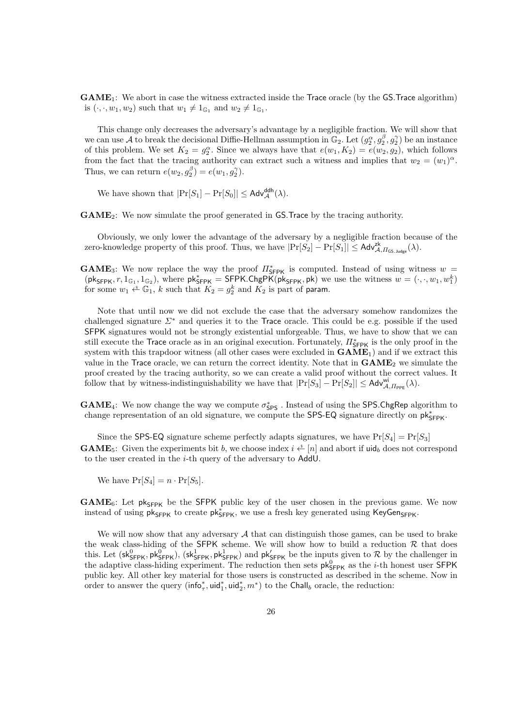$GAME_1$ : We abort in case the witness extracted inside the Trace oracle (by the  $GS$ .Trace algorithm) is  $(\cdot, \cdot, w_1, w_2)$  such that  $w_1 \neq 1_{\mathbb{G}_1}$  and  $w_2 \neq 1_{\mathbb{G}_1}$ .

This change only decreases the adversary's advantage by a negligible fraction. We will show that we can use A to break the decisional Diffie-Hellman assumption in  $\mathbb{G}_2$ . Let  $(g_2^{\alpha}, g_2^{\beta}, g_2^{\gamma})$  be an instance of this problem. We set  $K_2 = g_2^{\alpha}$ . Since we always have that  $e(w_1, K_2) = e(w_2, g_2)$ , which follows from the fact that the tracing authority can extract such a witness and implies that  $w_2 = (w_1)^{\alpha}$ . Thus, we can return  $e(w_2, g_2^{\beta}) = e(w_1, g_2^{\gamma})$ .

We have shown that  $|\Pr[S_1] - \Pr[S_0]| \leq \mathsf{Adv}_{\mathcal{A}}^{\mathsf{ddh}}(\lambda)$ .

GAME2: We now simulate the proof generated in GS.Trace by the tracing authority.

Obviously, we only lower the advantage of the adversary by a negligible fraction because of the zero-knowledge property of this proof. Thus, we have  $|\Pr[S_2] - \Pr[S_1]| \leq \mathsf{Adv}_{\mathcal{A},H_{\mathsf{GS,Judge}}}^{\mathsf{zk}}(\lambda)$ .

**GAME**<sub>3</sub>: We now replace the way the proof  $\pi_{\text{SFR}}$  is computed. Instead of using witness w =  $(\mathsf{pk}_{\mathsf{SFPK}}, r, 1_{\mathbb{G}_1}, 1_{\mathbb{G}_2}),$  where  $\mathsf{pk}_{\mathsf{SFPK}}^* = \mathsf{SFPK}$ . ChgPK $(\mathsf{pk}_{\mathsf{SFPK}}, \mathsf{pk})$  we use the witness  $w = (\cdot, \cdot, w_1, w_1^k)$ for some  $w_1 \stackrel{\hspace{1pt}\text{\tiny def}}{\leftarrow} \mathbb{G}_1$ , k such that  $K_2 = g_2^k$  and  $K_2$  is part of param.

Note that until now we did not exclude the case that the adversary somehow randomizes the challenged signature  $\Sigma^*$  and queries it to the Trace oracle. This could be e.g. possible if the used SFPK signatures would not be strongly existential unforgeable. Thus, we have to show that we can still execute the Trace oracle as in an original execution. Fortunately,  $\pi_{\mathsf{SFR}}^*$  is the only proof in the system with this trapdoor witness (all other cases were excluded in  $GAME<sub>1</sub>$ ) and if we extract this value in the Trace oracle, we can return the correct identity. Note that in  $GAME<sub>2</sub>$  we simulate the proof created by the tracing authority, so we can create a valid proof without the correct values. It follow that by witness-indistinguishability we have that  $|\Pr[S_3] - \Pr[S_2]| \leq \mathsf{Adv}_{\mathcal{A},\Pi_{\text{PPE}}}^{\text{wi}}(\lambda)$ .

**GAME**<sub>4</sub>: We now change the way we compute  $\sigma_{\text{SPS}}^*$ . Instead of using the SPS.ChgRep algorithm to change representation of an old signature, we compute the SPS-EQ signature directly on  $pk_{SFPK}^*$ .

Since the SPS-EQ signature scheme perfectly adapts signatures, we have  $Pr[S_4] = Pr[S_3]$ **GAME**<sub>5</sub>: Given the experiments bit b, we choose index  $i \leftarrow [n]$  and abort if uid<sub>b</sub> does not correspond to the user created in the i-th query of the adversary to AddU.

We have  $Pr[S_4] = n \cdot Pr[S_5].$ 

 $GAME_6$ : Let pk<sub>SFPK</sub> be the SFPK public key of the user chosen in the previous game. We now instead of using  $pk_{SFPK}$  to create  $pk_{SFPK}^*$ , we use a fresh key generated using KeyGen<sub>SFPK</sub>.

We will now show that any adversary  $A$  that can distinguish those games, can be used to brake the weak class-hiding of the SFPK scheme. We will show how to build a reduction  $R$  that does this. Let  $(\text{sk}_{\text{SFPK}}^0, \text{pk}_{\text{SFPK}}^0)$ ,  $(\text{sk}_{\text{SFPK}}^1, \text{pk}_{\text{SFPK}}^1)$  and  $\text{pk}_{\text{SFPK}}'$  be the inputs given to  $\mathcal{R}$  by the challenger in the adaptive class-hiding experiment. The reduction then sets  $pk_{SFPK}^0$  as the *i*-th honest user SFPK public key. All other key material for those users is constructed as described in the scheme. Now in order to answer the query (info<sup>\*</sup><sub>7</sub>, uid<sup>\*</sup><sub>1</sub>, uid<sup>\*</sup><sub>2</sub>, m<sup>\*</sup>) to the Chall<sub>b</sub> oracle, the reduction: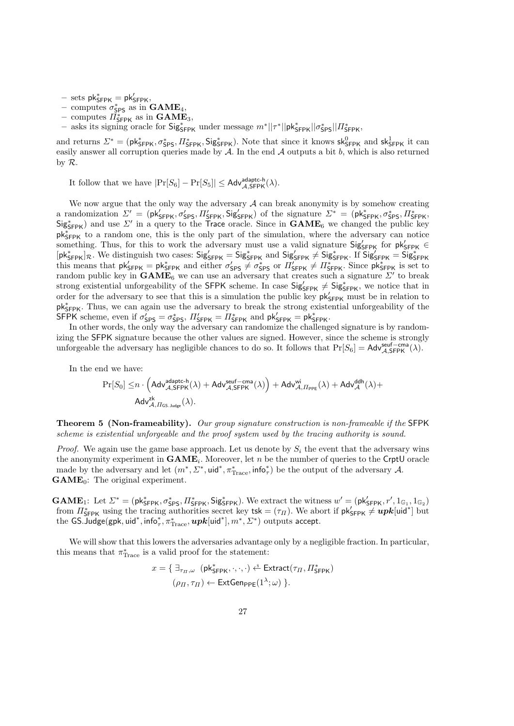- $-$  sets  $pk_{\mathsf{SFPK}}^* = pk_{\mathsf{SFPK}}'$ ,
- computes  $\sigma_{\text{SPS}}^*$  as in  $\text{GAME}_4$ ,
- computes  $\overrightarrow{H}_{\text{SFR}}^*$  as in  $\text{GAME}_3$ ,
- asks its signing oracle for  $\frac{1}{2}S_{\text{SPPK}}$  under message  $m^*||\tau^*||p\kappa^*_{\text{SPPK}}||\sigma^*_{\text{SPPK}}||H^*_{\text{SPPK}}$

and returns  $\Sigma^* = (\mathsf{pk}_{\mathsf{SFPK}}^*, \sigma_{\mathsf{SPS}}^*, \Pi_{\mathsf{SFPK}}^*, \mathsf{Sig}_{\mathsf{SFPK}}^*).$  Note that since it knows  $\mathsf{sk}_{\mathsf{SFPK}}^0$  and  $\mathsf{sk}_{\mathsf{SFPK}}^1$  it can easily answer all corruption queries made by  $A$ . In the end  $A$  outputs a bit  $b$ , which is also returned by R.

It follow that we have  $|\Pr[S_6] - \Pr[S_5]| \leq \mathsf{Adv}_{\mathcal{A}, \mathsf{SFRK}}^{\mathsf{adaptc-h}}(\lambda).$ 

We now argue that the only way the adversary  $A$  can break anonymity is by somehow creating a randomization  $\Sigma' = (\mathsf{pk}_{\mathsf{SFPK}}', \sigma_{\mathsf{SPS}}', \Pi_{\mathsf{SFPK}}'', \mathsf{Sig}_{\mathsf{SFPK}}')$  of the signature  $\Sigma^* = (\mathsf{pk}_{\mathsf{SFPK}}^*, \sigma_{\mathsf{SPS}}^*, \Pi_{\mathsf{SFPK}}^*, \sigma_{\mathsf{SPS}}^*, \Pi_{\mathsf{SFPK}}'')$  $Sig<sub>SFPK</sub><sup>*</sup>$ ) and use  $\Sigma'$  in a query to the Trace oracle. Since in  $GAME<sub>6</sub>$  we changed the public key pk<sub>SFPK</sub> to a random one, this is the only part of the simulation, where the adversary can notice something. Thus, for this to work the adversary must use a valid signature  $Sig'_{SFPK}$  for  $pk'_{SFPK}$  $[\mathsf{pk}_{\mathsf{SFPK}}^*]_{\mathcal{R}}$ . We distinguish two cases:  $\mathsf{Sig}_{\mathsf{SFPK}}' = \mathsf{Sig}_{\mathsf{SFPK}}^*$  and  $\mathsf{Sig}_{\mathsf{SFPK}}' \neq \mathsf{Sig}_{\mathsf{SFPK}}^*$ . If  $\mathsf{Sig}_{\mathsf{SFPK}}' = \mathsf{Sig}_{\mathsf{SFPK}}^*$ <br>this means that  $\mathsf{pk}_{\mathsf{SFPK}}' = \mathsf{pk}_{\mathsf{SFPK}}^*$  a random public key in  $\text{GAME}_6$  we can use an adversary that creates such a signature  $\Sigma'$  to break strong existential unforgeability of the SFPK scheme. In case  $Sig'_{SFPK} \neq Sig''_{SFPK}$ , we notice that in order for the adversary to see that this is a simulation the public key  $pk'_{SFPK}$  must be in relation to pk<sub>5FPK</sub>. Thus, we can again use the adversary to break the strong existential unforgeability of the SFPK scheme, even if  $\sigma_{SPS}' = \sigma_{SPS}^*$ ,  $\Pi_{SPPK}' = \Pi_{SPPK}^*$  and  $\mathsf{pk}_{SPPK}' = \mathsf{pk}_{SPPK}^*$ .

In other words, the only way the adversary can randomize the challenged signature is by randomizing the SFPK signature because the other values are signed. However, since the scheme is strongly unforgeable the adversary has negligible chances to do so. It follows that  $Pr[S_6] = \text{Adv}_{\mathcal{A}, \text{SFFK}}^{\text{self-cma}}(\lambda)$ .

In the end we have:

$$
\Pr[S_0] \leq n \cdot \Big( \mathsf{Adv}_{\mathcal{A},\mathsf{SFPK}}^{\mathsf{adaptc}\text{-}\mathsf{h}}(\lambda) + \mathsf{Adv}_{\mathcal{A},\mathsf{SFPK}}^{\mathsf{seuf-cma}}(\lambda) \Big) + \mathsf{Adv}_{\mathcal{A},\varPi_{\mathsf{PPE}}}^{\mathsf{wi}}(\lambda) + \mathsf{Adv}_{\mathcal{A}}^{\mathsf{ddh}}(\lambda) + \\ \mathsf{Adv}_{\mathcal{A},\varPi_{\mathsf{GS},\mathsf{Judge}}}^{\mathsf{zk}}(\lambda).
$$

Theorem 5 (Non-frameability). Our group signature construction is non-frameable if the SFPK scheme is existential unforgeable and the proof system used by the tracing authority is sound.

*Proof.* We again use the game base approach. Let us denote by  $S_i$  the event that the adversary wins the anonymity experiment in  $\text{GAME}_i$ . Moreover, let n be the number of queries to the CrptU oracle made by the adversary and let  $(m^*, \Sigma^*, \text{uid}^*, \pi_{\text{Trace}}^*, \text{info}_\tau^*)$  be the output of the adversary A.  $GAME_0$ : The original experiment.

**GAME**<sub>1</sub>: Let  $\mathcal{L}^* = (\mathsf{pk}_{\mathsf{SFPK}}^*, \sigma_{\mathsf{SPS}}^*, \Pi_{\mathsf{SFPK}}^*, \mathsf{Sig}_{\mathsf{SFPK}}^*)$ . We extract the witness  $w' = (\mathsf{pk}_{\mathsf{SFPK}}', r', 1_{\mathbb{G}_1}, 1_{\mathbb{G}_2})$ from  $\Pi_{\mathsf{SFR}}^*$  using the tracing authorities secret key tsk =  $(\tau_H)$ . We abort if  $\mathsf{pk}_{\mathsf{SFR}}' \neq \mathbf{upk}[\mathsf{uid}^*]$  but the GS.Judge(gpk, uid\*, info $^*_\tau, \pi^*_\text{Trace}, \bm{upk}$ [uid\*],  $m^*, \mathit{\Sigma}^*$ ) outputs accept.

We will show that this lowers the adversaries advantage only by a negligible fraction. In particular, this means that  $\pi^*_{\text{Trace}}$  is a valid proof for the statement:

$$
x = \{ \exists_{\tau_{\Pi},\omega} \ (\mathsf{pk}_{\mathsf{SFPK}}^*,\cdot,\cdot,\cdot) \xleftarrow{\$} \mathsf{Extract}(\tau_{\Pi},\Pi_{\mathsf{SFPK}}^*)\}
$$

$$
(\rho_{\Pi},\tau_{\Pi}) \leftarrow \mathsf{ExtGen}_{\mathsf{PPF}}(1^{\lambda};\omega) \}.
$$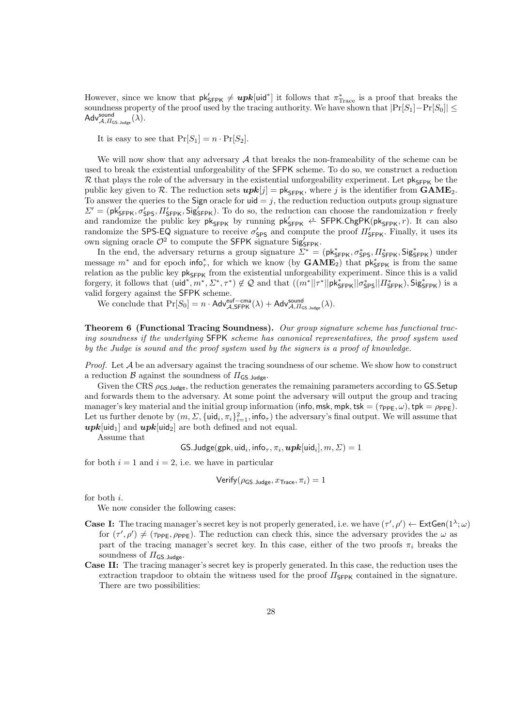However, since we know that  $pk'_{\text{SFPK}} \neq \boldsymbol{upk}[\text{uid}^*]$  it follows that  $\pi^*_{\text{Trace}}$  is a proof that breaks the soundness property of the proof used by the tracing authority. We have shown that  $|Pr[S_1]-Pr[S_0]| \le$  $\mathsf{Adv}_{\mathcal{A},\mathit{\Pi_{\mathsf{GS.Judge}}}}^{\mathsf{sound}}(\lambda).$ 

It is easy to see that  $Pr[S_1] = n \cdot Pr[S_2]$ .

We will now show that any adversary  $A$  that breaks the non-frameability of the scheme can be used to break the existential unforgeability of the SFPK scheme. To do so, we construct a reduction R that plays the role of the adversary in the existential unforgeability experiment. Let  $pk_{SFR}$  be the public key given to R. The reduction sets  $upk[j] = \mathsf{pk}_{\mathsf{SFR}}$ , where j is the identifier from  $\mathbf{GAME}_2$ . To answer the queries to the Sign oracle for  $\mathsf{uid} = j$ , the reduction reduction outputs group signature  $\Sigma' = (\mathsf{pk}_{\mathsf{SFRK}}'$ ,  $\sigma_{\mathsf{SPS}}'$ ,  $\Pi_{\mathsf{SFRK}}'$ ,  $\mathsf{Sig}_{\mathsf{SFRK}}'$ ). To do so, the reduction can choose the randomization r freely and randomize the public key  $pk_{SFPK}$  by running  $pk_{SFPK}$   $\overset{\hspace{0.1em}\mathsf{\scriptscriptstyle\$}}{\leftarrow}$  SFPK.ChgPK( $pk_{SFPK}, r$ ). It can also randomize the SPS-EQ signature to receive  $\sigma_{SPS}'$  and compute the proof  $\Pi_{SPR}'$ . Finally, it uses its own signing oracle  $\mathcal{O}^2$  to compute the SFPK signature SigSFPK.

In the end, the adversary returns a group signature  $\Sigma^* = (\mathsf{pk}_{\mathsf{SFPK}}^*, \sigma_{\mathsf{SPS}}^*, \Pi_{\mathsf{SFPK}}^*, \mathsf{Sig}_{\mathsf{SFPK}}^*)$  under message  $m^*$  and for epoch info<sup>\*</sup><sub>7</sub>, for which we know (by  $GAME_2$ ) that  $pk^*_{SFPK}$  is from the same relation as the public key  $pk_{SFPK}$  from the existential unforgeability experiment. Since this is a valid forgery, it follows that  $(\mathsf{uid}^*, m^*, \Sigma^*, \tau^*) \notin \mathcal{Q}$  and that  $((m^*||\tau^*||\mathsf{pk}_{\mathsf{SFPK}}^*||\sigma_{\mathsf{SPS}}^*||\Pi_{\mathsf{SFPK}}^*),$  Sig<sub>SFPK</sub>) is a valid forgery against the SFPK scheme.

We conclude that  $Pr[S_0] = n \cdot \mathsf{Adv}_{\mathcal{A}, \mathsf{SFPK}}^{\text{euf-cma}}(\lambda) + \mathsf{Adv}_{\mathcal{A}, \Pi_{\mathsf{GS, Jouge}}^{\text{sound}}(\lambda).$ 

Theorem 6 (Functional Tracing Soundness). Our group signature scheme has functional tracing soundness if the underlying SFPK scheme has canonical representatives, the proof system used by the Judge is sound and the proof system used by the signers is a proof of knowledge.

*Proof.* Let  $A$  be an adversary against the tracing soundness of our scheme. We show how to construct a reduction  $\beta$  against the soundness of  $\Pi_{\mathsf{GS},\mathsf{Judge}}$ .

Given the CRS  $\rho_{\text{GS},\text{Judge}}$ , the reduction generates the remaining parameters according to GS.Setup and forwards them to the adversary. At some point the adversary will output the group and tracing manager's key material and the initial group information (info, msk, mpk, tsk =  $(\tau_{PPE}, \omega)$ , tpk =  $\rho_{PPE}$ ). Let us further denote by  $(m, \Sigma, \{uid_i, \pi_i\}_{i=1}^2, \text{info}_{\tau})$  the adversary's final output. We will assume that  $upk[\text{uid}_1]$  and  $upk[\text{uid}_2]$  are both defined and not equal.

Assume that

 $\mathsf{GS}.\mathsf{Judge}(\mathsf{gpk},\mathsf{uid}_i,\mathsf{info}_\tau,\pi_i,\boldsymbol{upk}[\mathsf{uid}_i],m,\varSigma)=1$ 

for both  $i = 1$  and  $i = 2$ , i.e. we have in particular

Verify(
$$
\rho_{\text{GS.Judge}}, x_{\text{Trace}}, \pi_i
$$
) = 1

for both i.

We now consider the following cases:

- **Case I:** The tracing manager's secret key is not properly generated, i.e. we have  $(\tau', \rho') \leftarrow \text{ExtGen}(1^{\lambda}; \omega)$ for  $(\tau', \rho') \neq (\tau_{\text{PPE}}, \rho_{\text{PPE}})$ . The reduction can check this, since the adversary provides the  $\omega$  as part of the tracing manager's secret key. In this case, either of the two proofs  $\pi_i$  breaks the soundness of  $\Pi_{\mathsf{GS}.\mathsf{Judge}}$ .
- Case II: The tracing manager's secret key is properly generated. In this case, the reduction uses the extraction trapdoor to obtain the witness used for the proof  $\Pi_{\mathsf{SFR}}$  contained in the signature. There are two possibilities: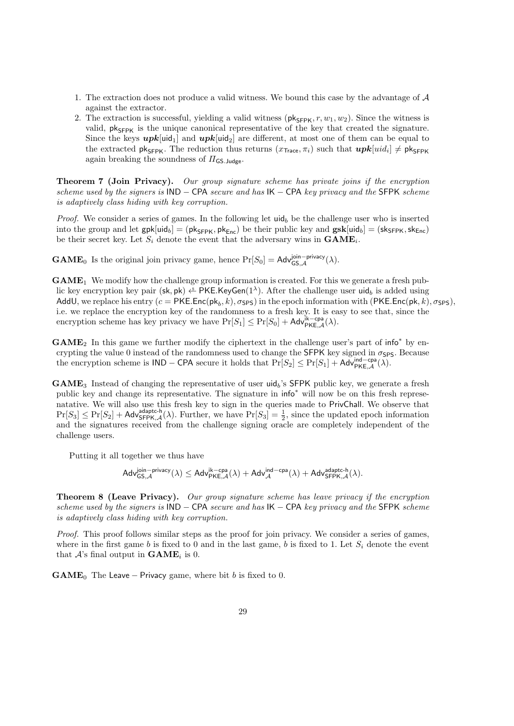- 1. The extraction does not produce a valid witness. We bound this case by the advantage of A against the extractor.
- 2. The extraction is successful, yielding a valid witness ( $pk_{\text{SFRK}}$ ,  $r, w_1, w_2$ ). Since the witness is valid,  $pk_{SFPK}$  is the unique canonical representative of the key that created the signature. Since the keys  $upk[\text{uid}_1]$  and  $upk[\text{uid}_2]$  are different, at most one of them can be equal to the extracted  $\mathsf{pk}_{\mathsf{SFPK}}$ . The reduction thus returns  $(x_{\mathsf{Trace}}, \pi_i)$  such that  $\mathbf{upk}[uid_i] \neq \mathsf{pk}_{\mathsf{SFPK}}$ again breaking the soundness of  $\Pi_{\mathsf{GS, Jude}}$ .

Theorem 7 (Join Privacy). Our group signature scheme has private joins if the encryption scheme used by the signers is  $IND - CPA$  secure and has  $IK - CPA$  key privacy and the SFPK scheme is adaptively class hiding with key corruption.

*Proof.* We consider a series of games. In the following let  $uid_b$  be the challenge user who is inserted into the group and let  $gpk[uid_b] = (pk_{SFPK}, pk_{Enc})$  be their public key and  $gsk[uid_b] = (sk_{SFPK}, sk_{Enc})$ be their secret key. Let  $S_i$  denote the event that the adversary wins in  $\text{GAME}_i$ .

**GAME**<sub>0</sub> Is the original join privacy game, hence  $Pr[S_0] = \text{Adv}_{GS,\mathcal{A}}^{\text{join- privacy}}(\lambda)$ .

 $GAME<sub>1</sub>$  We modify how the challenge group information is created. For this we generate a fresh public key encryption key pair (sk, pk)  $\xi^s$  PKE.KeyGen(1<sup> $\lambda$ </sup>). After the challenge user uid<sub>b</sub> is added using AddU, we replace his entry  $(c = \textsf{PKE}.\textsf{Enc}(\textsf{pk}_b,k),\sigma_\textsf{SPS})$  in the epoch information with  $(\textsf{PKE}.\textsf{Enc}(\textsf{pk},k),\sigma_\textsf{SPS}),$ i.e. we replace the encryption key of the randomness to a fresh key. It is easy to see that, since the encryption scheme has key privacy we have  $Pr[S_1] \le Pr[S_0] + \mathsf{Adv}_{\mathsf{PKE},\mathcal{A}}^{\mathsf{ik}-\mathsf{cpa}}(\lambda)$ .

 $GAME<sub>2</sub>$  In this game we further modify the ciphertext in the challenge user's part of info<sup>\*</sup> by encrypting the value 0 instead of the randomness used to change the SFPK key signed in  $\sigma_{\text{SPS}}$ . Because the encryption scheme is  $\mathsf{IND} - \mathsf{CPA}$  secure it holds that  $\Pr[S_2] \leq \Pr[S_1] + \mathsf{Adv}_{\mathsf{PKE},\mathcal{A}}^{\mathsf{ind}-\mathsf{cpa}}(\lambda)$ .

 $GAME<sub>3</sub>$  Instead of changing the representative of user uid<sub>b</sub>'s SFPK public key, we generate a fresh public key and change its representative. The signature in  $info^*$  will now be on this fresh represenatative. We will also use this fresh key to sign in the queries made to PrivChall. We observe that  $Pr[S_3] \leq Pr[S_2] + \mathsf{Adv}_{\mathsf{SFRK},\mathcal{A}}^{\mathsf{adaptc-h}}(\lambda)$ . Further, we have  $Pr[S_3] = \frac{1}{2}$ , since the updated epoch information and the signatures received from the challenge signing oracle are completely independent of the challenge users.

Putting it all together we thus have

$$
\mathsf{Adv}_{\mathsf{GS},\mathcal{A}}^{\mathsf{join-privacy}}(\lambda) \leq \mathsf{Adv}_{\mathsf{PKE},\mathcal{A}}^{\mathsf{ik-cpa}}(\lambda) + \mathsf{Adv}_{\mathcal{A}}^{\mathsf{ind-cpa}}(\lambda) + \mathsf{Adv}_{\mathsf{SFPK},\mathcal{A}}^{\mathsf{adaptc-h}}(\lambda).
$$

**Theorem 8 (Leave Privacy).** Our group signature scheme has leave privacy if the encryption scheme used by the signers is  $IND - CPA$  secure and has  $IK - CPA$  key privacy and the SFPK scheme is adaptively class hiding with key corruption.

Proof. This proof follows similar steps as the proof for join privacy. We consider a series of games, where in the first game b is fixed to 0 and in the last game, b is fixed to 1. Let  $S_i$  denote the event that  $\mathcal{A}$ 's final output in  $\text{GAME}_i$  is 0.

**GAME**<sub>0</sub> The Leave – Privacy game, where bit b is fixed to 0.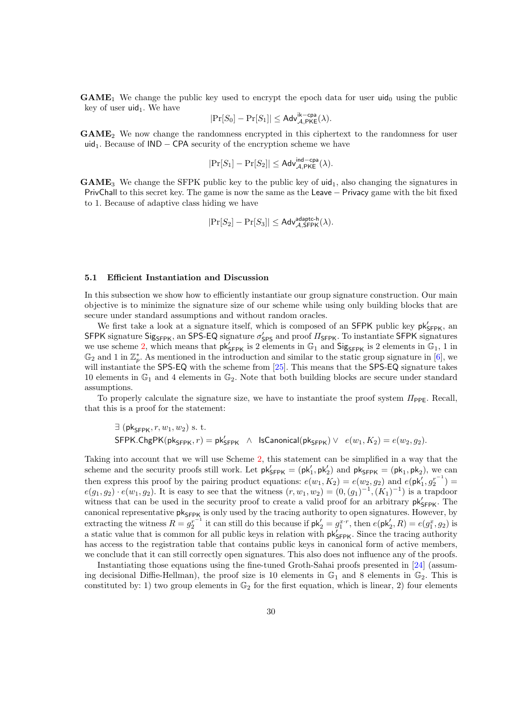$GAME<sub>1</sub>$  We change the public key used to encrypt the epoch data for user uid<sub>0</sub> using the public key of user  $uid_1$ . We have

$$
|\Pr[S_0] - \Pr[S_1]| \leq \mathsf{Adv}_{\mathcal{A},\mathsf{PKE}}^{\mathsf{ik-cpa}}(\lambda).
$$

GAME<sup>2</sup> We now change the randomness encrypted in this ciphertext to the randomness for user uid<sub>1</sub>. Because of  $IND - CPA$  security of the encryption scheme we have

$$
|\mathrm{Pr}[S_1]-\mathrm{Pr}[S_2]|\leq \mathsf{Adv}_{\mathcal{A},\mathsf{PKE}}^{\mathsf{ind-cpa}}(\lambda).
$$

 $GAME<sub>3</sub>$  We change the SFPK public key to the public key of uid<sub>1</sub>, also changing the signatures in PrivChall to this secret key. The game is now the same as the Leave − Privacy game with the bit fixed to 1. Because of adaptive class hiding we have

$$
|\mathrm{Pr}[S_2] - \mathrm{Pr}[S_3]| \leq \mathsf{Adv}_{\mathcal{A}, \mathsf{SFPK}}^{\mathsf{adaptc-h}}(\lambda).
$$

## 5.1 Efficient Instantiation and Discussion

In this subsection we show how to efficiently instantiate our group signature construction. Our main objective is to minimize the signature size of our scheme while using only building blocks that are secure under standard assumptions and without random oracles.

We first take a look at a signature itself, which is composed of an SFPK public key  $pk'_{SFPK}$ , an SFPK signature Sig<sub>SFPK</sub>, an SPS-EQ signature  $\sigma'_{SPS}$  and proof  $\Pi_{SPPK}$ . To instantiate SFPK signatures we use scheme [2,](#page-18-0) which means that  $pk'_{SFPK}$  is 2 elements in  $\mathbb{G}_1$  and  $Sig_{SFPK}$  is 2 elements in  $\mathbb{G}_1$ , 1 in  $\mathbb{G}_2$  and 1 in  $\mathbb{Z}_p^*$ . As mentioned in the introduction and similar to the static group signature in [\[6\]](#page-31-8), we will instantiate the SPS-EQ with the scheme from [\[25\]](#page-32-8). This means that the SPS-EQ signature takes 10 elements in  $\mathbb{G}_1$  and 4 elements in  $\mathbb{G}_2$ . Note that both building blocks are secure under standard assumptions.

To properly calculate the signature size, we have to instantiate the proof system  $\Pi_{\text{PPE}}$ . Recall, that this is a proof for the statement:

$$
\exists \; (\mathsf{pk}_{\mathsf{SFPK}}, r, w_1, w_2) \; \text{s. t.}
$$
\n
$$
\mathsf{SFPK}.\mathsf{ChgPK}(\mathsf{pk}_{\mathsf{SFPK}}, r) = \mathsf{pk}_{\mathsf{SFPK}}' \; \wedge \; \mathsf{IsCanonical}(\mathsf{pk}_{\mathsf{SFPK}}) \vee \; e(w_1, K_2) = e(w_2, g_2).
$$

Taking into account that we will use Scheme [2,](#page-18-0) this statement can be simplified in a way that the scheme and the security proofs still work. Let  $pk'_{SFPK} = (pk'_1, pk'_2)$  and  $pk_{SFPK} = (pk_1, pk_2)$ , we can then express this proof by the pairing product equations:  $e(w_1, K_2) = e(w_2, g_2)$  and  $e(\mathsf{pk}'_1, g_2^{r^{-1}}) =$  $e(g_1, g_2) \cdot e(w_1, g_2)$ . It is easy to see that the witness  $(r, w_1, w_2) = (0, (g_1)^{-1}, (K_1)^{-1})$  is a trapdoor witness that can be used in the security proof to create a valid proof for an arbitrary  $pk'_{SFPK}$ . The canonical representative  $pk_{SFPK}$  is only used by the tracing authority to open signatures. However, by extracting the witness  $R = g_2^{r^{-1}}$  it can still do this because if  $pk'_2 = g_1^{x \cdot r}$ , then  $e(pk'_2, R) = e(g_1^x, g_2)$  is a static value that is common for all public keys in relation with  $pk'_{SFPK}$ . Since the tracing authority has access to the registration table that contains public keys in canonical form of active members, we conclude that it can still correctly open signatures. This also does not influence any of the proofs.

Instantiating those equations using the fine-tuned Groth-Sahai proofs presented in [\[24\]](#page-32-12) (assuming decisional Diffie-Hellman), the proof size is 10 elements in  $\mathbb{G}_1$  and 8 elements in  $\mathbb{G}_2$ . This is constituted by: 1) two group elements in  $\mathbb{G}_2$  for the first equation, which is linear, 2) four elements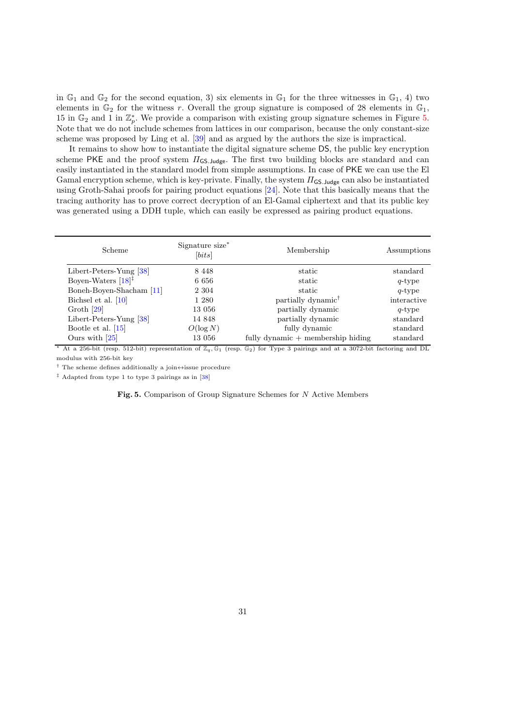in  $\mathbb{G}_1$  and  $\mathbb{G}_2$  for the second equation, 3) six elements in  $\mathbb{G}_1$  for the three witnesses in  $\mathbb{G}_1$ , 4) two elements in  $\mathbb{G}_2$  for the witness r. Overall the group signature is composed of 28 elements in  $\mathbb{G}_1$ , 15 in  $\mathbb{G}_2$  and 1 in  $\mathbb{Z}_p^*$ . We provide a comparison with existing group signature schemes in Figure [5.](#page-30-0) Note that we do not include schemes from lattices in our comparison, because the only constant-size scheme was proposed by Ling et al. [\[39\]](#page-34-3) and as argued by the authors the size is impractical.

It remains to show how to instantiate the digital signature scheme DS, the public key encryption scheme PKE and the proof system  $\Pi_{\text{GS},\text{Judge}}$ . The first two building blocks are standard and can easily instantiated in the standard model from simple assumptions. In case of PKE we can use the El Gamal encryption scheme, which is key-private. Finally, the system  $\Pi_{\mathsf{GS,Judge}}$  can also be instantiated using Groth-Sahai proofs for pairing product equations [\[24\]](#page-32-12). Note that this basically means that the tracing authority has to prove correct decryption of an El-Gamal ciphertext and that its public key was generated using a DDH tuple, which can easily be expressed as pairing product equations.

| Scheme                              | Signature size*<br>[bits] | Membership                                         | Assumptions |
|-------------------------------------|---------------------------|----------------------------------------------------|-------------|
| Libert-Peters-Yung [38]             | 8 4 4 8                   | static                                             | standard    |
| Boyen-Waters $[18]$ <sup>‡</sup>    | 6 6 5 6                   | static                                             | $q$ -type   |
| Boneh-Boyen-Shacham <sup>[11]</sup> | 2 3 0 4                   | static                                             | $q$ -type   |
| Bichsel et al. $[10]$               | 1 280                     | partially dynamic <sup><math>\uparrow</math></sup> | interactive |
| Groth $[29]$                        | 13 056                    | partially dynamic                                  | $q$ -type   |
| Libert-Peters-Yung [38]             | 14 848                    | partially dynamic                                  | standard    |
| Bootle et al. $[15]$                | $O(\log N)$               | fully dynamic                                      | standard    |
| Ours with $\vert 25 \vert$          | 13 056                    | fully dynamic $+$ membership hiding                | standard    |

<sup>\*</sup> At a 256-bit (resp. 512-bit) representation of  $\mathbb{Z}_q$ ,  $\mathbb{G}_1$  (resp.  $\mathbb{G}_2$ ) for Type 3 pairings and at a 3072-bit factoring and DL modulus with 256-bit key

<sup>†</sup> The scheme defines additionally a join $\leftrightarrow$ issue procedure

 $^\ddag$  Adapted from type 1 to type 3 pairings as in [\[38\]](#page-34-2)

## <span id="page-30-0"></span>Fig. 5. Comparison of Group Signature Schemes for N Active Members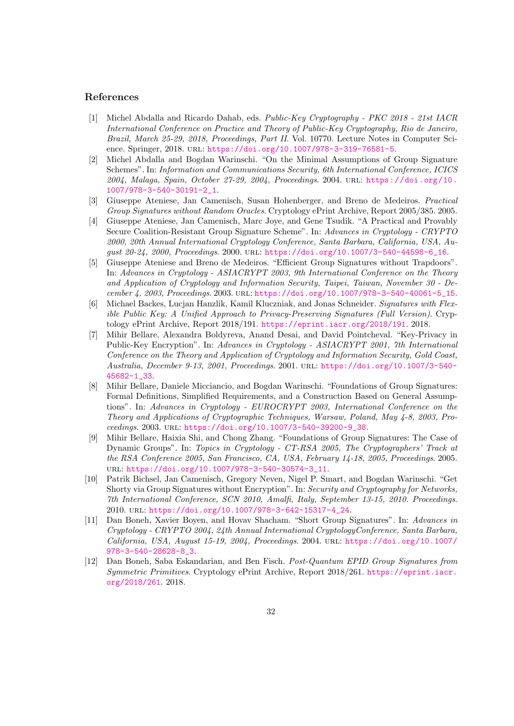## References

- [1] Michel Abdalla and Ricardo Dahab, eds. Public-Key Cryptography PKC 2018 21st IACR International Conference on Practice and Theory of Public-Key Cryptography, Rio de Janeiro, Brazil, March 25-29, 2018, Proceedings, Part II. Vol. 10770. Lecture Notes in Computer Science. Springer, 2018. url: <https://doi.org/10.1007/978-3-319-76581-5>.
- <span id="page-31-2"></span>[2] Michel Abdalla and Bogdan Warinschi. "On the Minimal Assumptions of Group Signature Schemes". In: Information and Communications Security, 6th International Conference, ICICS 2004, Malaga, Spain, October 27-29, 2004, Proceedings. 2004. url: [https://doi.org/10.](https://doi.org/10.1007/978-3-540-30191-2_1) [1007/978-3-540-30191-2\\_1](https://doi.org/10.1007/978-3-540-30191-2_1).
- <span id="page-31-7"></span>[3] Giuseppe Ateniese, Jan Camenisch, Susan Hohenberger, and Breno de Medeiros. Practical Group Signatures without Random Oracles. Cryptology ePrint Archive, Report 2005/385. 2005.
- <span id="page-31-4"></span>[4] Giuseppe Ateniese, Jan Camenisch, Marc Joye, and Gene Tsudik. "A Practical and Provably Secure Coalition-Resistant Group Signature Scheme". In: Advances in Cryptology - CRYPTO 2000, 20th Annual International Cryptology Conference, Santa Barbara, California, USA, August 20-24, 2000, Proceedings. 2000. url: [https://doi.org/10.1007/3-540-44598-6\\_16](https://doi.org/10.1007/3-540-44598-6_16).
- <span id="page-31-5"></span>[5] Giuseppe Ateniese and Breno de Medeiros. "Efficient Group Signatures without Trapdoors". In: Advances in Cryptology - ASIACRYPT 2003, 9th International Conference on the Theory and Application of Cryptology and Information Security, Taipei, Taiwan, November 30 - December 4, 2003, Proceedings. 2003. url: [https://doi.org/10.1007/978-3-540-40061-5\\_15](https://doi.org/10.1007/978-3-540-40061-5_15).
- <span id="page-31-8"></span>[6] Michael Backes, Lucjan Hanzlik, Kamil Kluczniak, and Jonas Schneider. Signatures with Flexible Public Key: A Unified Approach to Privacy-Preserving Signatures (Full Version). Cryptology ePrint Archive, Report 2018/191. <https://eprint.iacr.org/2018/191>. 2018.
- <span id="page-31-10"></span>[7] Mihir Bellare, Alexandra Boldyreva, Anand Desai, and David Pointcheval. "Key-Privacy in Public-Key Encryption". In: Advances in Cryptology - ASIACRYPT 2001, 7th International Conference on the Theory and Application of Cryptology and Information Security, Gold Coast, Australia, December 9-13, 2001, Proceedings. 2001. url: [https://doi.org/10.1007/3-540-](https://doi.org/10.1007/3-540-45682-1_33) [45682-1\\_33](https://doi.org/10.1007/3-540-45682-1_33).
- <span id="page-31-0"></span>[8] Mihir Bellare, Daniele Micciancio, and Bogdan Warinschi. "Foundations of Group Signatures: Formal Definitions, Simplified Requirements, and a Construction Based on General Assumptions". In: Advances in Cryptology - EUROCRYPT 2003, International Conference on the Theory and Applications of Cryptographic Techniques, Warsaw, Poland, May 4-8, 2003, Proceedings. 2003. url: [https://doi.org/10.1007/3-540-39200-9\\_38](https://doi.org/10.1007/3-540-39200-9_38).
- <span id="page-31-1"></span>[9] Mihir Bellare, Haixia Shi, and Chong Zhang. "Foundations of Group Signatures: The Case of Dynamic Groups". In: Topics in Cryptology - CT-RSA 2005, The Cryptographers' Track at the RSA Conference 2005, San Francisco, CA, USA, February 14-18, 2005, Proceedings. 2005. url: [https://doi.org/10.1007/978-3-540-30574-3\\_11](https://doi.org/10.1007/978-3-540-30574-3_11).
- <span id="page-31-3"></span>[10] Patrik Bichsel, Jan Camenisch, Gregory Neven, Nigel P. Smart, and Bogdan Warinschi. "Get Shorty via Group Signatures without Encryption". In: Security and Cryptography for Networks, 7th International Conference, SCN 2010, Amalfi, Italy, September 13-15, 2010. Proceedings. 2010. url: [https://doi.org/10.1007/978-3-642-15317-4\\_24](https://doi.org/10.1007/978-3-642-15317-4_24).
- <span id="page-31-6"></span>[11] Dan Boneh, Xavier Boyen, and Hovav Shacham. "Short Group Signatures". In: Advances in Cryptology - CRYPTO 2004, 24th Annual International CryptologyConference, Santa Barbara, California, USA, August 15-19, 2004, Proceedings. 2004. URL: [https://doi.org/10.1007/](https://doi.org/10.1007/978-3-540-28628-8_3) [978-3-540-28628-8\\_3](https://doi.org/10.1007/978-3-540-28628-8_3).
- <span id="page-31-9"></span>[12] Dan Boneh, Saba Eskandarian, and Ben Fisch. Post-Quantum EPID Group Signatures from Symmetric Primitives. Cryptology ePrint Archive, Report 2018/261. [https://eprint.iacr.](https://eprint.iacr.org/2018/261) [org/2018/261](https://eprint.iacr.org/2018/261). 2018.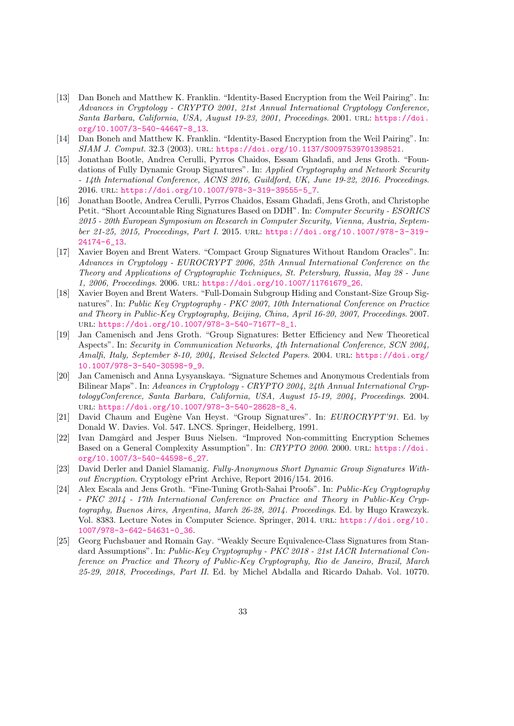- <span id="page-32-9"></span>[13] Dan Boneh and Matthew K. Franklin. "Identity-Based Encryption from the Weil Pairing". In: Advances in Cryptology - CRYPTO 2001, 21st Annual International Cryptology Conference, Santa Barbara, California, USA, August 19-23, 2001, Proceedings. 2001. URL: [https://doi.](https://doi.org/10.1007/3-540-44647-8_13) [org/10.1007/3-540-44647-8\\_13](https://doi.org/10.1007/3-540-44647-8_13).
- <span id="page-32-10"></span>[14] Dan Boneh and Matthew K. Franklin. "Identity-Based Encryption from the Weil Pairing". In: SIAM J. Comput. 32.3 (2003). url: <https://doi.org/10.1137/S0097539701398521>.
- <span id="page-32-1"></span>[15] Jonathan Bootle, Andrea Cerulli, Pyrros Chaidos, Essam Ghadafi, and Jens Groth. "Foundations of Fully Dynamic Group Signatures". In: Applied Cryptography and Network Security - 14th International Conference, ACNS 2016, Guildford, UK, June 19-22, 2016. Proceedings. 2016. url: [https://doi.org/10.1007/978-3-319-39555-5\\_7](https://doi.org/10.1007/978-3-319-39555-5_7).
- <span id="page-32-6"></span>[16] Jonathan Bootle, Andrea Cerulli, Pyrros Chaidos, Essam Ghadafi, Jens Groth, and Christophe Petit. "Short Accountable Ring Signatures Based on DDH". In: Computer Security - ESORICS 2015 - 20th European Symposium on Research in Computer Security, Vienna, Austria, September 21-25, 2015, Proceedings, Part I. 2015. url: [https://doi.org/10.1007/978- 3- 319-](https://doi.org/10.1007/978-3-319-24174-6_13) [24174-6\\_13](https://doi.org/10.1007/978-3-319-24174-6_13).
- <span id="page-32-4"></span>[17] Xavier Boyen and Brent Waters. "Compact Group Signatures Without Random Oracles". In: Advances in Cryptology - EUROCRYPT 2006, 25th Annual International Conference on the Theory and Applications of Cryptographic Techniques, St. Petersburg, Russia, May 28 - June 1, 2006, Proceedings. 2006. url: [https://doi.org/10.1007/11761679\\_26](https://doi.org/10.1007/11761679_26).
- <span id="page-32-5"></span>[18] Xavier Boyen and Brent Waters. "Full-Domain Subgroup Hiding and Constant-Size Group Signatures". In: Public Key Cryptography - PKC 2007, 10th International Conference on Practice and Theory in Public-Key Cryptography, Beijing, China, April 16-20, 2007, Proceedings. 2007. url: [https://doi.org/10.1007/978-3-540-71677-8\\_1](https://doi.org/10.1007/978-3-540-71677-8_1).
- <span id="page-32-2"></span>[19] Jan Camenisch and Jens Groth. "Group Signatures: Better Efficiency and New Theoretical Aspects". In: Security in Communication Networks, 4th International Conference, SCN 2004, Amalfi, Italy, September 8-10, 2004, Revised Selected Papers. 2004. URL: [https://doi.org/](https://doi.org/10.1007/978-3-540-30598-9_9) [10.1007/978-3-540-30598-9\\_9](https://doi.org/10.1007/978-3-540-30598-9_9).
- <span id="page-32-3"></span>[20] Jan Camenisch and Anna Lysyanskaya. "Signature Schemes and Anonymous Credentials from Bilinear Maps". In: Advances in Cryptology - CRYPTO 2004, 24th Annual International CryptologyConference, Santa Barbara, California, USA, August 15-19, 2004, Proceedings. 2004. url: [https://doi.org/10.1007/978-3-540-28628-8\\_4](https://doi.org/10.1007/978-3-540-28628-8_4).
- <span id="page-32-0"></span>[21] David Chaum and Eugène Van Heyst. "Group Signatures". In: EUROCRYPT'91. Ed. by Donald W. Davies. Vol. 547. LNCS. Springer, Heidelberg, 1991.
- <span id="page-32-11"></span>[22] Ivan Damgård and Jesper Buus Nielsen. "Improved Non-committing Encryption Schemes Based on a General Complexity Assumption". In: CRYPTO 2000. 2000. url: [https://doi.](https://doi.org/10.1007/3-540-44598-6_27) [org/10.1007/3-540-44598-6\\_27](https://doi.org/10.1007/3-540-44598-6_27).
- <span id="page-32-7"></span>[23] David Derler and Daniel Slamanig. Fully-Anonymous Short Dynamic Group Signatures Without Encryption. Cryptology ePrint Archive, Report 2016/154. 2016.
- <span id="page-32-12"></span>[24] Alex Escala and Jens Groth. "Fine-Tuning Groth-Sahai Proofs". In: Public-Key Cryptography - PKC 2014 - 17th International Conference on Practice and Theory in Public-Key Cryptography, Buenos Aires, Argentina, March 26-28, 2014. Proceedings. Ed. by Hugo Krawczyk. Vol. 8383. Lecture Notes in Computer Science. Springer, 2014. url: [https://doi.org/10.](https://doi.org/10.1007/978-3-642-54631-0_36) [1007/978-3-642-54631-0\\_36](https://doi.org/10.1007/978-3-642-54631-0_36).
- <span id="page-32-8"></span>[25] Georg Fuchsbauer and Romain Gay. "Weakly Secure Equivalence-Class Signatures from Standard Assumptions". In: Public-Key Cryptography - PKC 2018 - 21st IACR International Conference on Practice and Theory of Public-Key Cryptography, Rio de Janeiro, Brazil, March 25-29, 2018, Proceedings, Part II. Ed. by Michel Abdalla and Ricardo Dahab. Vol. 10770.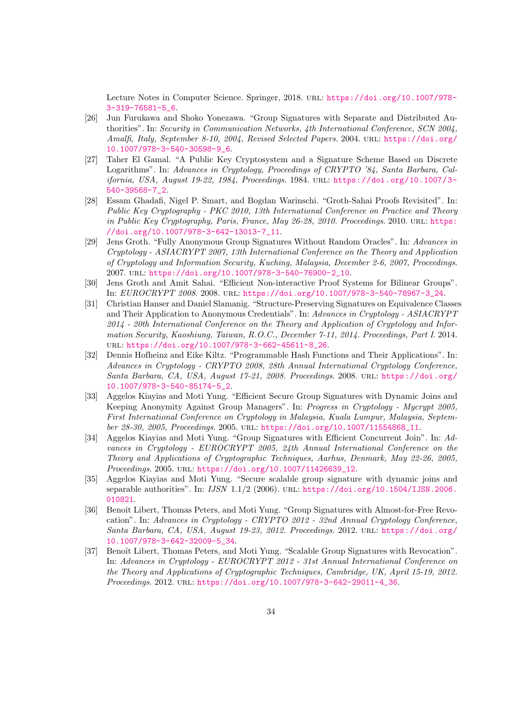Lecture Notes in Computer Science. Springer, 2018. URL: [https://doi.org/10.1007/978-](https://doi.org/10.1007/978-3-319-76581-5_6) [3-319-76581-5\\_6](https://doi.org/10.1007/978-3-319-76581-5_6).

- <span id="page-33-3"></span>[26] Jun Furukawa and Shoko Yonezawa. "Group Signatures with Separate and Distributed Authorities". In: Security in Communication Networks, 4th International Conference, SCN 2004, Amalfi, Italy, September 8-10, 2004, Revised Selected Papers. 2004. url: [https://doi.org/](https://doi.org/10.1007/978-3-540-30598-9_6) [10.1007/978-3-540-30598-9\\_6](https://doi.org/10.1007/978-3-540-30598-9_6).
- <span id="page-33-11"></span>[27] Taher El Gamal. "A Public Key Cryptosystem and a Signature Scheme Based on Discrete Logarithms". In: Advances in Cryptology, Proceedings of CRYPTO '84, Santa Barbara, California, USA, August 19-22, 1984, Proceedings. 1984. url: [https://doi.org/10.1007/3-](https://doi.org/10.1007/3-540-39568-7_2) [540-39568-7\\_2](https://doi.org/10.1007/3-540-39568-7_2).
- <span id="page-33-10"></span>[28] Essam Ghadafi, Nigel P. Smart, and Bogdan Warinschi. "Groth-Sahai Proofs Revisited". In: Public Key Cryptography - PKC 2010, 13th International Conference on Practice and Theory in Public Key Cryptography, Paris, France, May 26-28, 2010. Proceedings. 2010. URL: [https:](https://doi.org/10.1007/978-3-642-13013-7_11) [//doi.org/10.1007/978-3-642-13013-7\\_11](https://doi.org/10.1007/978-3-642-13013-7_11).
- <span id="page-33-5"></span>[29] Jens Groth. "Fully Anonymous Group Signatures Without Random Oracles". In: Advances in Cryptology - ASIACRYPT 2007, 13th International Conference on the Theory and Application of Cryptology and Information Security, Kuching, Malaysia, December 2-6, 2007, Proceedings. 2007. url: [https://doi.org/10.1007/978-3-540-76900-2\\_10](https://doi.org/10.1007/978-3-540-76900-2_10).
- <span id="page-33-4"></span>[30] Jens Groth and Amit Sahai. "Efficient Non-interactive Proof Systems for Bilinear Groups". In: EUROCRYPT 2008. 2008. url: [https://doi.org/10.1007/978-3-540-78967-3\\_24](https://doi.org/10.1007/978-3-540-78967-3_24).
- <span id="page-33-9"></span>[31] Christian Hanser and Daniel Slamanig. "Structure-Preserving Signatures on Equivalence Classes and Their Application to Anonymous Credentials". In: Advances in Cryptology - ASIACRYPT 2014 - 20th International Conference on the Theory and Application of Cryptology and Information Security, Kaoshiung, Taiwan, R.O.C., December 7-11, 2014. Proceedings, Part I. 2014. url: [https://doi.org/10.1007/978-3-662-45611-8\\_26](https://doi.org/10.1007/978-3-662-45611-8_26).
- <span id="page-33-8"></span>[32] Dennis Hofheinz and Eike Kiltz. "Programmable Hash Functions and Their Applications". In: Advances in Cryptology - CRYPTO 2008, 28th Annual International Cryptology Conference, Santa Barbara, CA, USA, August 17-21, 2008. Proceedings. 2008. URL: [https://doi.org/](https://doi.org/10.1007/978-3-540-85174-5_2) [10.1007/978-3-540-85174-5\\_2](https://doi.org/10.1007/978-3-540-85174-5_2).
- <span id="page-33-2"></span>[33] Aggelos Kiayias and Moti Yung. "Efficient Secure Group Signatures with Dynamic Joins and Keeping Anonymity Against Group Managers". In: Progress in Cryptology - Mycrypt 2005, First International Conference on Cryptology in Malaysia, Kuala Lumpur, Malaysia, September 28-30, 2005, Proceedings. 2005. url: [https://doi.org/10.1007/11554868\\_11](https://doi.org/10.1007/11554868_11).
- <span id="page-33-0"></span>[34] Aggelos Kiayias and Moti Yung. "Group Signatures with Efficient Concurrent Join". In: Advances in Cryptology - EUROCRYPT 2005, 24th Annual International Conference on the Theory and Applications of Cryptographic Techniques, Aarhus, Denmark, May 22-26, 2005, Proceedings. 2005. URL: [https://doi.org/10.1007/11426639\\_12](https://doi.org/10.1007/11426639_12).
- <span id="page-33-1"></span>[35] Aggelos Kiayias and Moti Yung. "Secure scalable group signature with dynamic joins and separable authorities". In: IJSN 1.1/2 (2006). url: [https://doi.org/10.1504/IJSN.2006.](https://doi.org/10.1504/IJSN.2006.010821) [010821](https://doi.org/10.1504/IJSN.2006.010821).
- <span id="page-33-7"></span>[36] Benoît Libert, Thomas Peters, and Moti Yung. "Group Signatures with Almost-for-Free Revocation". In: Advances in Cryptology - CRYPTO 2012 - 32nd Annual Cryptology Conference, Santa Barbara, CA, USA, August 19-23, 2012. Proceedings. 2012. URL: [https://doi.org/](https://doi.org/10.1007/978-3-642-32009-5_34) [10.1007/978-3-642-32009-5\\_34](https://doi.org/10.1007/978-3-642-32009-5_34).
- <span id="page-33-6"></span>[37] Benoît Libert, Thomas Peters, and Moti Yung. "Scalable Group Signatures with Revocation". In: Advances in Cryptology - EUROCRYPT 2012 - 31st Annual International Conference on the Theory and Applications of Cryptographic Techniques, Cambridge, UK, April 15-19, 2012. Proceedings. 2012. URL: [https://doi.org/10.1007/978-3-642-29011-4\\_36](https://doi.org/10.1007/978-3-642-29011-4_36).